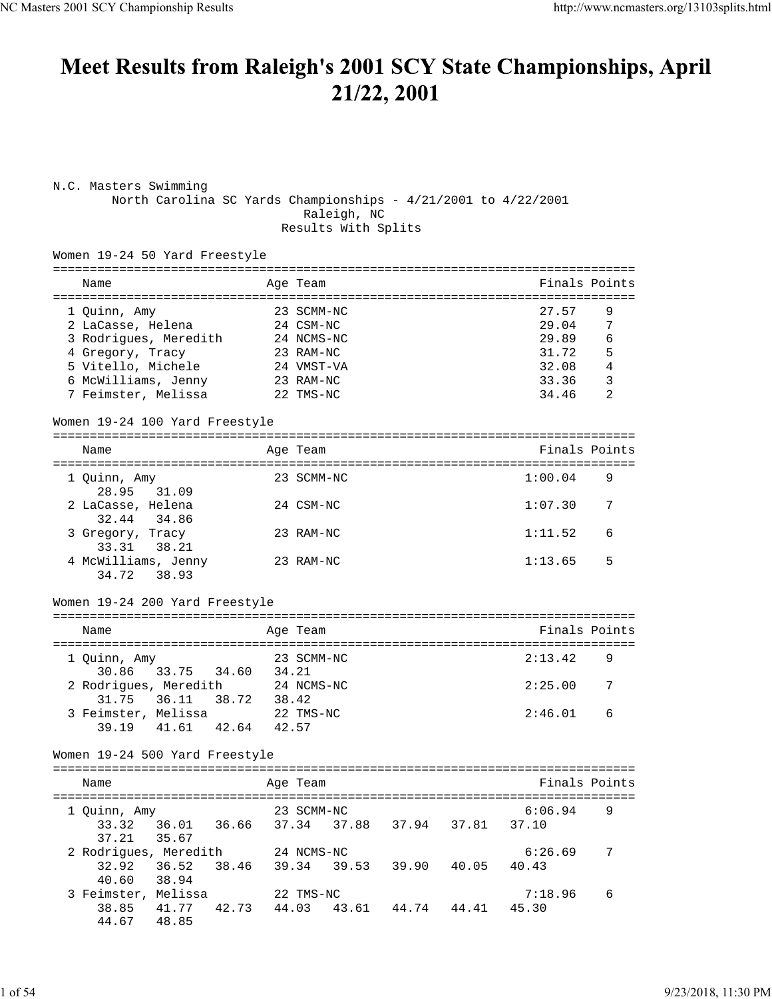# Meet Results from Raleigh's 2001 SCY State Championships, April 21/22, 2001

| N.C. Masters Swimming<br>North Carolina SC Yards Championships - 4/21/2001 to 4/22/2001 |                | Raleigh, NC<br>Results With Splits |       |                                           |                |
|-----------------------------------------------------------------------------------------|----------------|------------------------------------|-------|-------------------------------------------|----------------|
| Women 19-24 50 Yard Freestyle                                                           |                |                                    |       |                                           |                |
| Name                                                                                    |                | Age Team                           |       | Finals Points                             |                |
| 1 Quinn, Amy                                                                            |                | 23 SCMM-NC                         |       | ================================<br>27.57 | 9              |
| 2 LaCasse, Helena                                                                       |                | 24 CSM-NC                          |       | 29.04                                     | $\overline{7}$ |
| 3 Rodrigues, Meredith                                                                   |                | 24 NCMS-NC                         |       | 29.89                                     | 6              |
| 4 Gregory, Tracy                                                                        |                | 23 RAM-NC                          |       | 31.72                                     | 5              |
| 5 Vitello, Michele                                                                      |                | 24 VMST-VA                         |       | 32.08                                     | 4              |
| 6 McWilliams, Jenny                                                                     |                | 23 RAM-NC                          |       | 33.36                                     | 3              |
| 7 Feimster, Melissa                                                                     |                | 22 TMS-NC                          |       | 34.46                                     | $\mathfrak{D}$ |
| Women 19-24 100 Yard Freestyle                                                          |                |                                    |       |                                           |                |
| ------------------------------<br>Name                                                  |                | ===========<br>Age Team            |       | Finals Points                             |                |
| 1 Quinn, Amy                                                                            |                | 23 SCMM-NC                         |       | 1:00.04                                   | 9              |
| 28.95 31.09                                                                             |                |                                    |       |                                           |                |
| 2 LaCasse, Helena                                                                       |                | 24 CSM-NC                          |       | 1:07.30                                   | 7              |
| 32.44 34.86                                                                             |                |                                    |       |                                           |                |
| 3 Gregory, Tracy<br>33.31 38.21                                                         |                | 23 RAM-NC                          |       | 1:11.52                                   | 6              |
| 4 McWilliams, Jenny<br>38.93<br>34.72                                                   |                | 23 RAM-NC                          |       | 1:13.65                                   | 5              |
| Women 19-24 200 Yard Freestyle                                                          |                |                                    |       |                                           |                |
|                                                                                         |                |                                    |       |                                           |                |
| Name<br>==================                                                              |                | Age Team<br>===============        |       | Finals Points                             |                |
| 1 Quinn, Amy                                                                            |                | 23 SCMM-NC                         |       | 2:13.42                                   | 9              |
| 30.86 33.75 34.60                                                                       | 34.21          |                                    |       |                                           |                |
| 2 Rodrigues, Meredith                                                                   |                | 24 NCMS-NC                         |       | 2:25.00                                   | 7              |
| 31.75<br>36.11                                                                          | 38.72<br>38.42 |                                    |       |                                           |                |
| 3 Feimster, Melissa                                                                     |                | 22 TMS-NC                          |       | 2:46.01                                   | 6              |
| 39.19 41.61                                                                             | 42.64<br>42.57 |                                    |       |                                           |                |
| Women 19-24 500 Yard Freestyle                                                          |                |                                    |       |                                           |                |
| Name                                                                                    |                | Age Team                           |       | Finals Points                             |                |
|                                                                                         |                |                                    |       |                                           |                |
| 1 Quinn, Amy                                                                            |                | 23 SCMM-NC                         |       | 6:06.94                                   | 9              |
| 33.32 36.01 36.66                                                                       |                | 37.34 37.88 37.94                  | 37.81 | 37.10                                     |                |
| 37.21<br>35.67                                                                          |                |                                    |       |                                           |                |
| 2 Rodrigues, Meredith                                                                   |                | 24 NCMS-NC                         |       | 6:26.69                                   | 7              |
| 32.92 36.52                                                                             | 38.46          | 39.34 39.53 39.90                  | 40.05 | 40.43                                     |                |
| 40.60<br>38.94                                                                          |                |                                    |       |                                           |                |
| 3 Feimster, Melissa<br>38.85 41.77 42.73 44.03 43.61 44.74 44.41                        |                | 22 TMS-NC                          |       | 7:18.96<br>45.30                          | 6              |
| 44.67 48.85                                                                             |                |                                    |       |                                           |                |
|                                                                                         |                |                                    |       |                                           |                |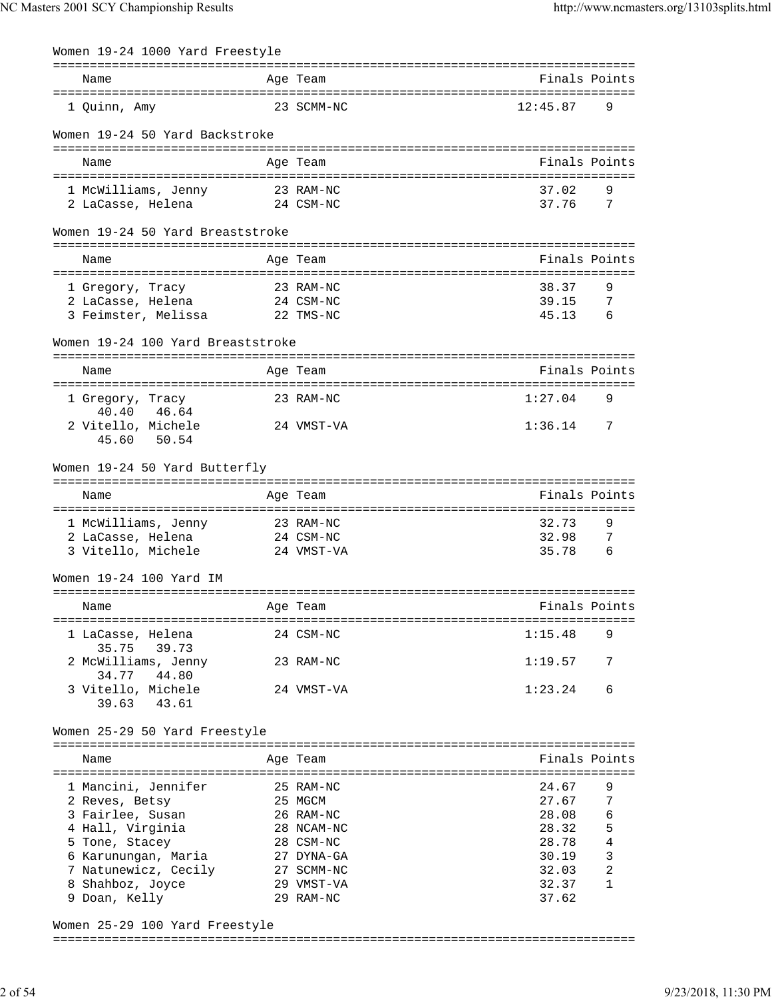| Women 19-24 1000 Yard Freestyle      |            |               |                 |
|--------------------------------------|------------|---------------|-----------------|
| Name                                 | Age Team   | Finals Points |                 |
| 1 Quinn, Amy                         | 23 SCMM-NC | 12:45.87      | 9               |
| Women 19-24 50 Yard Backstroke       |            |               |                 |
| Name                                 | Age Team   | Finals Points |                 |
| 1 McWilliams, Jenny 23 RAM-NC        |            | 37.02         | 9               |
| 2 LaCasse, Helena 24 CSM-NC          |            | 37.76 7       |                 |
| Women 19-24 50 Yard Breaststroke     |            |               |                 |
| Name                                 | Age Team   | Finals Points |                 |
| 1 Gregory, Tracy                     | 23 RAM-NC  | 38.37         | 9               |
| 2 LaCasse, Helena 24 CSM-NC          |            | 39.15         | -7              |
| 3 Feimster, Melissa 22 TMS-NC        |            | 45.13         | $6\overline{6}$ |
| Women 19-24 100 Yard Breaststroke    |            |               |                 |
| Name                                 | Age Team   | Finals Points |                 |
|                                      |            |               |                 |
| 1 Gregory, Tracy<br>40.40 46.64      | 23 RAM-NC  | 1:27.04       | 9               |
| 2 Vitello, Michele                   | 24 VMST-VA | $1:36.14$ 7   |                 |
| 50.54<br>45.60                       |            |               |                 |
| Women 19-24 50 Yard Butterfly        |            |               |                 |
|                                      |            |               |                 |
| Name                                 | Age Team   | Finals Points |                 |
| 1 McWilliams, Jenny 23 RAM-NC        |            | 32.73         | 9               |
| 2 LaCasse, Helena 24 CSM-NC          |            | 32.98         | 7               |
| 3 Vitello, Michele 24 VMST-VA        |            | 35.78         | 6               |
| Women 19-24 100 Yard IM              |            |               |                 |
| Name                                 | Age Team   | Finals Points |                 |
| 1 LaCasse, Helena                    | 24 CSM-NC  | 1:15.48       | 9               |
| 35.75 39.73<br>2 McWilliams, Jenny   | 23 RAM-NC  | 1:19.57       | 7               |
| 34.77<br>44.80<br>3 Vitello, Michele | 24 VMST-VA | 1:23.24       | 6               |
| 39.63 43.61                          |            |               |                 |
| Women 25-29 50 Yard Freestyle        |            |               |                 |
|                                      |            | Finals Points |                 |
| Name                                 | Age Team   |               |                 |
| 1 Mancini, Jennifer 25 RAM-NC        |            | 24.67         | 9               |
| 25 MGCM<br>2 Reves, Betsy            |            | 27.67         | 7               |
| 3 Fairlee, Susan<br>26 RAM-NC        |            | 28.08         | 6               |
| 4 Hall, Virginia                     | 28 NCAM-NC | 28.32         | 5               |
| 5 Tone, Stacey                       | 28 CSM-NC  | 28.78         | $\overline{4}$  |
| 6 Karunungan, Maria                  | 27 DYNA-GA | 30.19         | $\mathbf{3}$    |
| 7 Natunewicz, Cecily 27 SCMM-NC      |            | 32.03         | 2               |
| 29 VMST-VA<br>8 Shahboz, Joyce       |            | 32.37         | 1               |
| 9 Doan, Kelly                        | 29 RAM-NC  | 37.62         |                 |

Women 25-29 100 Yard Freestyle ===============================================================================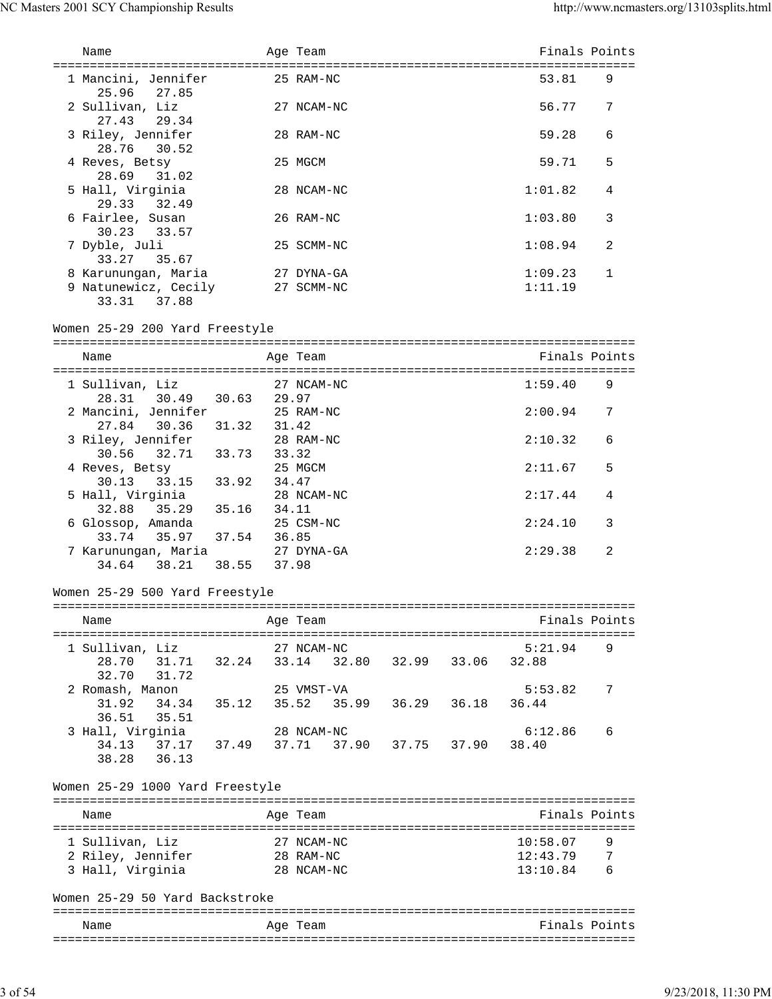| Name                                                         |                | Age Team                 |                   | Finals Points      |              |
|--------------------------------------------------------------|----------------|--------------------------|-------------------|--------------------|--------------|
| 1 Mancini, Jennifer                                          |                | 25 RAM-NC                |                   | 53.81              | 9            |
| 25.96 27.85<br>2 Sullivan, Liz<br>27.43<br>29.34             |                | 27 NCAM-NC               |                   | 56.77              | 7            |
| 3 Riley, Jennifer<br>28.76 30.52                             |                | 28 RAM-NC                |                   | 59.28              | 6            |
| 4 Reves, Betsy<br>28.69<br>31.02                             |                | 25 MGCM                  |                   | 59.71              | 5            |
| 5 Hall, Virginia<br>29.33 32.49                              |                | 28 NCAM-NC               |                   | 1:01.82            | 4            |
| 6 Fairlee, Susan<br>30.23 33.57                              |                | 26 RAM-NC                |                   | 1:03.80            | 3            |
| 7 Dyble, Juli<br>33.27 35.67                                 |                | 25 SCMM-NC               |                   | 1:08.94            | 2            |
| 8 Karunungan, Maria<br>9 Natunewicz, Cecily<br>33.31 37.88   |                | 27 DYNA-GA<br>27 SCMM-NC |                   | 1:09.23<br>1:11.19 | $\mathbf{1}$ |
| Women 25-29 200 Yard Freestyle                               |                |                          |                   |                    |              |
| Name                                                         |                | Age Team                 |                   | Finals Points      |              |
| 1 Sullivan, Liz<br>28.31 30.49                               | 30.63<br>29.97 | 27 NCAM-NC               |                   | 1:59.40            | 9            |
| 2 Mancini, Jennifer<br>27.84<br>30.36<br>31.32               |                | 25 RAM-NC<br>31.42       |                   | 2:00.94            | 7            |
| 3 Riley, Jennifer<br>30.56 32.71<br>33.73                    | 33.32          | 28 RAM-NC                |                   | 2:10.32            | 6            |
| 4 Reves, Betsy<br>33.92<br>30.13 33.15                       | 34.47          | 25 MGCM                  |                   | 2:11.67            | 5            |
| 5 Hall, Virginia<br>32.88<br>35.29<br>35.16                  | 34.11          | 28 NCAM-NC               |                   | 2:17.44            | 4            |
| 6 Glossop, Amanda<br>33.74<br>35.97                          | 37.54<br>36.85 | 25 CSM-NC                |                   | 2:24.10            | 3            |
| 7 Karunungan, Maria<br>34.64 38.21<br>38.55                  |                | 27 DYNA-GA<br>37.98      |                   | 2:29.38            | 2            |
| Women 25-29 500 Yard Freestyle                               |                |                          |                   |                    |              |
| Name                                                         |                | Age Team                 |                   | Finals Points      |              |
| 1 Sullivan, Liz                                              |                | 27 NCAM-NC               |                   | 5:21.94            | 9            |
| 28.70 31.71 32.24 33.14 32.80 32.99 33.06<br>32.70 31.72     |                |                          |                   | 32.88              |              |
| 2 Romash, Manon<br>31.92<br>34.34<br>35.12<br>36.51<br>35.51 |                | 25 VMST-VA<br>35.52      | 35.99 36.29 36.18 | 5:53.82<br>36.44   | 7            |
| 3 Hall, Virginia<br>34.13 37.17 37.49<br>38.28 36.13         | 37.71          | 28 NCAM-NC               | 37.90 37.75 37.90 | 6:12.86<br>38.40   | 6            |
| Women 25-29 1000 Yard Freestyle                              |                |                          |                   |                    |              |
| Name                                                         |                | Age Team                 |                   | Finals Points      |              |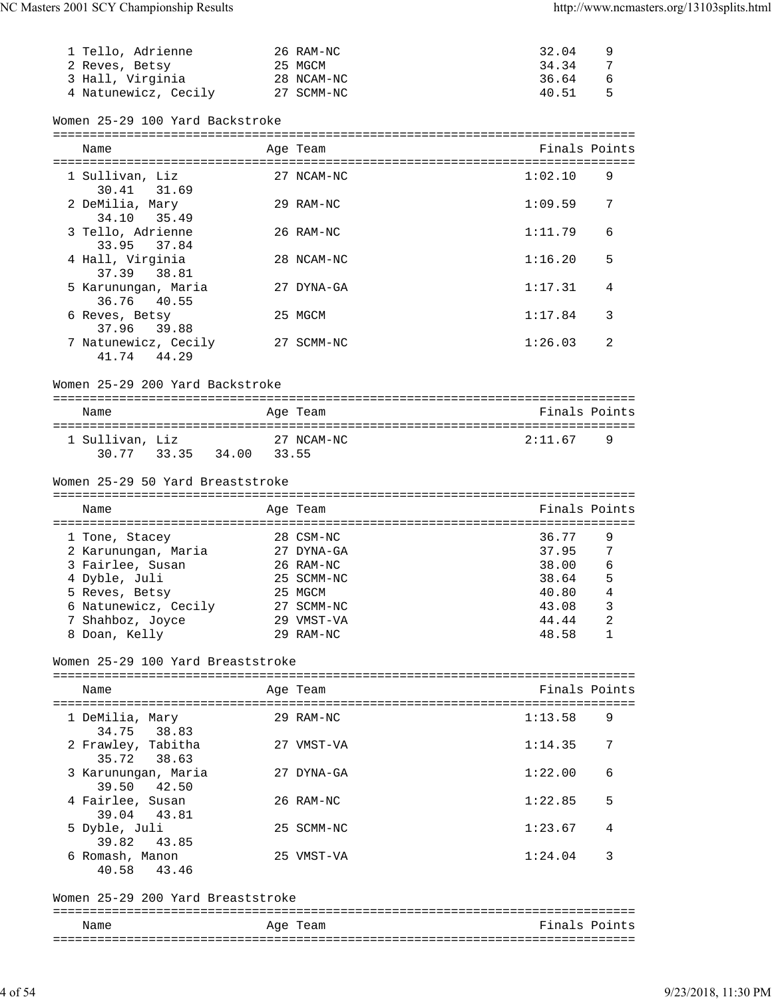| 1 Tello, Adrienne                                      |         | 26 RAM-NC               | 32.04<br>9               |  |
|--------------------------------------------------------|---------|-------------------------|--------------------------|--|
| 2 Reves, Betsy                                         | 25 MGCM |                         | 34.34<br>7               |  |
| 3 Hall, Virginia                                       |         | 28 NCAM-NC              | 36.64<br>6               |  |
| 4 Natunewicz, Cecily 27 SCMM-NC                        |         |                         | 5<br>40.51               |  |
| Women 25-29 100 Yard Backstroke                        |         |                         |                          |  |
| Name                                                   |         | Age Team                | Finals Points            |  |
| 1 Sullivan, Liz                                        |         | 27 NCAM-NC              | 1:02.10<br>9             |  |
| 30.41 31.69<br>2 DeMilia, Mary                         |         | 29 RAM-NC               | 1:09.59<br>7             |  |
| 35.49<br>34.10                                         |         |                         |                          |  |
| 3 Tello, Adrienne<br>33.95 37.84                       |         | 26 RAM-NC               | 1:11.79<br>6             |  |
| 4 Hall, Virginia<br>37.39 38.81                        |         | 28 NCAM-NC              | 1:16.20<br>5             |  |
| 5 Karunungan, Maria<br>36.76<br>40.55                  |         | 27 DYNA-GA              | 1:17.31<br>4             |  |
| 6 Reves, Betsy                                         |         | 25 MGCM                 | 1:17.84<br>3             |  |
| 37.96 39.88<br>7 Natunewicz, Cecily<br>41.74 44.29     |         | 27 SCMM-NC              | 1:26.03<br>2             |  |
| Women 25-29 200 Yard Backstroke                        |         |                         |                          |  |
| Name                                                   |         | Age Team                | Finals Points            |  |
|                                                        |         |                         |                          |  |
| 1 Sullivan, Liz<br>30.77 33.35 34.00 33.55             |         | 27 NCAM-NC              | 2:11.67<br>9             |  |
| Women 25-29 50 Yard Breaststroke                       |         |                         |                          |  |
| Name                                                   |         | Age Team                | Finals Points            |  |
|                                                        |         |                         |                          |  |
| 1 Tone, Stacey                                         |         | 28 CSM-NC               | 36.77<br>9               |  |
| 2 Karunungan, Maria<br>3 Fairlee, Susan                |         | 27 DYNA-GA<br>26 RAM-NC | 37.95<br>7<br>38.00<br>6 |  |
| 4 Dyble, Juli                                          |         | 25 SCMM-NC              | 5<br>38.64               |  |
| 5 Reves, Betsy                                         |         | 25 MGCM                 | 40.80<br>4               |  |
| 6 Natunewicz, Cecily                                   |         | 27 SCMM-NC              | 43.08<br>3               |  |
| 7 Shahboz, Joyce                                       |         | 29 VMST-VA              | 2<br>44.44               |  |
| 8 Doan, Kelly                                          |         | 29 RAM-NC               | 48.58<br>1               |  |
| Women 25-29 100 Yard Breaststroke                      |         |                         |                          |  |
| Name                                                   |         | Age Team                | Finals Points            |  |
| 1 DeMilia, Mary                                        |         | 29 RAM-NC               | 1:13.58<br>9             |  |
| 34.75<br>38.83<br>2 Frawley, Tabitha<br>35.72<br>38.63 |         | 27 VMST-VA              | 1:14.35<br>7             |  |
| 3 Karunungan, Maria                                    |         | 27 DYNA-GA              | 1:22.00<br>6             |  |
| 42.50<br>39.50<br>4 Fairlee, Susan                     |         | 26 RAM-NC               | 1:22.85<br>5             |  |
| 43.81<br>39.04<br>5 Dyble, Juli                        |         | 25 SCMM-NC              | 1:23.67<br>4             |  |
| 39.82<br>43.85<br>6 Romash, Manon                      |         | 25 VMST-VA              | 1:24.04<br>3             |  |
| 43.46<br>40.58                                         |         |                         |                          |  |
| Women 25-29 200 Yard Breaststroke                      |         |                         |                          |  |
| Name                                                   |         | Age Team                | Finals Points            |  |
|                                                        |         |                         |                          |  |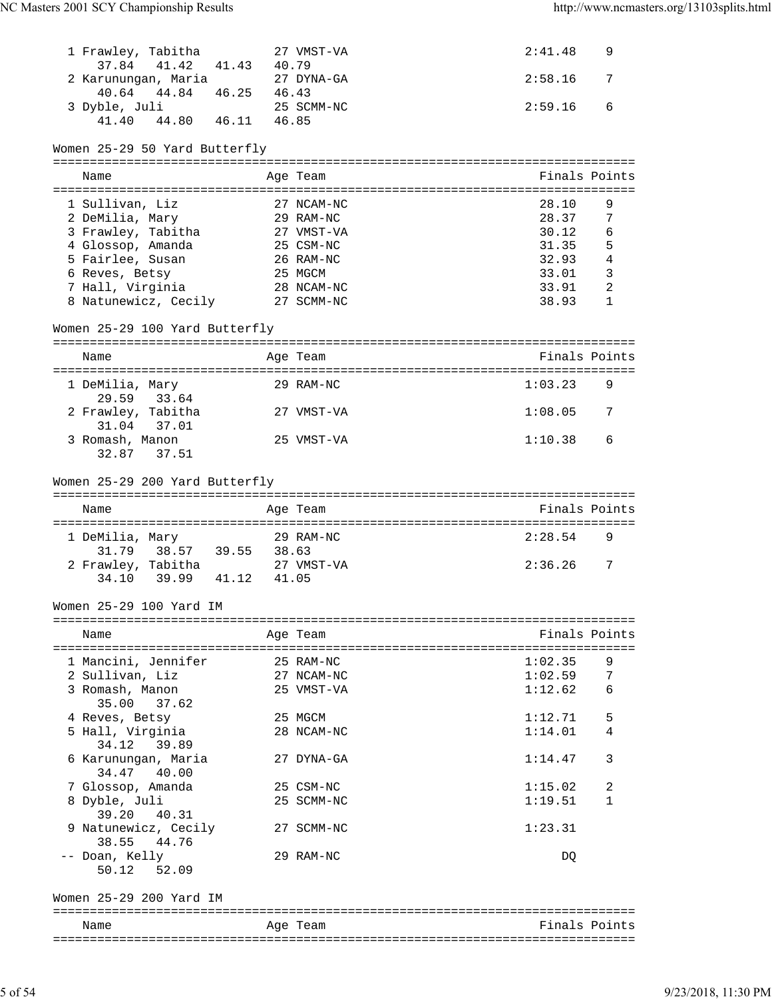| 1 Frawley, Tabitha              |            | 27 VMST-VA | 2:41.48        | 9              |
|---------------------------------|------------|------------|----------------|----------------|
| 37.84<br>41.42 41.43 40.79      |            |            |                |                |
| 2 Karunungan, Maria             |            | 27 DYNA-GA | 2:58.16        | 7              |
| 40.64 44.84 46.25 46.43         |            |            |                |                |
| 3 Dyble, Juli                   |            | 25 SCMM-NC | 2:59.16        | 6              |
| $41.40$ $44.80$ $46.11$ $46.85$ |            |            |                |                |
| Women 25-29 50 Yard Butterfly   |            |            |                |                |
|                                 |            |            |                |                |
| Name                            |            | Age Team   |                | Finals Points  |
| 1 Sullivan, Liz                 | 27 NCAM-NC |            | 28.10          | 9              |
|                                 |            | 29 RAM-NC  | 28.37          | 7              |
| 2 DeMilia, Mary                 |            |            |                |                |
| 3 Frawley, Tabitha              |            | 27 VMST-VA | 30.12          | 6              |
| 4 Glossop, Amanda               |            | 25 CSM-NC  | 31.35          | 5              |
| 5 Fairlee, Susan                |            | 26 RAM-NC  | 32.93<br>33.01 | $\overline{4}$ |
| 6 Reves, Betsy                  |            | 25 MGCM    |                | $\mathbf{3}$   |
| 7 Hall, Virginia                |            | 28 NCAM-NC | 33.91          | $\overline{2}$ |
| 8 Natunewicz, Cecily 27 SCMM-NC |            |            | 38.93          | 1              |
|                                 |            |            |                |                |
| Women 25-29 100 Yard Butterfly  |            |            |                |                |
| Name                            |            | Age Team   |                | Finals Points  |
|                                 |            |            |                |                |
| 1 DeMilia, Mary                 |            | 29 RAM-NC  | 1:03.23        | 9              |
| 29.59 33.64                     |            |            |                |                |
| 2 Frawley, Tabitha              |            | 27 VMST-VA | 1:08.05        | 7              |
| 31.04 37.01                     |            |            |                |                |
| 3 Romash, Manon                 |            | 25 VMST-VA | 1:10.38        | 6              |
| 32.87 37.51                     |            |            |                |                |
| Name                            |            | Age Team   |                | Finals Points  |
| 1 DeMilia, Mary                 |            | 29 RAM-NC  | 2:28.54        | 9              |
| 31.79 38.57 39.55 38.63         |            |            |                |                |
| 2 Frawley, Tabitha              |            | 27 VMST-VA | 2:36.26        | 7              |
| 39.99 41.12<br>34.10            | 41.05      |            |                |                |
|                                 |            |            |                |                |
| Women 25-29 100 Yard IM         |            |            |                |                |
| Name                            |            | Age Team   |                | Finals Points  |
|                                 |            |            |                |                |
| 1 Mancini, Jennifer             |            | 25 RAM-NC  | 1:02.35        | 9              |
| 2 Sullivan, Liz                 |            | 27 NCAM-NC | 1:02.59        | 7              |
|                                 |            | 25 VMST-VA |                | 6              |
| 3 Romash, Manon                 |            |            | 1:12.62        |                |
| 35.00<br>37.62                  |            |            |                |                |
| 4 Reves, Betsy                  |            | 25 MGCM    | 1:12.71        | 5              |
| 5 Hall, Virginia                |            | 28 NCAM-NC | 1:14.01        | 4              |
| 39.89<br>34.12                  |            |            |                |                |
| 6 Karunungan, Maria             |            | 27 DYNA-GA | 1:14.47        | 3              |
| 34.47<br>40.00                  |            |            |                |                |
| 7 Glossop, Amanda               |            | 25 CSM-NC  | 1:15.02        | 2              |
|                                 |            |            |                |                |
| 8 Dyble, Juli                   |            | 25 SCMM-NC | 1:19.51        | 1              |
| 39.20<br>40.31                  |            |            |                |                |
| 9 Natunewicz, Cecily            |            | 27 SCMM-NC | 1:23.31        |                |
| 38.55<br>44.76                  |            |            |                |                |
| -- Doan, Kelly                  |            | 29 RAM-NC  | DQ             |                |
| 52.09<br>50.12                  |            |            |                |                |
|                                 |            |            |                |                |
| Women 25-29 200 Yard IM         |            |            |                |                |
| Name                            |            | Age Team   |                | Finals Points  |
|                                 |            |            |                |                |

| wallle. | ⊶د.<br>المصاب<br>___ |  |
|---------|----------------------|--|
|         |                      |  |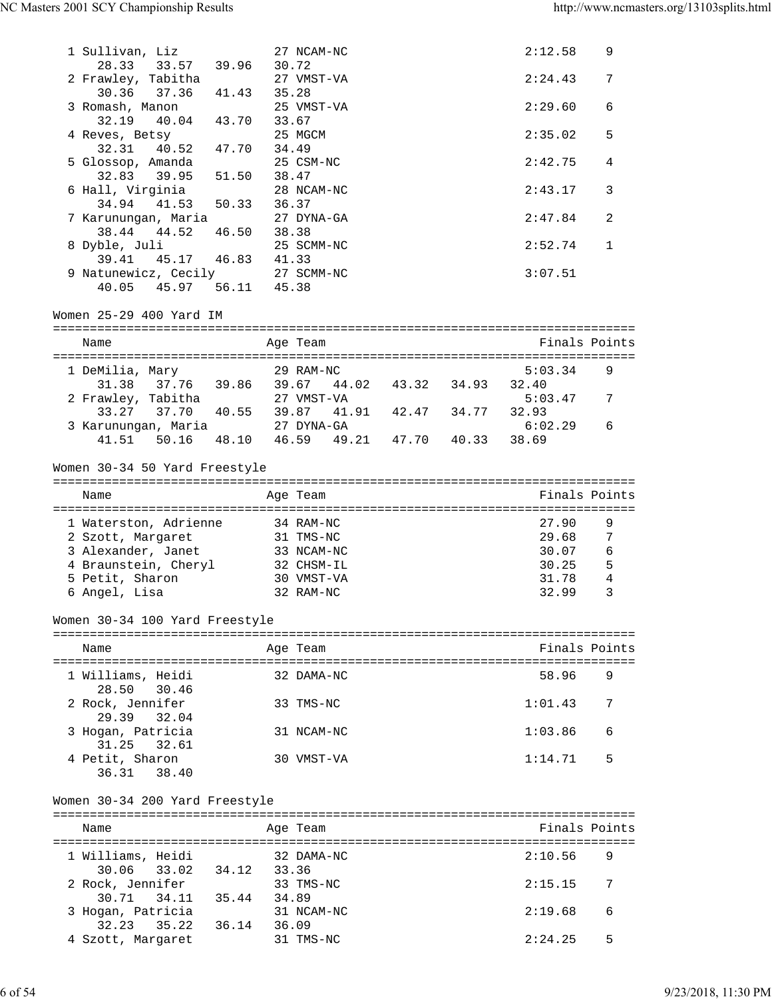| 1 Sullivan, Liz                                                 |             |       | 27 NCAM-NC |  | 2:12.58       | 9 |
|-----------------------------------------------------------------|-------------|-------|------------|--|---------------|---|
| 28.33 33.57 39.96                                               |             | 30.72 |            |  |               |   |
| 2 Frawley, Tabitha                                              |             |       | 27 VMST-VA |  | 2:24.43       | 7 |
| 30.36 37.36                                                     | 41.43 35.28 |       |            |  |               |   |
| 3 Romash, Manon                                                 |             |       | 25 VMST-VA |  | 2:29.60       | 6 |
| 32.19 40.04 43.70                                               |             | 33.67 |            |  |               |   |
| 4 Reves, Betsy                                                  |             |       | 25 MGCM    |  | 2:35.02       | 5 |
| 32.31 40.52 47.70                                               |             | 34.49 |            |  |               |   |
| 5 Glossop, Amanda                                               |             |       | 25 CSM-NC  |  | 2:42.75       | 4 |
| 32.83 39.95 51.50 38.47                                         |             |       |            |  |               |   |
| 6 Hall, Virginia                                                |             |       | 28 NCAM-NC |  | 2:43.17       | 3 |
| 34.94 41.53 50.33                                               |             | 36.37 |            |  |               |   |
| 7 Karunungan, Maria                                             |             |       | 27 DYNA-GA |  | 2:47.84       | 2 |
| 38.44<br>44.52 46.50                                            |             | 38.38 |            |  |               |   |
| 8 Dyble, Juli                                                   |             |       | 25 SCMM-NC |  | 2:52.74       | 1 |
| 39.41 45.17 46.83 41.33                                         |             |       |            |  |               |   |
| 9 Natunewicz, Cecily 27 SCMM-NC                                 |             |       |            |  | 3:07.51       |   |
| 40.05 45.97 56.11 45.38                                         |             |       |            |  |               |   |
|                                                                 |             |       |            |  |               |   |
| Women 25-29 400 Yard IM                                         |             |       |            |  |               |   |
|                                                                 |             |       |            |  |               |   |
| Name                                                            |             |       | Age Team   |  | Finals Points |   |
| 1 DeMilia, Mary                                                 |             |       | 29 RAM-NC  |  | 5:03.34       | 9 |
|                                                                 |             |       |            |  | 32.40         |   |
| 31.38 37.76 39.86 39.67 44.02 43.32 34.93<br>2 Frawley, Tabitha |             |       | 27 VMST-VA |  | 5:03.47       | 7 |
| $33.27$ $37.70$ $40.55$ $39.87$ $41.91$ $42.47$ $34.77$         |             |       |            |  | 32.93         |   |
| 3 Karunungan, Maria (27 DYNA-GA                                 |             |       |            |  | 6:02.29       | 6 |
| 41.51 50.16 48.10 46.59 49.21 47.70 40.33                       |             |       |            |  | 38.69         |   |
|                                                                 |             |       |            |  |               |   |
| Women 30-34 50 Yard Freestyle                                   |             |       |            |  |               |   |
|                                                                 |             |       |            |  |               |   |
| Name                                                            |             |       | Age Team   |  | Finals Points |   |
|                                                                 |             |       |            |  |               |   |
| 1 Waterston, Adrienne                                           |             |       | 34 RAM-NC  |  | 27.90         | 9 |
| 2 Szott, Margaret 31 TMS-NC                                     |             |       |            |  | 29.68         | 7 |
| 3 Alexander, Janet                                              |             |       | 33 NCAM-NC |  | 30.07         | 6 |
|                                                                 |             |       | 32 CHSM-IL |  | 30.25         | 5 |
| 4 Braunstein, Cheryl<br>5 Petit, Sharon                         |             |       | 30 VMST-VA |  | 31.78         | 4 |
| 6 Angel, Lisa                                                   |             |       | 32 RAM-NC  |  | 32.99         | 3 |
|                                                                 |             |       |            |  |               |   |
| Women 30-34 100 Yard Freestyle                                  |             |       |            |  |               |   |
|                                                                 |             |       |            |  |               |   |
| Name                                                            |             |       | Age Team   |  | Finals Points |   |
|                                                                 |             |       |            |  |               |   |
| 1 Williams, Heidi                                               |             |       | 32 DAMA-NC |  | 58.96         | 9 |
| 28.50<br>30.46                                                  |             |       |            |  |               |   |
| 2 Rock, Jennifer                                                |             |       | 33 TMS-NC  |  | 1:01.43       | 7 |
| 29.39<br>32.04                                                  |             |       |            |  |               |   |
| 3 Hogan, Patricia                                               |             |       | 31 NCAM-NC |  | 1:03.86       | 6 |
| 31.25<br>32.61                                                  |             |       |            |  |               |   |
| 4 Petit, Sharon                                                 |             |       | 30 VMST-VA |  | 1:14.71       | 5 |
| 36.31 38.40                                                     |             |       |            |  |               |   |
|                                                                 |             |       |            |  |               |   |
| Women 30-34 200 Yard Freestyle                                  |             |       |            |  |               |   |
|                                                                 |             |       |            |  |               |   |
| Name                                                            |             |       | Age Team   |  | Finals Points |   |
|                                                                 |             |       |            |  |               |   |
| 1 Williams, Heidi                                               |             |       | 32 DAMA-NC |  | 2:10.56       | 9 |
| 33.02<br>30.06                                                  | 34.12 33.36 |       |            |  |               |   |
| 2 Rock, Jennifer                                                |             |       | 33 TMS-NC  |  | 2:15.15       | 7 |
| 30.71 34.11                                                     | 35.44       | 34.89 |            |  |               |   |
| 3 Hogan, Patricia                                               |             |       | 31 NCAM-NC |  | 2:19.68       | 6 |
| 35.22 36.14<br>32.23                                            |             | 36.09 |            |  |               |   |
| 4 Szott, Margaret                                               |             |       | 31 TMS-NC  |  | 2:24.25       | 5 |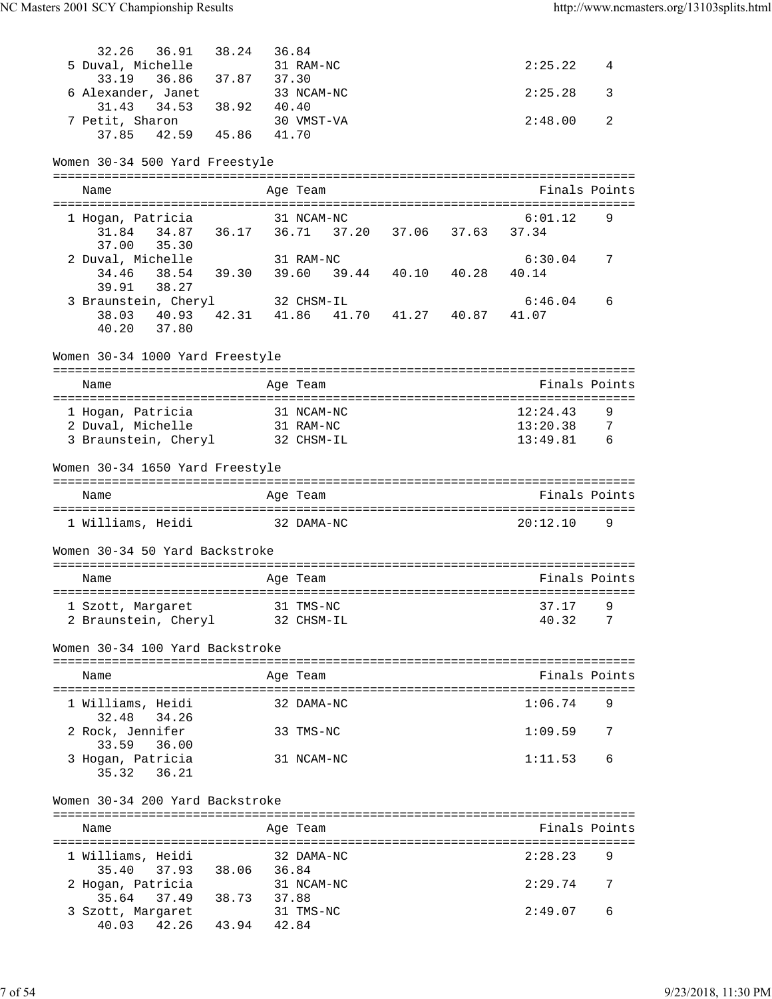| 32.26 36.91 38.24 36.84                                  |       |            |  |                        |   |
|----------------------------------------------------------|-------|------------|--|------------------------|---|
| 5 Duval, Michelle                                        |       | 31 RAM-NC  |  | 2:25.22                | 4 |
| 36.86 37.87 37.30<br>33.19                               |       |            |  |                        |   |
| 6 Alexander, Janet                                       |       | 33 NCAM-NC |  | 2:25.28                | 3 |
| 31.43 34.53 38.92<br>7 Petit, Sharon                     | 40.40 |            |  |                        |   |
| 37.85 42.59 45.86 41.70                                  |       | 30 VMST-VA |  | 2:48.00                | 2 |
|                                                          |       |            |  |                        |   |
| Women 30-34 500 Yard Freestyle                           |       |            |  |                        |   |
|                                                          |       |            |  |                        |   |
| Name                                                     |       | Age Team   |  | Finals Points          |   |
| 1 Hogan, Patricia                                        |       | 31 NCAM-NC |  | 6:01.12                | 9 |
| 31.84  34.87  36.17  36.71  37.20  37.06  37.63  37.34   |       |            |  |                        |   |
| 37.00 35.30                                              |       |            |  |                        |   |
| 2 Duval, Michelle                                        |       | 31 RAM-NC  |  | 6:30.04<br>40.14       | 7 |
| 34.46 38.54 39.30 39.60 39.44 40.10 40.28<br>39.91 38.27 |       |            |  |                        |   |
| 3 Braunstein, Cheryl                                     |       | 32 CHSM-IL |  | 6:46.04                | 6 |
| 38.03 40.93 42.31 41.86 41.70 41.27 40.87                |       |            |  | 41.07                  |   |
| 40.20 37.80                                              |       |            |  |                        |   |
| Women 30-34 1000 Yard Freestyle                          |       |            |  |                        |   |
|                                                          |       |            |  |                        |   |
| Name                                                     |       | Age Team   |  | Finals Points          |   |
|                                                          |       |            |  |                        |   |
| 1 Hogan, Patricia<br>2 Duval, Michelle 31 RAM-NC         |       | 31 NCAM-NC |  | 12:24.43<br>13:20.38 7 | 9 |
| 3 Braunstein, Cheryl 32 CHSM-IL                          |       |            |  | $13:49.81$ 6           |   |
|                                                          |       |            |  |                        |   |
| Women 30-34 1650 Yard Freestyle                          |       |            |  |                        |   |
|                                                          |       |            |  |                        |   |
|                                                          |       |            |  |                        |   |
| Name                                                     |       | Age Team   |  | Finals Points          |   |
| 1 Williams, Heidi 32 DAMA-NC                             |       |            |  | $20:12.10$ 9           |   |
|                                                          |       |            |  |                        |   |
| Women 30-34 50 Yard Backstroke                           |       |            |  |                        |   |
| Name                                                     |       | Age Team   |  | Finals Points          |   |
|                                                          |       |            |  |                        |   |
| 1 Szott, Margaret 31 TMS-NC                              |       |            |  | 37.17 9                |   |
| 2 Braunstein, Cheryl                                     |       | 32 CHSM-IL |  | 40.32                  | 7 |
|                                                          |       |            |  |                        |   |
| Women 30-34 100 Yard Backstroke                          |       |            |  |                        |   |
| Name                                                     |       | Age Team   |  | Finals Points          |   |
|                                                          |       |            |  |                        |   |
| 1 Williams, Heidi<br>32.48                               |       | 32 DAMA-NC |  | 1:06.74                | 9 |
| 34.26<br>2 Rock, Jennifer                                |       | 33 TMS-NC  |  | 1:09.59                | 7 |
| 33.59<br>36.00                                           |       |            |  |                        |   |
| 3 Hogan, Patricia                                        |       | 31 NCAM-NC |  | 1:11.53                | 6 |
| 35.32<br>36.21                                           |       |            |  |                        |   |
| Women 30-34 200 Yard Backstroke                          |       |            |  |                        |   |
|                                                          |       |            |  |                        |   |
| Name                                                     |       | Age Team   |  | Finals Points          |   |
|                                                          |       |            |  |                        |   |
| 1 Williams, Heidi                                        |       | 32 DAMA-NC |  | 2:28.23                | 9 |
| 35.40<br>37.93 38.06                                     | 36.84 | 31 NCAM-NC |  | 2:29.74                | 7 |
| 2 Hogan, Patricia<br>37.49 38.73 37.88<br>35.64          |       |            |  |                        |   |
| 3 Szott, Margaret<br>42.26 43.94<br>40.03                | 42.84 | 31 TMS-NC  |  | 2:49.07                | 6 |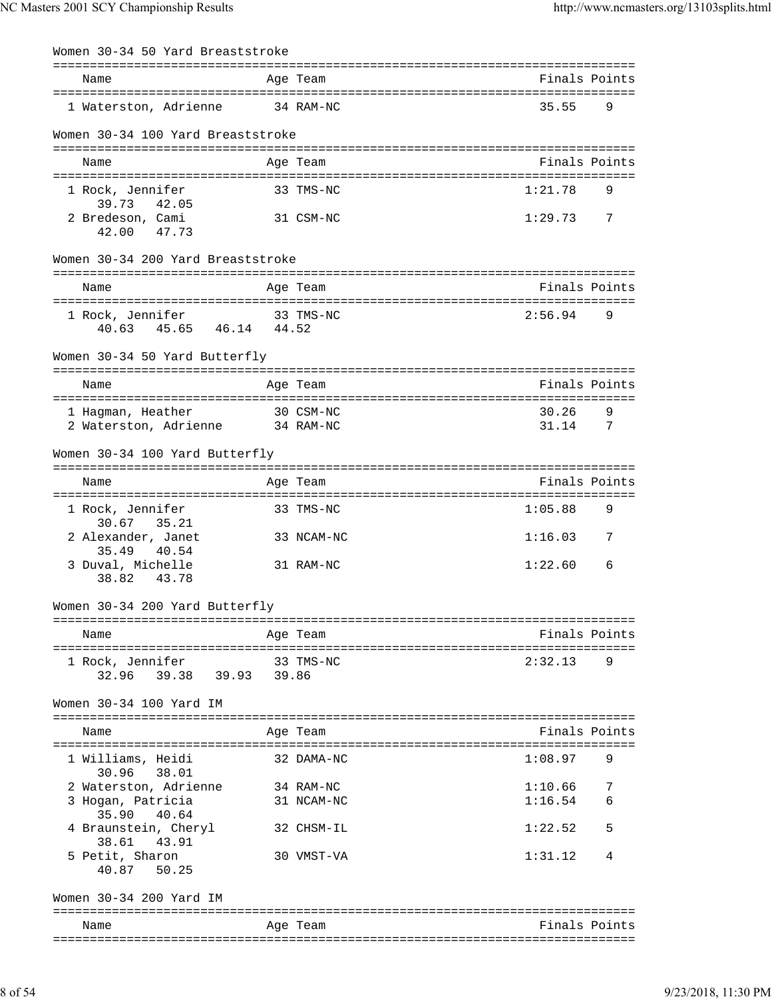| Women 30-34 50 Yard Breaststroke                      |            |                |        |
|-------------------------------------------------------|------------|----------------|--------|
| Name                                                  | Age Team   | Finals Points  |        |
| 1 Waterston, Adrienne                                 | 34 RAM-NC  | 35.55          | 9      |
| Women 30-34 100 Yard Breaststroke                     |            |                |        |
| Name                                                  | Age Team   | Finals Points  |        |
| 1 Rock, Jennifer<br>39.73 42.05                       | 33 TMS-NC  | 1:21.78        | 9      |
| 2 Bredeson, Cami<br>42.00 47.73                       | 31 CSM-NC  | 1:29.73        | 7      |
| Women 30-34 200 Yard Breaststroke                     |            |                |        |
| Name                                                  | Age Team   | Finals Points  |        |
| 1 Rock, Jennifer 33 TMS-NC<br>40.63 45.65 46.14 44.52 |            | 2:56.94        | 9      |
| Women 30-34 50 Yard Butterfly                         |            |                |        |
| Name                                                  | Age Team   | Finals Points  |        |
| 1 Haqman, Heather<br>2 Waterston, Adrienne 34 RAM-NC  | 30 CSM-NC  | 30.26<br>31.14 | 9<br>7 |
| Women 30-34 100 Yard Butterfly                        |            |                |        |
| Name                                                  | Age Team   | Finals Points  |        |
| 1 Rock, Jennifer<br>30.67 35.21                       | 33 TMS-NC  | 1:05.88        | 9      |
| 2 Alexander, Janet<br>35.49<br>40.54                  | 33 NCAM-NC | 1:16.03        | 7      |
| 3 Duval, Michelle<br>38.82<br>43.78                   | 31 RAM-NC  | 1:22.60        | 6      |
| Women 30-34 200 Yard Butterfly                        |            |                |        |
| Name                                                  | Age Team   | Finals Points  |        |
| 1 Rock, Jennifer                                      | 33 TMS-NC  | 2:32.13        | 9      |
| Women 30-34 100 Yard IM                               |            |                |        |
| Name                                                  | Age Team   | Finals Points  |        |
| 1 Williams, Heidi<br>30.96 38.01                      | 32 DAMA-NC | 1:08.97        | 9      |
| 2 Waterston, Adrienne 34 RAM-NC                       |            | 1:10.66        | 7      |
| 3 Hogan, Patricia<br>35.90 40.64                      | 31 NCAM-NC | 1:16.54        |        |
| 4 Braunstein, Cheryl<br>38.61<br>43.91                | 32 CHSM-IL | 1:22.52        | 5      |
| 5 Petit, Sharon<br>40.87 50.25                        | 30 VMST-VA | 1:31.12        | 4      |
| Women 30-34 200 Yard IM                               |            |                |        |
| Name                                                  | Age Team   | Finals Points  |        |
|                                                       |            |                |        |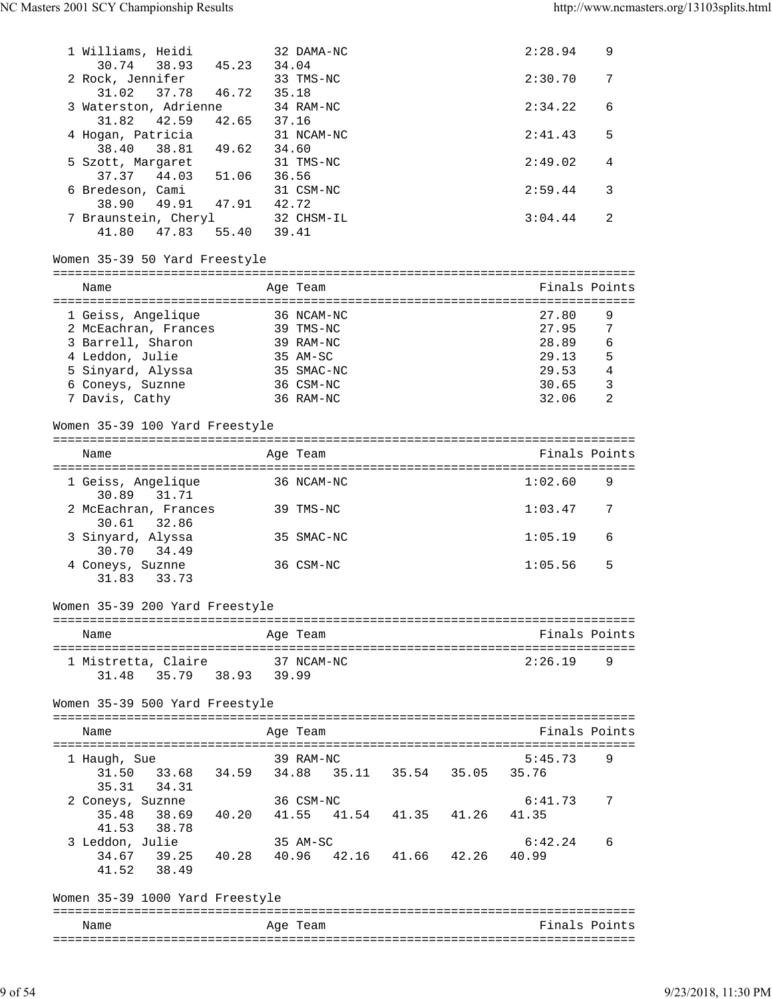| 1 Williams, Heidi          |                                                 |             |       | 32 DAMA-NC |  | 2:28.94 | 9              |
|----------------------------|-------------------------------------------------|-------------|-------|------------|--|---------|----------------|
| 30.74                      | 38.93<br>2 Rock, Jennifer                       | 45.23       | 34.04 | 33 TMS-NC  |  | 2:30.70 | 7              |
| 31.02                      | 37.78                                           | 46.72       | 35.18 |            |  |         |                |
|                            | 3 Waterston, Adrienne                           |             |       | 34 RAM-NC  |  | 2:34.22 | 6              |
| 31.82                      | 42.59                                           | 42.65 37.16 |       |            |  | 2:41.43 | 5              |
| 38.40                      | 4 Hogan, Patricia<br>38.81 49.62 34.60          |             |       | 31 NCAM-NC |  |         |                |
|                            | 5 Szott, Margaret                               |             |       | 31 TMS-NC  |  | 2:49.02 | 4              |
|                            | 37.37 44.03 51.06                               |             | 36.56 |            |  |         |                |
|                            | 6 Bredeson, Cami                                |             |       | 31 CSM-NC  |  | 2:59.44 | 3              |
| 38.90                      | 49.91 47.91 42.72                               |             |       |            |  |         |                |
|                            | 7 Braunstein, Cheryl                            |             |       | 32 CHSM-IL |  | 3:04.44 | 2              |
| 41.80                      | 47.83                                           | 55.40 39.41 |       |            |  |         |                |
|                            | Women 35-39 50 Yard Freestyle                   |             |       |            |  |         |                |
|                            |                                                 |             |       |            |  |         |                |
| Name                       |                                                 |             |       | Age Team   |  |         | Finals Points  |
|                            | 1 Geiss, Angelique                              |             |       | 36 NCAM-NC |  | 27.80   | 9              |
|                            | 2 McEachran, Frances                            |             |       | 39 TMS-NC  |  | 27.95   | $\overline{7}$ |
|                            | 3 Barrell, Sharon                               |             |       | 39 RAM-NC  |  | 28.89   | 6              |
| 4 Leddon, Julie            |                                                 |             |       | 35 AM-SC   |  | 29.13   | 5              |
|                            | 5 Sinyard, Alyssa                               |             |       | 35 SMAC-NC |  | 29.53   | $\overline{4}$ |
| 6 Coneys, Suznne           |                                                 |             |       | 36 CSM-NC  |  | 30.65   | 3              |
| 7 Davis, Cathy             |                                                 |             |       | 36 RAM-NC  |  | 32.06   | 2              |
|                            |                                                 |             |       |            |  |         |                |
|                            | Women 35-39 100 Yard Freestyle                  |             |       |            |  |         |                |
| Name                       |                                                 |             |       | Age Team   |  |         | Finals Points  |
|                            |                                                 |             |       |            |  |         |                |
| 30.89                      | 1 Geiss, Angelique<br>31.71                     |             |       | 36 NCAM-NC |  | 1:02.60 | 9              |
| 30.61                      | 2 McEachran, Frances<br>32.86                   |             |       | 39 TMS-NC  |  | 1:03.47 | 7              |
| 3 Sinyard, Alyssa<br>30.70 | 34.49                                           |             |       | 35 SMAC-NC |  | 1:05.19 | 6              |
| 4 Coneys, Suznne<br>31.83  | 33.73                                           |             |       | 36 CSM-NC  |  | 1:05.56 | 5              |
|                            | Women 35-39 200 Yard Freestyle                  |             |       |            |  |         |                |
|                            |                                                 |             |       |            |  |         |                |
| Name                       |                                                 |             |       | Age Team   |  |         | Finals Points  |
|                            | 1 Mistretta, Claire 37 NCAM-NC                  |             |       |            |  | 2:26.19 | 9              |
|                            | $31.48$ $35.79$ $38.93$ $39.99$                 |             |       |            |  |         |                |
|                            | Women 35-39 500 Yard Freestyle                  |             |       |            |  |         |                |
|                            |                                                 |             |       |            |  |         |                |
| Name                       |                                                 |             |       | Age Team   |  |         | Finals Points  |
|                            | 1 Haugh, Sue                                    |             |       | 39 RAM-NC  |  | 5:45.73 | 9              |
|                            | 31.50 33.68 34.59 34.88 35.11 35.54 35.05 35.76 |             |       |            |  |         |                |
| 35.31                      | 34.31                                           |             |       |            |  |         |                |
|                            | 2 Coneys, Suznne                                | 36 CSM-NC   |       |            |  | 6:41.73 | 7              |
|                            | 35.48 38.69 40.20 41.55 41.54 41.35 41.26       |             |       |            |  | 41.35   |                |
|                            | 41.53 38.78                                     |             |       |            |  |         |                |
| 3 Leddon, Julie            |                                                 |             |       | 35 AM-SC   |  | 6:42.24 | 6              |
|                            | 34.67 39.25 40.28 40.96 42.16 41.66 42.26 40.99 |             |       |            |  |         |                |
|                            | 41.52 38.49                                     |             |       |            |  |         |                |
|                            |                                                 |             |       |            |  |         |                |
|                            | Women 35-39 1000 Yard Freestyle                 |             |       |            |  |         |                |
| Name                       |                                                 |             |       | Age Team   |  |         | Finals Points  |
|                            |                                                 |             |       |            |  |         |                |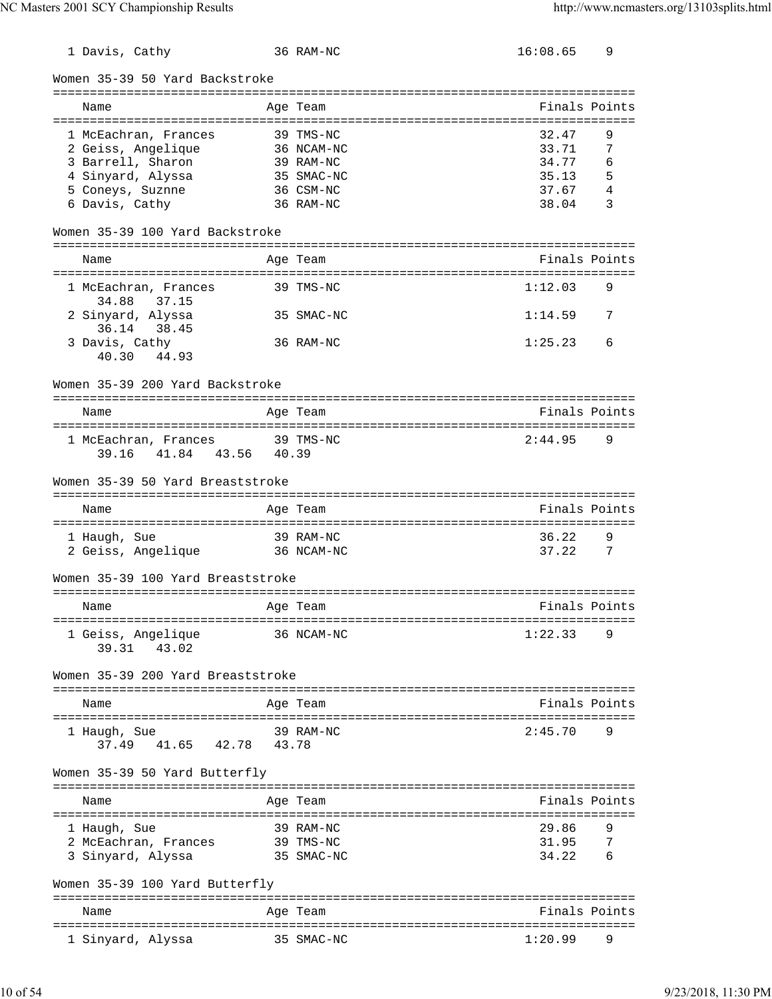| 1 Davis, Cathy                         |       | 36 RAM-NC  | 16:08.65                | 9   |
|----------------------------------------|-------|------------|-------------------------|-----|
| Women 35-39 50 Yard Backstroke         |       |            |                         |     |
| Name                                   |       | Age Team   | Finals Points           |     |
|                                        |       |            |                         |     |
| 1 McEachran, Frances                   |       | 39 TMS-NC  | 32.47                   | 9   |
| 2 Geiss, Angelique                     |       | 36 NCAM-NC | 33.71                   | 7   |
| 3 Barrell, Sharon                      |       | 39 RAM-NC  | 34.77                   | 6   |
| 4 Sinyard, Alyssa                      |       | 35 SMAC-NC | 35.13                   | 5   |
| 5 Coneys, Suznne                       |       | 36 CSM-NC  | 37.67                   | 4   |
| 6 Davis, Cathy                         |       | 36 RAM-NC  | 38.04                   | 3   |
| Women 35-39 100 Yard Backstroke        |       |            |                         |     |
| Name                                   |       | Age Team   | Finals Points           |     |
|                                        |       |            |                         |     |
| 1 McEachran, Frances<br>37.15<br>34.88 |       | 39 TMS-NC  | 1:12.03                 | 9   |
| 2 Sinyard, Alyssa<br>36.14 38.45       |       | 35 SMAC-NC | 1:14.59                 | 7   |
| 3 Davis, Cathy<br>40.30<br>44.93       |       | 36 RAM-NC  | 1:25.23                 | 6   |
| Women 35-39 200 Yard Backstroke        |       |            |                         |     |
|                                        |       |            |                         |     |
| Name                                   |       | Age Team   | Finals Points           |     |
| 1 McEachran, Frances                   |       | 39 TMS-NC  | 2:44.95                 | 9   |
| 41.84 43.56<br>39.16                   | 40.39 |            |                         |     |
| Women 35-39 50 Yard Breaststroke       |       |            |                         |     |
| Name                                   |       | Age Team   | Finals Points           |     |
|                                        |       |            |                         |     |
| 1 Haugh, Sue                           |       | 39 RAM-NC  | 36.22                   | 9   |
| 2 Geiss, Angelique                     |       | 36 NCAM-NC | 37.22                   | 7   |
| Women 35-39 100 Yard Breaststroke      |       |            |                         |     |
| Name                                   |       | Age Team   | Finals Points           |     |
|                                        |       |            | :====================== |     |
| 1 Geiss, Angelique                     |       | 36 NCAM-NC | 1:22.33                 | 9   |
| 43.02<br>39.31                         |       |            |                         |     |
| Women 35-39 200 Yard Breaststroke      |       |            |                         |     |
|                                        |       |            |                         |     |
| Name                                   |       | Age Team   | Finals Points           |     |
| 1 Haugh, Sue                           |       | 39 RAM-NC  | 2:45.70                 | 9   |
| 37.49 41.65<br>42.78                   | 43.78 |            |                         |     |
| Women 35-39 50 Yard Butterfly          |       |            |                         |     |
|                                        |       |            |                         |     |
| Name                                   |       | Age Team   | Finals Points           |     |
| 1 Haugh, Sue                           |       | 39 RAM-NC  | 29.86                   | 9   |
| 2 McEachran, Frances                   |       | 39 TMS-NC  | 31.95                   | 7   |
| 3 Sinyard, Alyssa                      |       | 35 SMAC-NC | 34.22                   | - 6 |
|                                        |       |            |                         |     |
| Women 35-39 100 Yard Butterfly         |       |            |                         |     |
| Name                                   |       | Age Team   | Finals Points           |     |
|                                        |       | 35 SMAC-NC | 1:20.99                 | 9   |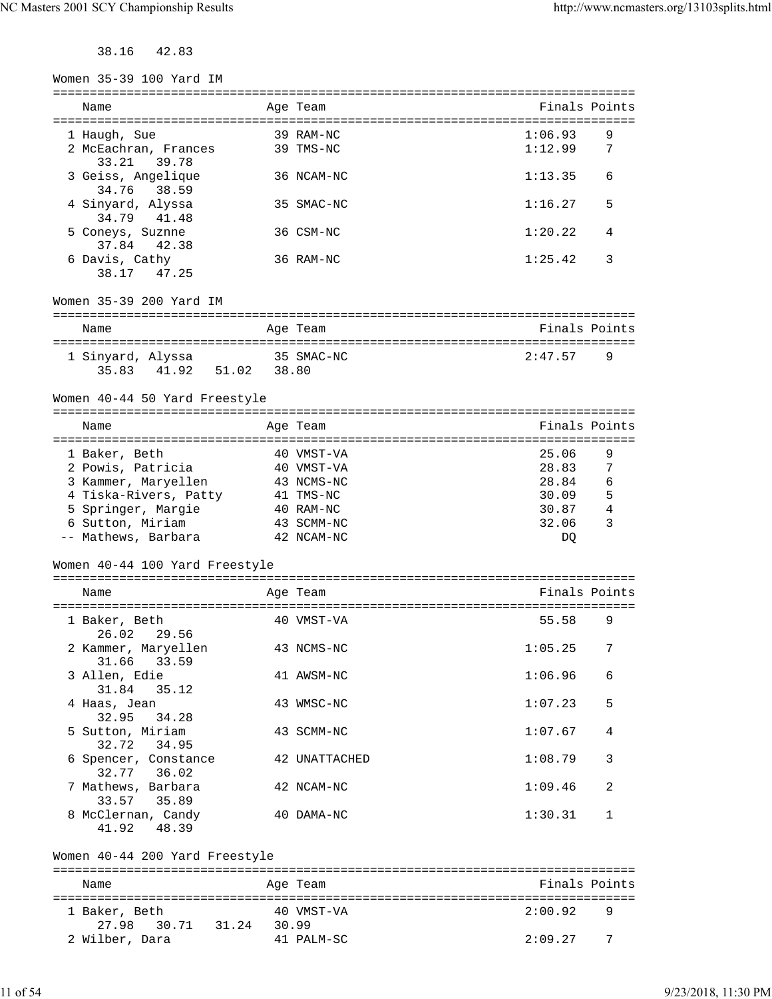38.16 42.83

| Women 35-39 100 Yard IM                                 |                      |                                                       |
|---------------------------------------------------------|----------------------|-------------------------------------------------------|
| Name                                                    | -------<br>Age Team  | Finals Points                                         |
| 1 Haugh, Sue                                            | 39 RAM-NC            | 1:06.93<br>9                                          |
| 2 McEachran, Frances<br>39.78<br>33.21                  | 39 TMS-NC            | 1:12.99<br>7                                          |
| 3 Geiss, Angelique<br>34.76<br>38.59                    | 36 NCAM-NC           | 1:13.35<br>6                                          |
| 4 Sinyard, Alyssa<br>34.79<br>41.48                     | 35 SMAC-NC           | 1:16.27<br>5                                          |
| 5 Coneys, Suznne<br>37.84<br>42.38                      | 36 CSM-NC            | 1:20.22<br>4                                          |
| 6 Davis, Cathy<br>47.25<br>38.17                        | 36 RAM-NC            | 1:25.42<br>3                                          |
| Women 35-39 200 Yard IM                                 |                      |                                                       |
| Name                                                    | Age Team             | Finals Points                                         |
| 1 Sinyard, Alyssa<br>35.83 41.92<br>51.02               | 35 SMAC-NC<br>38.80  | 2:47.57<br>9                                          |
| Women 40-44 50 Yard Freestyle                           |                      |                                                       |
| Name                                                    | Age Team             | Finals Points                                         |
| ======================================<br>1 Baker, Beth | 40 VMST-VA           | =======================<br>25.06<br>9                 |
| 2 Powis, Patricia                                       | 40 VMST-VA           | 7<br>28.83                                            |
| 3 Kammer, Maryellen                                     | 43 NCMS-NC           | 6<br>28.84                                            |
| 4 Tiska-Rivers, Patty                                   | 41 TMS-NC            | 5<br>30.09                                            |
| 5 Springer, Margie                                      | 40 RAM-NC            | 30.87<br>4                                            |
| 6 Sutton, Miriam                                        | 43 SCMM-NC           | 32.06<br>3                                            |
| -- Mathews, Barbara                                     | 42 NCAM-NC           | DQ                                                    |
| Women 40-44 100 Yard Freestyle                          |                      |                                                       |
| Name                                                    | Age Team             | Finals Points<br>==================================== |
| 1 Baker, Beth<br>29.56<br>26.02                         | 40 VMST-VA           | 55.58<br>9                                            |
| 2 Kammer, Maryellen<br>33.59<br>31.66                   | 43 NCMS-NC           | 1:05.25<br>7                                          |
| 3 Allen, Edie<br>35.12<br>31.84                         | 41 AWSM-NC           | 1:06.96<br>6                                          |
| 4 Haas, Jean<br>32.95<br>34.28                          | 43 WMSC-NC           | 1:07.23<br>5                                          |
| 5 Sutton, Miriam<br>32.72 34.95                         | 43 SCMM-NC           | 1:07.67<br>4                                          |
| 6 Spencer, Constance<br>32.77 36.02                     | <b>42 UNATTACHED</b> | 1:08.79<br>3                                          |
| 7 Mathews, Barbara<br>33.57 35.89                       | 42 NCAM-NC           | 1:09.46<br>2                                          |
| 8 McClernan, Candy<br>48.39<br>41.92                    | 40 DAMA-NC           | 1:30.31<br>1                                          |
| Women 40-44 200 Yard Freestyle                          |                      |                                                       |
| Name                                                    | Age Team             | Finals Points                                         |
| 1 Baker, Beth                                           | 40 VMST-VA           | 2:00.92<br>9                                          |
| 27.98<br>30.71 31.24 30.99                              |                      |                                                       |
| 2 Wilber, Dara                                          | 41 PALM-SC           | 2:09.27<br>7                                          |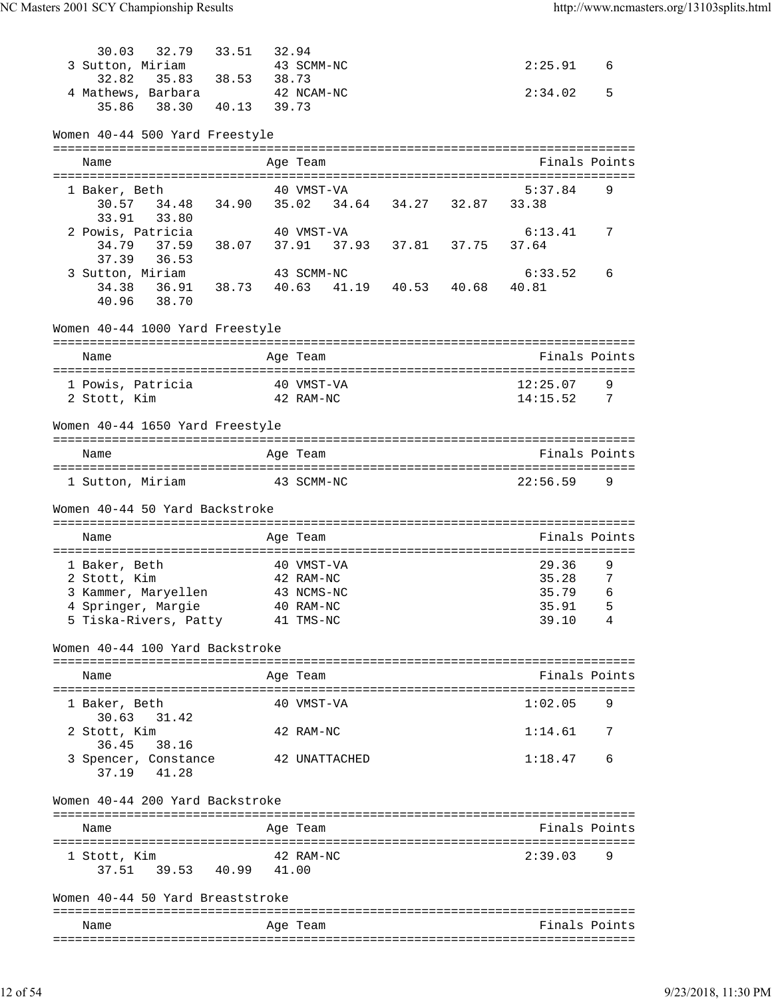| 30.03                  | 32.79 33.51                                     | 32.94 |               |  |               |                     |
|------------------------|-------------------------------------------------|-------|---------------|--|---------------|---------------------|
|                        | 3 Sutton, Miriam<br>32.82 35.83 38.53           |       | 43 SCMM-NC    |  | 2:25.91       | 6                   |
|                        |                                                 | 38.73 |               |  |               |                     |
|                        | 4 Mathews, Barbara 42 NCAM-NC                   |       |               |  | 2:34.02       | 5                   |
|                        | 35.86 38.30 40.13 39.73                         |       |               |  |               |                     |
|                        | Women 40-44 500 Yard Freestyle                  |       |               |  |               |                     |
|                        |                                                 |       |               |  |               |                     |
| Name                   |                                                 |       | Age Team      |  | Finals Points |                     |
| 1 Baker, Beth          |                                                 |       | 40 VMST-VA    |  | 5:37.84       | 9                   |
| 30.57                  | 34.48  34.90  35.02  34.64  34.27  32.87  33.38 |       |               |  |               |                     |
| 33.91                  | 33.80                                           |       |               |  |               |                     |
|                        | 2 Powis, Patricia                               |       | 40 VMST-VA    |  | 6:13.41       | 7                   |
|                        |                                                 |       |               |  | 37.64         |                     |
|                        | 37.39 36.53                                     |       |               |  |               |                     |
|                        | 3 Sutton, Miriam                                |       | 43 SCMM-NC    |  | 6:33.52       | 6                   |
|                        | 34.38  36.91  38.73  40.63  41.19  40.53  40.68 |       |               |  | 40.81         |                     |
|                        | 40.96 38.70                                     |       |               |  |               |                     |
|                        | Women 40-44 1000 Yard Freestyle                 |       |               |  |               |                     |
|                        |                                                 |       |               |  |               |                     |
| Name                   |                                                 |       | Age Team      |  | Finals Points |                     |
|                        | 1 Powis, Patricia                               |       | 40 VMST-VA    |  | 12:25.07      | 9                   |
| 2 Stott, Kim           |                                                 |       | 42 RAM-NC     |  | 14:15.52 7    |                     |
|                        |                                                 |       |               |  |               |                     |
|                        | Women 40-44 1650 Yard Freestyle                 |       |               |  |               |                     |
| Name                   |                                                 |       | Age Team      |  | Finals Points |                     |
|                        |                                                 |       |               |  |               |                     |
|                        | 1 Sutton, Miriam 43 SCMM-NC                     |       |               |  | 22:56.59      | 9                   |
|                        |                                                 |       |               |  |               |                     |
|                        | Women 40-44 50 Yard Backstroke                  |       |               |  |               |                     |
|                        |                                                 |       |               |  |               |                     |
| Name                   |                                                 |       | Age Team      |  | Finals Points |                     |
|                        |                                                 |       |               |  |               |                     |
| 1 Baker, Beth          |                                                 |       | 40 VMST-VA    |  | 29.36         | 9                   |
| 2 Stott, Kim           |                                                 |       | 42 RAM-NC     |  | 35.28         | 7                   |
|                        | 3 Kammer, Maryellen                             |       | 43 NCMS-NC    |  | 35.79         | 6                   |
|                        | 4 Springer, Margie 40 RAM-NC                    |       |               |  | 35.91         | 5<br>$\overline{4}$ |
|                        | 5 Tiska-Rivers, Patty 41 TMS-NC                 |       |               |  | 39.10         |                     |
|                        | Women 40-44 100 Yard Backstroke                 |       |               |  |               |                     |
| Name                   |                                                 |       | Age Team      |  | Finals Points |                     |
|                        |                                                 |       |               |  |               |                     |
| 1 Baker, Beth<br>30.63 | 31.42                                           |       | 40 VMST-VA    |  | 1:02.05       | 9                   |
| 2 Stott, Kim<br>36.45  | 38.16                                           |       | 42 RAM-NC     |  | 1:14.61       | 7                   |
|                        | 3 Spencer, Constance<br>37.19 41.28             |       | 42 UNATTACHED |  | 1:18.47       | 6                   |
|                        | Women 40-44 200 Yard Backstroke                 |       |               |  |               |                     |
| Name                   |                                                 |       | Age Team      |  | Finals Points |                     |
|                        |                                                 |       |               |  |               |                     |
| 1 Stott, Kim           |                                                 |       | 42 RAM-NC     |  | 2:39.03       | 9                   |
| 37.51                  | 39.53 40.99 41.00                               |       |               |  |               |                     |
|                        | Women 40-44 50 Yard Breaststroke                |       |               |  |               |                     |
| Name                   |                                                 |       | Age Team      |  | Finals Points |                     |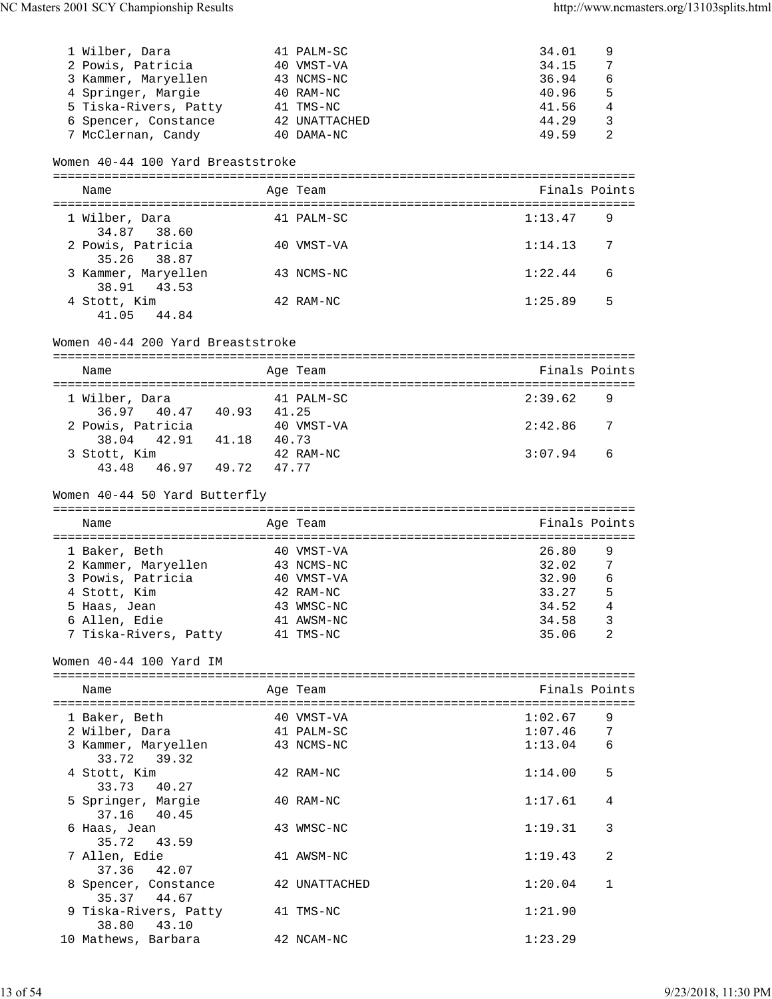| 1 Wilber, Dara                    | 41 PALM-SC    | 34.01         | 9 |
|-----------------------------------|---------------|---------------|---|
| 2 Powis, Patricia                 | 40 VMST-VA    | 34.15         | 7 |
| 3 Kammer, Maryellen               | 43 NCMS-NC    | 36.94         | 6 |
| 4 Springer, Margie                | 40 RAM-NC     | 40.96         | 5 |
| 5 Tiska-Rivers, Patty             | 41 TMS-NC     | 41.56         | 4 |
| 6 Spencer, Constance              | 42 UNATTACHED | 44.29         | 3 |
| 7 McClernan, Candy                | 40 DAMA-NC    | 49.59         | 2 |
| Women 40-44 100 Yard Breaststroke |               |               |   |
| Name                              | Age Team      | Finals Points |   |
| 1 Wilber, Dara                    | PALM-SC       | 1:13.47       | 9 |

| 34.87 38.60         |            |                           |
|---------------------|------------|---------------------------|
| 2 Powis, Patricia   | 40 VMST-VA | 1:14.13<br>$\overline{7}$ |
| 35.26 38.87         |            |                           |
| 3 Kammer, Maryellen | 43 NCMS-NC | 1:22.44<br>-6             |
| 38.91 43.53         |            |                           |
| 4 Stott, Kim        | 42 RAM-NC  | 1:25.89<br>$5^{\circ}$    |
| 41.05<br>44.84      |            |                           |

# Women 40-44 200 Yard Breaststroke

| Name              |       | Age Team   | Finals Points         |    |
|-------------------|-------|------------|-----------------------|----|
|                   |       |            |                       |    |
| 1 Wilber, Dara    |       | 41 PALM-SC | 2:39.62               | -9 |
| 36.97 40.47       | 40.93 | 41.25      |                       |    |
| 2 Powis, Patricia |       | 40 VMST-VA | 2:42.86<br>$\sqrt{7}$ |    |
| 38.04 42.91       | 41.18 | 40.73      |                       |    |
| 3 Stott, Kim      |       | 42 RAM-NC  | 3:07.94               | 6  |
| 43.48<br>46.97    | 49.72 | 47.77      |                       |    |

# Women 40-44 50 Yard Butterfly

| Name          |                       | Age Team   | Finals Points |   |
|---------------|-----------------------|------------|---------------|---|
| 1 Baker, Beth |                       | 40 VMST-VA | 26.80         | 9 |
|               | 2 Kammer, Maryellen   | 43 NCMS-NC | 32.02         | 7 |
|               | 3 Powis, Patricia     | 40 VMST-VA | 32.90         | 6 |
| 4 Stott, Kim  |                       | 42 RAM-NC  | 33.27         | 5 |
| 5 Haas, Jean  |                       | 43 WMSC-NC | 34.52         | 4 |
| 6 Allen, Edie |                       | 41 AWSM-NC | 34.58         | 3 |
|               | 7 Tiska-Rivers, Patty | 41 TMS-NC  | 35.06         | 2 |

## Women 40-44 100 Yard IM

|   | Name                  | Age Team      | Finals Points |                |
|---|-----------------------|---------------|---------------|----------------|
|   | 1 Baker, Beth         | 40 VMST-VA    | 1:02.67       | 9              |
|   | 2 Wilber, Dara        | 41 PALM-SC    | 1:07.46       | $\overline{7}$ |
|   | 3 Kammer, Maryellen   | 43 NCMS-NC    | 1:13.04       | 6              |
|   | 33.72 39.32           |               |               |                |
|   | 4 Stott, Kim          | 42 RAM-NC     | 1:14.00       | 5              |
|   | 33.73 40.27           |               |               |                |
|   | 5 Springer, Margie    | 40 RAM-NC     | 1:17.61       | 4              |
|   | 37.16 40.45           |               |               |                |
|   | 6 Haas, Jean          | 43 WMSC-NC    | 1:19.31       | 3              |
|   | 35.72 43.59           |               |               |                |
|   | 7 Allen, Edie         | 41 AWSM-NC    | 1:19.43       | 2              |
|   | 37.36 42.07           |               |               |                |
| 8 | Spencer, Constance    | 42 UNATTACHED | 1:20.04       | $\mathbf{1}$   |
|   | 35.37 44.67           |               |               |                |
|   | 9 Tiska-Rivers, Patty | 41 TMS-NC     | 1:21.90       |                |
|   | 43.10<br>38.80        |               |               |                |
|   | 10 Mathews, Barbara   | 42 NCAM-NC    | 1:23.29       |                |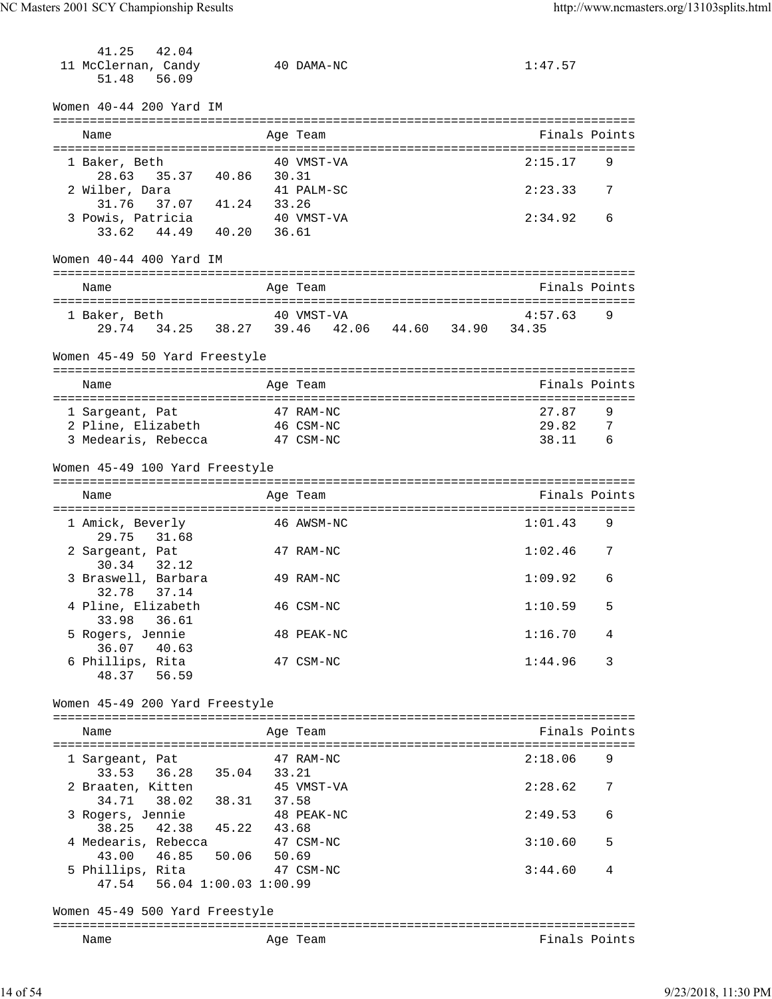| 41.25<br>42.04                 |                                                 |                          |     |
|--------------------------------|-------------------------------------------------|--------------------------|-----|
| 11 McClernan, Candy            | 40 DAMA-NC                                      | 1:47.57                  |     |
| 51.48<br>56.09                 |                                                 |                          |     |
|                                |                                                 |                          |     |
| Women 40-44 200 Yard IM        |                                                 |                          |     |
|                                |                                                 |                          |     |
| Name                           | Age Team                                        | Finals Points            |     |
|                                |                                                 |                          |     |
| 1 Baker, Beth                  | 40 VMST-VA                                      | 2:15.17                  | 9   |
| 28.63<br>35.37 40.86 30.31     |                                                 |                          |     |
| 2 Wilber, Dara                 | 41 PALM-SC                                      | 2:23.33                  | 7   |
| 37.07 41.24 33.26<br>31.76     |                                                 |                          |     |
| 3 Powis, Patricia              | 40 VMST-VA                                      | 2:34.92                  | 6   |
| 33.62 44.49 40.20 36.61        |                                                 |                          |     |
|                                |                                                 |                          |     |
| Women 40-44 400 Yard IM        |                                                 |                          |     |
|                                |                                                 |                          |     |
| Name                           | Age Team                                        | Finals Points            |     |
|                                |                                                 |                          |     |
| 1 Baker, Beth                  | 40 VMST-VA                                      | 4:57.63                  | 9   |
|                                | 29.74 34.25 38.27 39.46 42.06 44.60 34.90 34.35 |                          |     |
|                                |                                                 |                          |     |
| Women 45-49 50 Yard Freestyle  |                                                 |                          |     |
| Name                           | Age Team                                        | Finals Points            |     |
|                                |                                                 |                          |     |
| 1 Sargeant, Pat                | 47 RAM-NC                                       | 27.87                    | 9   |
| 2 Pline, Elizabeth             | 46 CSM-NC                                       | 29.82                    | - 7 |
| 3 Medearis, Rebecca            | 47 CSM-NC                                       | $6\overline{6}$<br>38.11 |     |
|                                |                                                 |                          |     |
| Women 45-49 100 Yard Freestyle |                                                 |                          |     |
|                                |                                                 |                          |     |
| Name                           | Age Team                                        | Finals Points            |     |
|                                |                                                 |                          |     |
| 1 Amick, Beverly               | 46 AWSM-NC                                      | 1:01.43                  | 9   |
| 31.68<br>29.75                 |                                                 |                          |     |
| 2 Sargeant, Pat                | 47 RAM-NC                                       | 1:02.46                  | 7   |
| 32.12<br>30.34                 |                                                 |                          |     |
| 3 Braswell, Barbara            | 49 RAM-NC                                       | 1:09.92                  | 6   |
| 32.78 37.14                    |                                                 |                          |     |
| 4 Pline, Elizabeth             | 46 CSM-NC                                       | 1:10.59                  | 5   |
| 33.98 36.61                    |                                                 |                          |     |
| 5 Rogers, Jennie               | 48 PEAK-NC                                      | 1:16.70                  | 4   |
| 36.07<br>40.63                 |                                                 |                          |     |
| 6 Phillips, Rita               | 47 CSM-NC                                       | 1:44.96                  | 3   |
| 48.37 56.59                    |                                                 |                          |     |
|                                |                                                 |                          |     |
| Women 45-49 200 Yard Freestyle |                                                 |                          |     |
|                                |                                                 |                          |     |
| Name                           | Age Team                                        | Finals Points            |     |
|                                |                                                 |                          |     |
| 1 Sargeant, Pat                | 47 RAM-NC                                       | 2:18.06                  | 9   |
| 33.53 36.28 35.04 33.21        |                                                 |                          |     |
| 2 Braaten, Kitten              | 45 VMST-VA                                      | 2:28.62                  | 7   |
| 34.71 38.02 38.31 37.58        |                                                 |                          |     |
| 3 Rogers, Jennie               | 48 PEAK-NC                                      | 2:49.53                  | 6   |
| 38.25 42.38 45.22 43.68        |                                                 |                          |     |
| 4 Medearis, Rebecca            | 47 CSM-NC                                       | 3:10.60                  | 5   |
| 43.00  46.85  50.06  50.69     |                                                 |                          |     |
| 5 Phillips, Rita               | 47 CSM-NC                                       | 3:44.60                  | 4   |
| 47.54 56.04 1:00.03 1:00.99    |                                                 |                          |     |
|                                |                                                 |                          |     |
| Women 45-49 500 Yard Freestyle |                                                 |                          |     |
|                                |                                                 |                          |     |
| Name                           | Age Team                                        | Finals Points            |     |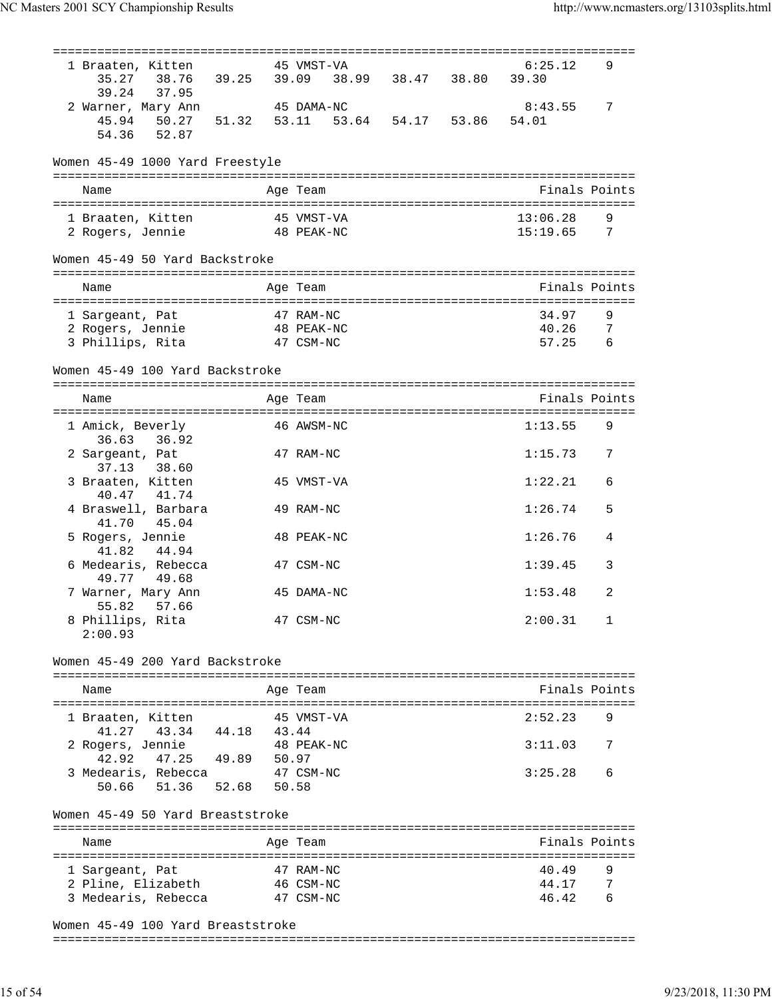| 1 Braaten, Kitten                                              |       | 45 VMST-VA             |  | 6:25.12              | 9               |
|----------------------------------------------------------------|-------|------------------------|--|----------------------|-----------------|
| 38.76 39.25 39.09 38.99 38.47 38.80<br>35.27<br>39.24<br>37.95 |       |                        |  | 39.30                |                 |
| 2 Warner, Mary Ann                                             |       | 45 DAMA-NC             |  | 8:43.55              | 7               |
| 45.94 50.27 51.32 53.11 53.64 54.17 53.86                      |       |                        |  | 54.01                |                 |
| 52.87<br>54.36                                                 |       |                        |  |                      |                 |
| Women 45-49 1000 Yard Freestyle                                |       |                        |  |                      |                 |
| Name                                                           |       | Age Team               |  | Finals Points        |                 |
|                                                                |       |                        |  |                      |                 |
| 1 Braaten, Kitten<br>48 PEAK-NC<br>2 Rogers, Jennie            |       | 45 VMST-VA             |  | 13:06.28<br>15:19.65 | 9<br>-7         |
|                                                                |       |                        |  |                      |                 |
| Women 45-49 50 Yard Backstroke                                 |       |                        |  |                      |                 |
| Name                                                           |       | Age Team               |  | Finals Points        |                 |
| 1 Sargeant, Pat                                                |       | 47 RAM-NC              |  | 34.97                | 9               |
| 2 Rogers, Jennie<br>48 PEAK-NC                                 |       |                        |  | 40.26                | 7               |
| 3 Phillips, Rita                                               |       | 47 CSM-NC              |  | 57.25                | $6\overline{6}$ |
| Women 45-49 100 Yard Backstroke                                |       |                        |  |                      |                 |
| Name                                                           |       | Age Team               |  | Finals Points        |                 |
| 1 Amick, Beverly                                               |       | 46 AWSM-NC             |  | 1:13.55              | 9               |
| 36.63<br>36.92                                                 |       |                        |  |                      |                 |
| 2 Sargeant, Pat<br>37.13<br>38.60                              |       | 47 RAM-NC              |  | 1:15.73              | 7               |
| 3 Braaten, Kitten                                              |       | 45 VMST-VA             |  | 1:22.21              | 6               |
| 40.47<br>41.74<br>4 Braswell, Barbara                          |       | 49 RAM-NC              |  | 1:26.74              | 5               |
| 41.70<br>45.04                                                 |       |                        |  |                      |                 |
| 5 Rogers, Jennie                                               |       | 48 PEAK-NC             |  | 1:26.76              | 4               |
| 41.82<br>44.94<br>6 Medearis, Rebecca                          |       | 47 CSM-NC              |  | 1:39.45              | 3               |
| 49.68<br>49.77                                                 |       | 45 DAMA-NC             |  | 1:53.48              | 2               |
| 7 Warner, Mary Ann<br>55.82<br>57.66                           |       |                        |  |                      |                 |
| 8 Phillips, Rita                                               |       | 47 CSM-NC              |  | 2:00.31              | 1               |
| 2:00.93                                                        |       |                        |  |                      |                 |
| Women 45-49 200 Yard Backstroke                                |       |                        |  |                      |                 |
| Name                                                           |       | Age Team               |  | Finals Points        |                 |
|                                                                |       |                        |  |                      |                 |
| 1 Braaten, Kitten                                              |       | 45 VMST-VA             |  | 2:52.23              | 9               |
| 41.27 43.34 44.18 43.44<br>2 Rogers, Jennie                    |       | 48 PEAK-NC             |  | 3:11.03              | 7               |
| 42.92<br>47.25 49.89 50.97                                     |       |                        |  |                      |                 |
| 3 Medearis, Rebecca                                            |       | 47 CSM-NC              |  | 3:25.28              | 6               |
| 52.68<br>50.66<br>51.36                                        | 50.58 |                        |  |                      |                 |
| Women 45-49 50 Yard Breaststroke                               |       |                        |  |                      |                 |
| Name                                                           |       | Age Team               |  | Finals Points        |                 |
|                                                                |       |                        |  |                      |                 |
| 1 Sargeant, Pat<br>2 Pline, Elizabeth                          |       | 47 RAM-NC<br>46 CSM-NC |  | 40.49<br>44.17       | 9<br>7          |
| 3 Medearis, Rebecca                                            |       | 47 CSM-NC              |  | 46.42                | 6               |
|                                                                |       |                        |  |                      |                 |
| Women 45-49 100 Yard Breaststroke                              |       |                        |  |                      |                 |

===============================================================================

15 of 54 9/23/2018, 11:30 PM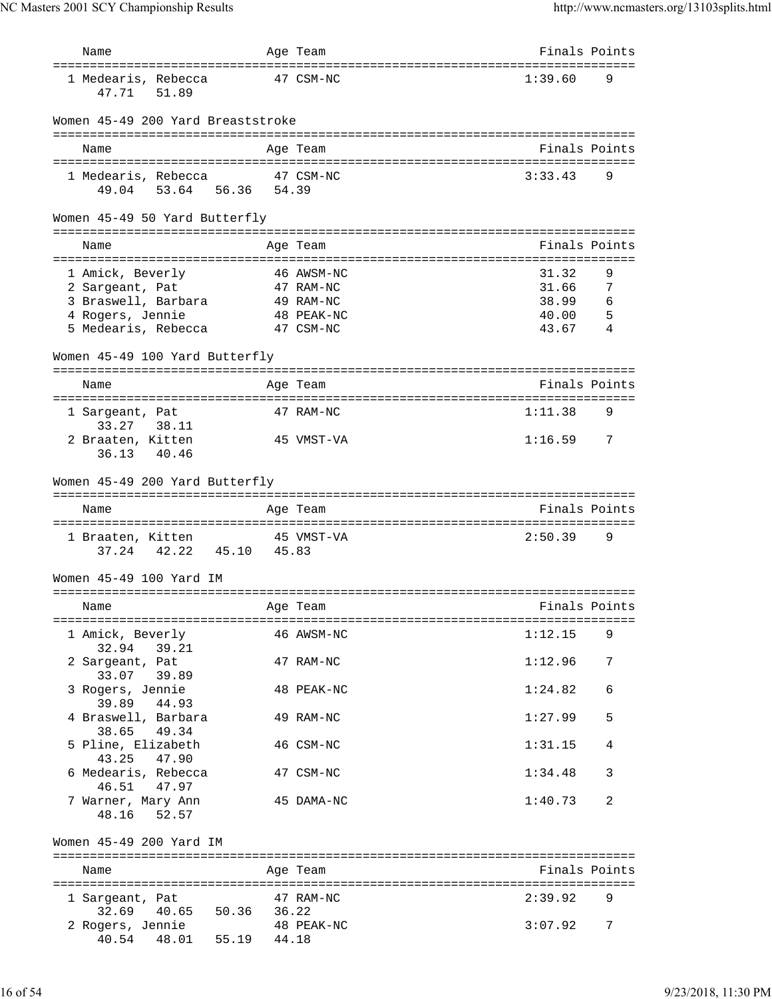| Name                                                         |       | Age Team                                          | Finals Points  |            |
|--------------------------------------------------------------|-------|---------------------------------------------------|----------------|------------|
| =====================================<br>1 Medearis, Rebecca |       | :===================================<br>47 CSM-NC | 1:39.60        | 9          |
| 47.71<br>51.89                                               |       |                                                   |                |            |
| Women 45-49 200 Yard Breaststroke                            |       |                                                   |                |            |
| Name                                                         |       | Age Team                                          | Finals Points  |            |
| 1 Medearis, Rebecca                                          |       | 47 CSM-NC                                         | 3:33.43        | 9          |
| 49.04 53.64 56.36 54.39                                      |       |                                                   |                |            |
| Women 45-49 50 Yard Butterfly                                |       |                                                   |                |            |
| Name                                                         |       | Age Team                                          | Finals Points  |            |
|                                                              |       |                                                   |                |            |
| 1 Amick, Beverly<br>2 Sargeant, Pat                          |       | 46 AWSM-NC<br>47 RAM-NC                           | 31.32<br>31.66 | 9<br>7     |
| 3 Braswell, Barbara                                          |       | 49 RAM-NC                                         | 38.99          | $\epsilon$ |
| 4 Rogers, Jennie                                             |       | 48 PEAK-NC                                        | 40.00          | 5          |
| 5 Medearis, Rebecca                                          |       | 47 CSM-NC                                         | 43.67          | 4          |
| Women 45-49 100 Yard Butterfly                               |       |                                                   |                |            |
| Name                                                         |       | Age Team                                          | Finals Points  |            |
|                                                              |       |                                                   |                |            |
| 1 Sargeant, Pat<br>33.27<br>38.11                            |       | 47 RAM-NC                                         | 1:11.38        | 9          |
| 2 Braaten, Kitten                                            |       | 45 VMST-VA                                        | 1:16.59        | 7          |
| 36.13<br>40.46                                               |       |                                                   |                |            |
| Women 45-49 200 Yard Butterfly                               |       |                                                   |                |            |
| Name                                                         |       | Age Team                                          | Finals Points  |            |
|                                                              |       |                                                   |                |            |
| 1 Braaten, Kitten                                            |       | 45 VMST-VA                                        | 2:50.39        | 9          |
| 42.22 45.10<br>37.24                                         | 45.83 |                                                   |                |            |
| Women 45-49 100 Yard IM                                      |       |                                                   |                |            |
|                                                              |       |                                                   |                |            |
| Name                                                         |       | Age Team                                          | Finals Points  |            |
| 1 Amick, Beverly                                             |       | 46 AWSM-NC                                        | 1:12.15        | 9          |
| 32.94 39.21                                                  |       |                                                   |                |            |
| 2 Sargeant, Pat                                              |       | 47 RAM-NC                                         | 1:12.96        | 7          |
| 33.07 39.89<br>3 Rogers, Jennie                              |       | 48 PEAK-NC                                        | 1:24.82        | 6          |
| 39.89 44.93                                                  |       |                                                   |                |            |
| 4 Braswell, Barbara<br>38.65 49.34                           |       | 49 RAM-NC                                         | 1:27.99        | 5          |
| 5 Pline, Elizabeth                                           |       | 46 CSM-NC                                         | 1:31.15        | 4          |
| 43.25 47.90                                                  |       | 47 CSM-NC                                         | 1:34.48        | 3          |
| 6 Medearis, Rebecca<br>46.51 47.97                           |       |                                                   |                |            |
| 7 Warner, Mary Ann                                           |       | 45 DAMA-NC                                        | 1:40.73        | 2          |
| 48.16 52.57                                                  |       |                                                   |                |            |
| Women 45-49 200 Yard IM                                      |       |                                                   |                |            |
|                                                              |       |                                                   |                |            |
| Name                                                         |       | Age Team                                          | Finals Points  |            |
| 1 Sargeant, Pat                                              |       | 47 RAM-NC                                         | 2:39.92 9      |            |
| 32.69 40.65 50.36 36.22                                      |       |                                                   |                |            |
| 2 Rogers, Jennie<br>40.54  48.01  55.19  44.18               |       | 48 PEAK-NC                                        | 3:07.92        | 7          |
|                                                              |       |                                                   |                |            |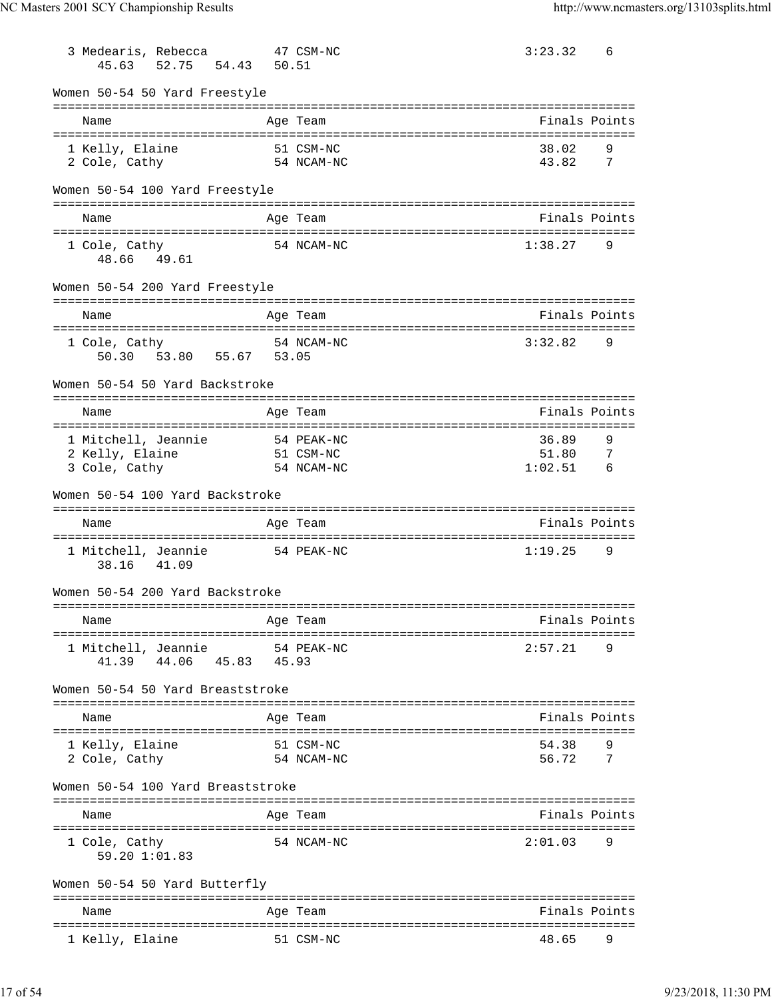| 45.63                             | 3 Medearis, Rebecca<br>52.75 | 54.43<br>50.51          | 47 CSM-NC  | 3:23.32<br>6                 |
|-----------------------------------|------------------------------|-------------------------|------------|------------------------------|
| Women 50-54 50 Yard Freestyle     |                              |                         |            |                              |
| Name                              |                              |                         | Age Team   | Finals Points                |
|                                   |                              |                         |            |                              |
| 1 Kelly, Elaine                   |                              |                         | 51 CSM-NC  | 38.02<br>9                   |
| 2 Cole, Cathy                     |                              | 54 NCAM-NC              |            | 43.82<br>7                   |
| Women 50-54 100 Yard Freestyle    |                              |                         |            |                              |
| Name                              |                              |                         | Age Team   | Finals Points                |
| 1 Cole, Cathy<br>48.66 49.61      |                              |                         | 54 NCAM-NC | 1:38.27<br>9                 |
| Women 50-54 200 Yard Freestyle    |                              |                         |            |                              |
| Name                              |                              |                         | Age Team   | Finals Points                |
| 1 Cole, Cathy                     |                              |                         | 54 NCAM-NC | 3:32.82<br>9                 |
|                                   |                              | 50.30 53.80 55.67 53.05 |            |                              |
| Women 50-54 50 Yard Backstroke    |                              |                         |            |                              |
| Name                              |                              |                         | Age Team   | Finals Points                |
|                                   |                              |                         |            | ============================ |
| 1 Mitchell, Jeannie               |                              |                         | 54 PEAK-NC | 36.89<br>9                   |
| 2 Kelly, Elaine                   |                              |                         | 51 CSM-NC  | 51.80<br>7                   |
| 3 Cole, Cathy                     |                              |                         | 54 NCAM-NC | 1:02.51<br>- 6               |
| Women 50-54 100 Yard Backstroke   |                              |                         |            |                              |
| Name                              |                              |                         | Age Team   | Finals Points                |
|                                   |                              |                         |            |                              |
|                                   |                              |                         |            |                              |
| 1 Mitchell, Jeannie<br>38.16      | 41.09                        |                         | 54 PEAK-NC | 1:19.25<br>9                 |
| Women 50-54 200 Yard Backstroke   |                              |                         |            |                              |
| Name                              |                              |                         | Age Team   | Finals Points                |
| =========================         |                              |                         |            |                              |
| 1 Mitchell, Jeannie               |                              |                         | 54 PEAK-NC | 2:57.21<br>9                 |
| 41.39                             | 44.06                        | 45.83<br>45.93          |            |                              |
| Women 50-54 50 Yard Breaststroke  |                              |                         |            |                              |
| Name                              |                              |                         | Age Team   | Finals Points                |
|                                   |                              |                         |            |                              |
| 1 Kelly, Elaine                   |                              |                         | 51 CSM-NC  | 54.38<br>9                   |
| 2 Cole, Cathy                     |                              |                         | 54 NCAM-NC | 56.72<br>7                   |
| Women 50-54 100 Yard Breaststroke |                              |                         |            |                              |
| Name                              |                              |                         | Age Team   | Finals Points                |
|                                   |                              |                         |            |                              |
| 1 Cole, Cathy<br>59.20 1:01.83    |                              |                         | 54 NCAM-NC | 2:01.03<br>9                 |
| Women 50-54 50 Yard Butterfly     |                              |                         |            |                              |
| Name                              |                              |                         | Age Team   | Finals Points                |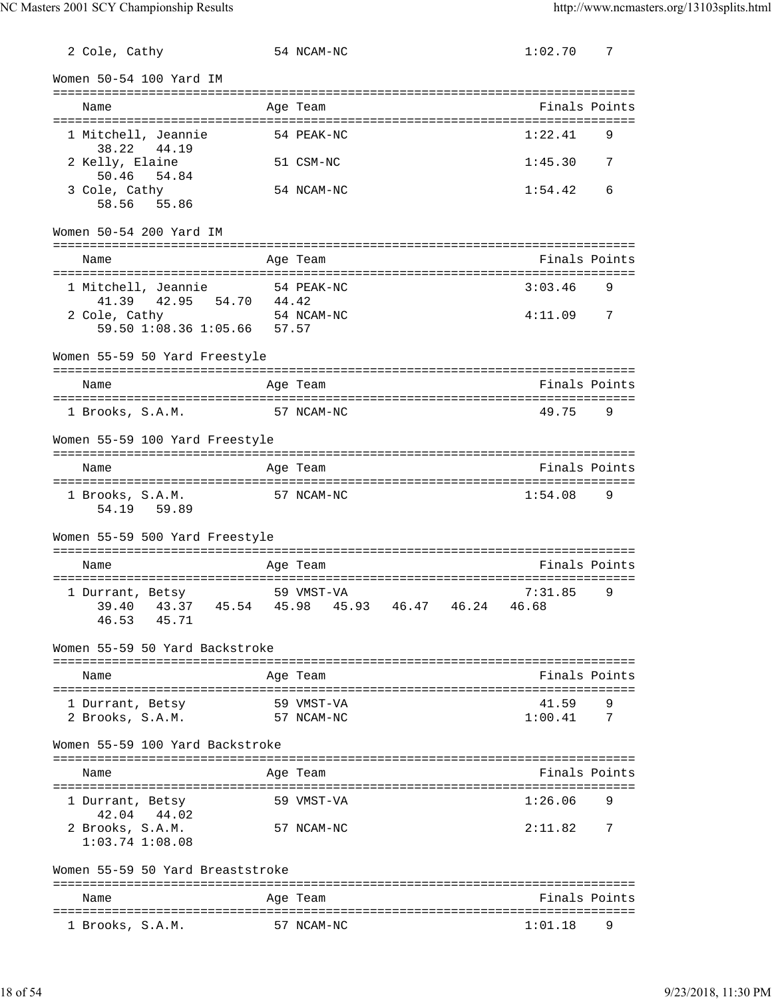2 Cole, Cathy 54 NCAM-NC 1:02.70 7 Women 50-54 100 Yard IM =============================================================================== Name **Age Team** Age Team **Finals Points** =============================================================================== 1 Mitchell, Jeannie 54 PEAK-NC 1:22.41 38.22 44.19 2 Kelly, Elaine 51 CSM-NC 1:45.30 7 50.46 54.84 3 Cole, Cathy 54 NCAM-NC 1:54.42 6 58.56 55.86 Women 50-54 200 Yard IM =============================================================================== Name Age Team Age Team Finals Points =============================================================================== 1 Mitchell, Jeannie 54 PEAK-NC 3:03.46 9 41.39 42.95 54.70 44.42 2 Cole, Cathy 54 NCAM-NC 4:11.09 7 59.50 1:08.36 1:05.66 57.57 Women 55-59 50 Yard Freestyle =============================================================================== Name Age Team Age Team Finals Points =============================================================================== 1 Brooks, S.A.M. 57 NCAM-NC 49.75 Women 55-59 100 Yard Freestyle =============================================================================== Name Age Team Finals Points =============================================================================== 1 Brooks, S.A.M. 57 NCAM-NC 1:54.08 9 54.19 59.89 Women 55-59 500 Yard Freestyle =============================================================================== Name **Age Team** Age Team **Finals Points** =============================================================================== 1 Durrant, Betsy 59 VMST-VA 7:31.85 9 39.40 43.37 45.54 45.98 45.93 46.47 46.24 46.68 46.53 45.71 Women 55-59 50 Yard Backstroke =============================================================================== Name Age Team Age Team Finals Points =============================================================================== 1 Durrant, Betsy 59 VMST-VA 1 2 Brooks, S.A.M. 57 NCAM-NC 1:00.41 7 2 Brooks, S.A.M. 57 NCAM-NC Women 55-59 100 Yard Backstroke =============================================================================== Name Age Team Finals Points =============================================================================== 1 Durrant, Betsy 59 VMST-VA 1:26.06 42.04 44.02 2 Brooks, S.A.M. 57 NCAM-NC 2:11.82 7 1:03.74 1:08.08 Women 55-59 50 Yard Breaststroke =============================================================================== Name **Age Team Age Team** Rinals Points =============================================================================== 1 Brooks, S.A.M. 57 NCAM-NC 1:01.18 9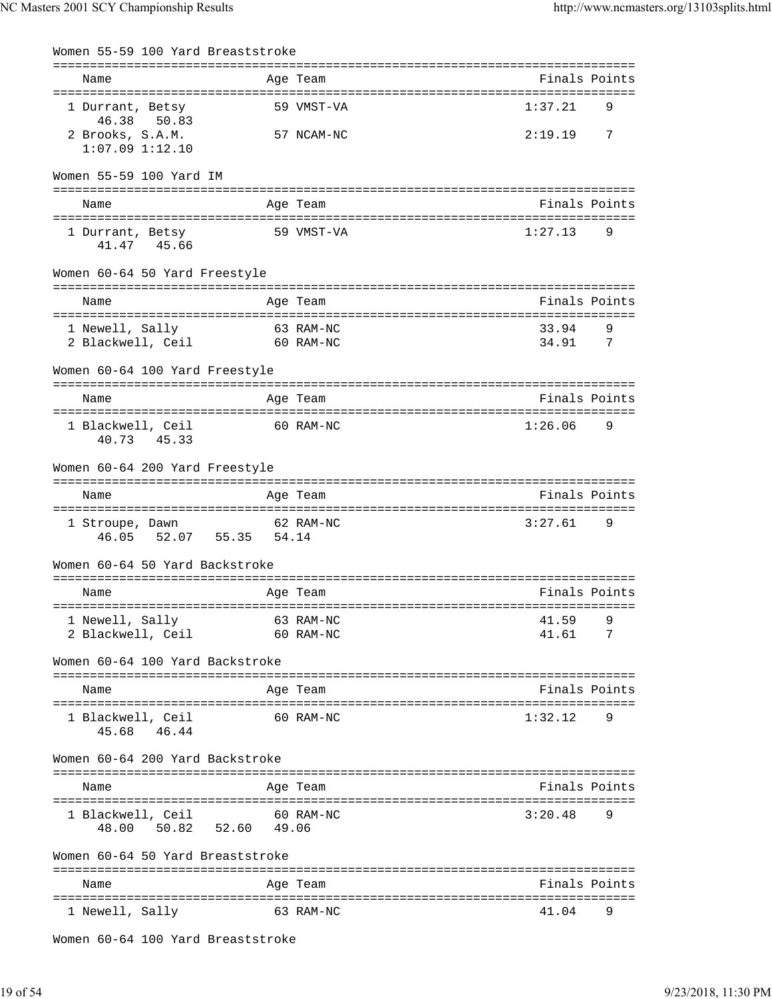| Women 55-59 100 Yard Breaststroke              |       |                        |                |          |
|------------------------------------------------|-------|------------------------|----------------|----------|
| Name                                           |       | Age Team               | Finals Points  |          |
| 1 Durrant, Betsy<br>46.38<br>50.83             |       | 59 VMST-VA             | 1:37.21        | 9        |
| 2 Brooks, S.A.M.<br>$1:07.09$ $1:12.10$        |       | 57 NCAM-NC             | 2:19.19        | 7        |
| Women 55-59 100 Yard IM                        |       |                        |                |          |
| Name                                           |       | Age Team               | Finals Points  |          |
| 1 Durrant, Betsy<br>41.47 45.66                |       | 59 VMST-VA             | 1:27.13        | 9        |
| Women 60-64 50 Yard Freestyle                  |       |                        |                |          |
| Name                                           |       | Age Team               | Finals Points  |          |
| 1 Newell, Sally<br>2 Blackwell, Ceil 60 RAM-NC |       | 63 RAM-NC              | 33.94<br>34.91 | 9<br>- 7 |
| Women 60-64 100 Yard Freestyle                 |       |                        |                |          |
| Name                                           |       | Age Team               | Finals Points  |          |
| 1 Blackwell, Ceil<br>45.33<br>40.73            |       | 60 RAM-NC              | 1:26.06        | 9        |
| Women 60-64 200 Yard Freestyle                 |       |                        |                |          |
| Name                                           |       | Age Team               | Finals Points  |          |
| 1 Stroupe, Dawn<br>46.05 52.07 55.35 54.14     |       | 62 RAM-NC              | 3:27.61        | 9        |
| Women 60-64 50 Yard Backstroke                 |       |                        |                |          |
| Name                                           |       | Age Team               | Finals Points  |          |
| 1 Newell, Sally<br>2 Blackwell, Ceil           |       | 63 RAM-NC<br>60 RAM-NC | 41.59<br>41.61 | 9<br>7   |
| Women 60-64 100 Yard Backstroke                |       |                        |                |          |
| Name                                           |       | Age Team               | Finals Points  |          |
| 1 Blackwell, Ceil<br>45.68<br>46.44            |       | 60 RAM-NC              | 1:32.12        | 9        |
| Women 60-64 200 Yard Backstroke                |       |                        |                |          |
| Name                                           |       | Age Team               | Finals Points  |          |
| 1 Blackwell, Ceil<br>50.82 52.60<br>48.00      | 49.06 | 60 RAM-NC              | 3:20.48        | 9        |
| Women 60-64 50 Yard Breaststroke               |       |                        |                |          |
| Name                                           |       | Aqe Team               | Finals Points  |          |
| ----------------------<br>1 Newell, Sally      |       | 63 RAM-NC              | 41.04          | 9        |
| Women 60-64 100 Yard Breaststroke              |       |                        |                |          |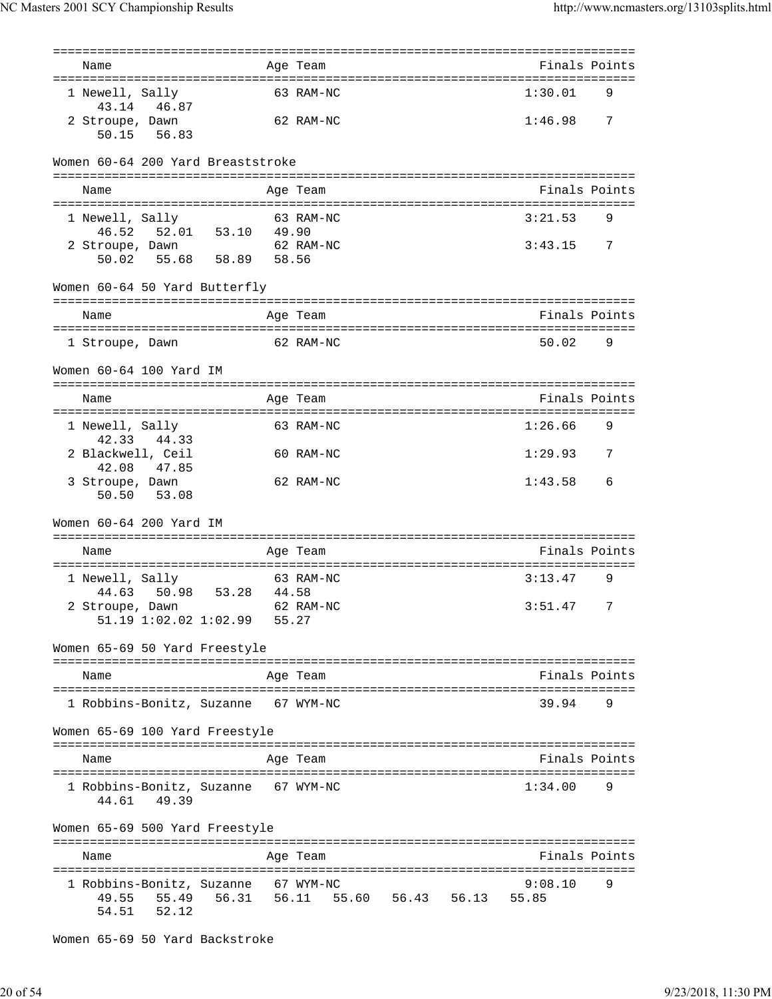| Name                                                          |       | ============<br>Age Team                           | Finals Points    |   |
|---------------------------------------------------------------|-------|----------------------------------------------------|------------------|---|
|                                                               |       |                                                    |                  |   |
| 1 Newell, Sally<br>43.14 46.87                                |       | 63 RAM-NC                                          | 1:30.01          | 9 |
| 2 Stroupe, Dawn<br>50.15 56.83                                |       | 62 RAM-NC                                          | 1:46.98          | 7 |
| Women 60-64 200 Yard Breaststroke                             |       |                                                    |                  |   |
| Name                                                          |       | Age Team                                           | Finals Points    |   |
| 1 Newell, Sally                                               |       | 63 RAM-NC                                          | 3:21.53          | 9 |
| 46.52<br>52.01 53.10 49.90<br>2 Stroupe, Dawn                 |       | 62 RAM-NC                                          | 3:43.15          | 7 |
| 58.89<br>50.02<br>55.68<br>Women 60-64 50 Yard Butterfly      | 58.56 |                                                    |                  |   |
|                                                               |       |                                                    |                  |   |
| Name                                                          |       | Age Team                                           | Finals Points    |   |
| 1 Stroupe, Dawn                                               |       | 62 RAM-NC                                          | 50.02            | 9 |
| Women 60-64 100 Yard IM                                       |       |                                                    |                  |   |
| Name                                                          |       | Age Team                                           | Finals Points    |   |
| 1 Newell, Sally<br>42.33<br>44.33                             |       | 63 RAM-NC                                          | 1:26.66          | 9 |
| 2 Blackwell, Ceil<br>42.08<br>47.85                           |       | 60 RAM-NC                                          | 1:29.93          | 7 |
| 3 Stroupe, Dawn<br>50.50<br>53.08                             |       | 62 RAM-NC                                          | 1:43.58          | 6 |
| Women 60-64 200 Yard IM                                       |       |                                                    |                  |   |
| Name                                                          |       | Age Team<br>====================================== | Finals Points    |   |
| 1 Newell, Sally<br>50.98<br>53.28<br>44.63                    | 44.58 | 63 RAM-NC                                          | 3:13.47          | 9 |
| 2 Stroupe, Dawn<br>$51.19$ $1:02.02$ $1:02.99$                | 55.27 | 62 RAM-NC                                          | 3:51.47          | 7 |
| Women 65-69 50 Yard Freestyle                                 |       |                                                    |                  |   |
| Name                                                          |       | Age Team                                           | Finals Points    |   |
| 1 Robbins-Bonitz, Suzanne 67 WYM-NC                           |       |                                                    | 39.94            | 9 |
| Women 65-69 100 Yard Freestyle                                |       |                                                    |                  |   |
| Name                                                          |       | Age Team                                           | Finals Points    |   |
| 1 Robbins-Bonitz, Suzanne 67 WYM-NC<br>49.39<br>44.61         |       |                                                    | 1:34.00          | 9 |
| Women 65-69 500 Yard Freestyle                                |       |                                                    |                  |   |
| Name                                                          |       | Age Team                                           | Finals Points    |   |
| 1 Robbins-Bonitz, Suzanne<br>55.49<br>49.55<br>52.12<br>54.51 |       | 67 WYM-NC<br>56.31 56.11 55.60 56.43 56.13         | 9:08.10<br>55.85 | 9 |

Women 65-69 50 Yard Backstroke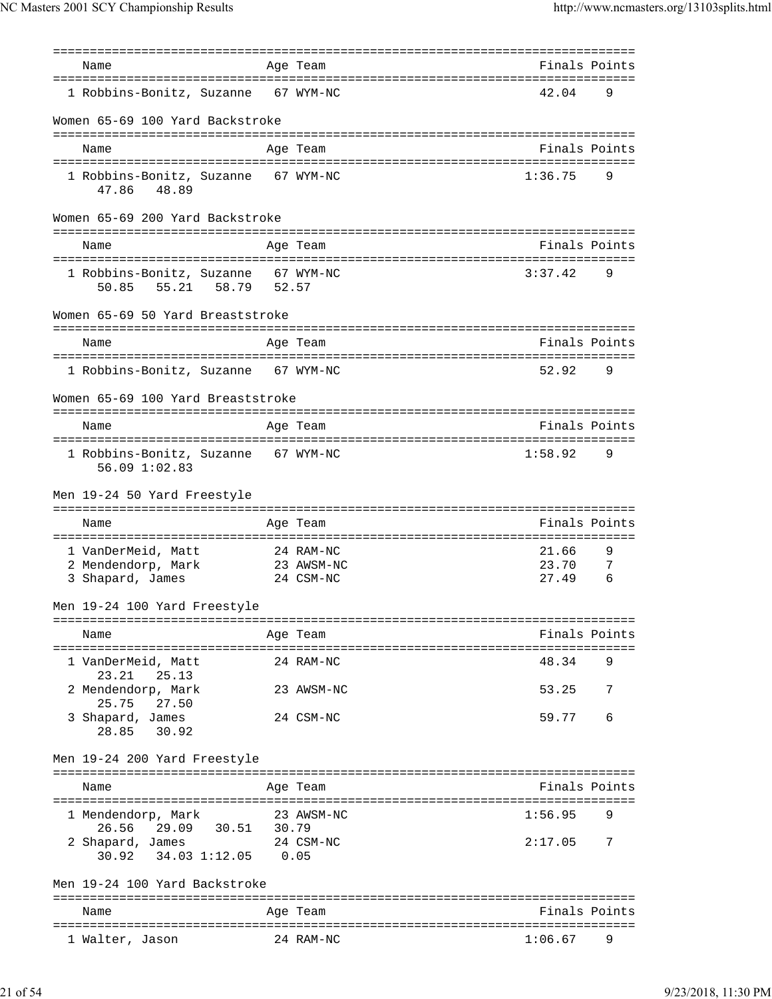| Name                                                           |      | ==========                         | -------------------------------<br>Finals Points |        |
|----------------------------------------------------------------|------|------------------------------------|--------------------------------------------------|--------|
|                                                                |      | Age Team                           |                                                  |        |
| 1 Robbins-Bonitz, Suzanne                                      |      | 67 WYM-NC                          | 42.04                                            | 9      |
| Women 65-69 100 Yard Backstroke                                |      |                                    |                                                  |        |
|                                                                |      |                                    |                                                  |        |
| Name                                                           |      | Age Team                           | Finals Points                                    |        |
| 1 Robbins-Bonitz, Suzanne 67 WYM-NC<br>48.89<br>47.86          |      |                                    | 1:36.75                                          | 9      |
| Women 65-69 200 Yard Backstroke                                |      | ---------------------------------- |                                                  |        |
| Name                                                           |      | Age Team                           | Finals Points                                    |        |
|                                                                |      |                                    |                                                  |        |
| 1 Robbins-Bonitz, Suzanne 67 WYM-NC<br>50.85 55.21 58.79 52.57 |      |                                    | 3:37.42                                          | 9      |
| Women 65-69 50 Yard Breaststroke                               |      |                                    |                                                  |        |
| Name                                                           |      | Age Team                           | Finals Points                                    |        |
| 1 Robbins-Bonitz, Suzanne 67 WYM-NC                            |      |                                    | 52.92                                            | 9      |
| Women 65-69 100 Yard Breaststroke                              |      |                                    |                                                  |        |
| Name                                                           |      | Age Team                           | Finals Points                                    |        |
|                                                                |      |                                    |                                                  |        |
| 1 Robbins-Bonitz, Suzanne 67 WYM-NC<br>56.09 1:02.83           |      |                                    | 1:58.92                                          | 9      |
| Men 19-24 50 Yard Freestyle                                    |      |                                    |                                                  |        |
|                                                                |      |                                    |                                                  |        |
| Name                                                           |      | Age Team                           | Finals Points                                    |        |
|                                                                |      |                                    |                                                  |        |
| 1 VanDerMeid, Matt                                             |      | 24 RAM-NC                          | 21.66                                            | 9      |
| 2 Mendendorp, Mark<br>3 Shapard, James                         |      | 23 AWSM-NC<br>24 CSM-NC            | 23.70<br>27.49                                   | 7<br>6 |
| Men 19-24 100 Yard Freestyle                                   |      |                                    |                                                  |        |
|                                                                |      |                                    |                                                  |        |
| Name                                                           |      | Age Team                           | Finals Points                                    |        |
| 1 VanDerMeid, Matt<br>25.13                                    |      | 24 RAM-NC                          | 48.34                                            | 9      |
| 23.21<br>2 Mendendorp, Mark<br>25.75                           |      | 23 AWSM-NC                         | 53.25                                            | 7      |
| 27.50<br>3 Shapard, James<br>28.85 30.92                       |      | 24 CSM-NC                          | 59.77                                            | 6      |
| Men 19-24 200 Yard Freestyle                                   |      |                                    |                                                  |        |
|                                                                |      |                                    |                                                  |        |
| Name                                                           |      | Age Team                           | Finals Points                                    |        |
| 1 Mendendorp, Mark                                             |      | 23 AWSM-NC                         | 1:56.95                                          | 9      |
| 29.09 30.51 30.79<br>26.56<br>2 Shapard, James 24 CSM-NC       |      |                                    | 2:17.05                                          | 7      |
| 30.92<br>34.03 1:12.05                                         | 0.05 |                                    |                                                  |        |
| Men 19-24 100 Yard Backstroke                                  |      |                                    |                                                  |        |
| Name                                                           |      | Age Team                           | Finals Points                                    |        |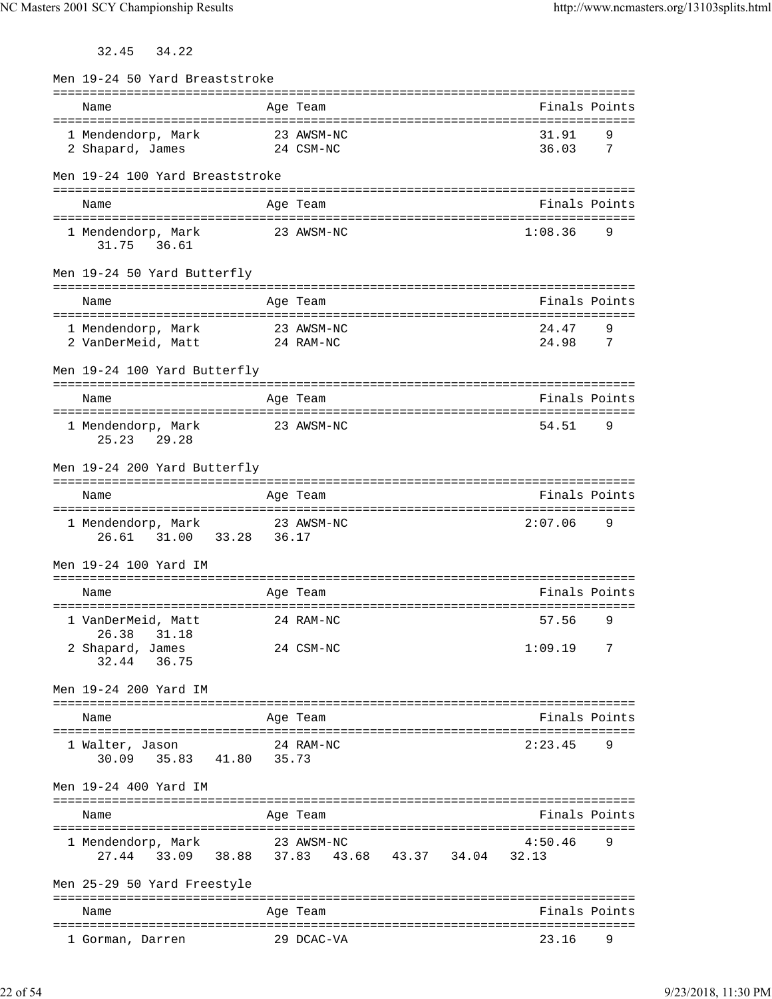32.45 34.22

| Men 19-24 50 Yard Breaststroke       |                         |                                  |
|--------------------------------------|-------------------------|----------------------------------|
| Name                                 | Age Team                | Finals Points                    |
|                                      |                         |                                  |
| 1 Mendendorp, Mark                   | 23 AWSM-NC              | 31.91<br>9                       |
| 2 Shapard, James                     | 24 CSM-NC               | 36.03<br>7                       |
| Men 19-24 100 Yard Breaststroke      |                         |                                  |
|                                      |                         |                                  |
| Name                                 | Age Team                | Finals Points                    |
|                                      |                         |                                  |
| 1 Mendendorp, Mark<br>31.75 36.61    | 23 AWSM-NC              | 1:08.36<br>9                     |
| Men 19-24 50 Yard Butterfly          |                         | ===============================  |
| Name                                 | Age Team                | Finals Points                    |
|                                      |                         |                                  |
| 1 Mendendorp, Mark                   | 23 AWSM-NC              | 24.47<br>9                       |
| 2 VanDerMeid, Matt                   | 24 RAM-NC               | 24.98<br>7                       |
| Men 19-24 100 Yard Butterfly         |                         |                                  |
|                                      |                         |                                  |
| Name                                 | Age Team                | Finals Points                    |
|                                      |                         |                                  |
| 1 Mendendorp, Mark                   | 23 AWSM-NC              | 54.51<br>9                       |
| 29.28<br>25.23                       |                         |                                  |
| Men 19-24 200 Yard Butterfly         |                         |                                  |
|                                      |                         |                                  |
| Name                                 | Age Team                | Finals Points                    |
|                                      |                         |                                  |
| 1 Mendendorp, Mark                   | 23 AWSM-NC              | 2:07.06<br>9                     |
| 26.61 31.00 33.28 36.17              |                         |                                  |
| Men 19-24 100 Yard IM                |                         |                                  |
|                                      |                         |                                  |
| Name                                 | Age Team                | Finals Points                    |
|                                      |                         |                                  |
| 1 VanDerMeid, Matt<br>26.38<br>31.18 | 24 RAM-NC               | 57.56<br>9                       |
| 2 Shapard, James                     | 24 CSM-NC               | 1:09.19<br>7                     |
| 36.75<br>32.44                       |                         |                                  |
|                                      |                         |                                  |
| Men 19-24 200 Yard IM                |                         |                                  |
| =============================        | :===============        | -------------------------------- |
| Name                                 | Age Team                | Finals Points                    |
| 1 Walter, Jason                      | 24 RAM-NC               | 2:23.45<br>9                     |
| 30.09 35.83 41.80 35.73              |                         |                                  |
|                                      |                         |                                  |
| Men 19-24 400 Yard IM                |                         |                                  |
|                                      |                         |                                  |
| Name                                 | Age Team                | Finals Points                    |
| 1 Mendendorp, Mark                   | 23 AWSM-NC              | 4:50.46<br>9                     |
| 33.09<br>27.44<br>38.88              | 37.83 43.68 43.37 34.04 | 32.13                            |
|                                      |                         |                                  |
| Men 25-29 50 Yard Freestyle          |                         |                                  |
|                                      |                         |                                  |
| Name                                 | Age Team                | Finals Points                    |
| 1 Gorman, Darren                     | 29 DCAC-VA              | 23.16<br>9                       |
|                                      |                         |                                  |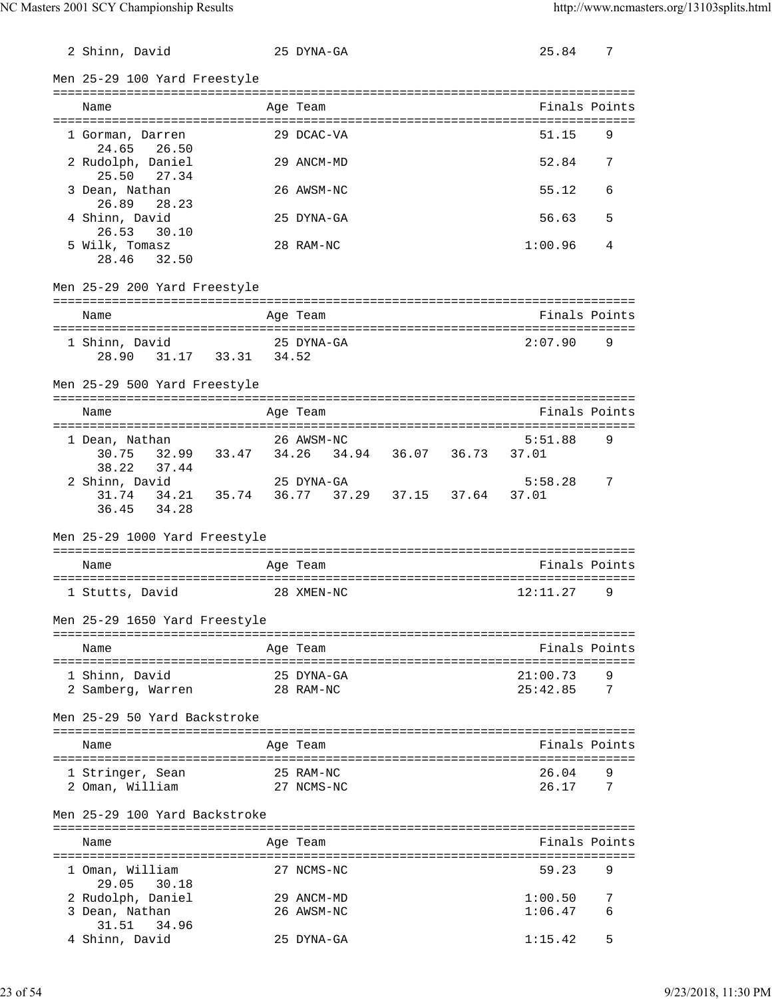| 2 Shinn, David                                                                         | 25 DYNA-GA               |  | 25.84                                         | 7      |
|----------------------------------------------------------------------------------------|--------------------------|--|-----------------------------------------------|--------|
| Men 25-29 100 Yard Freestyle                                                           |                          |  |                                               |        |
| Name<br>:=====================                                                         | Age Team                 |  | ============================<br>Finals Points |        |
| 1 Gorman, Darren<br>24.65<br>26.50                                                     | 29 DCAC-VA               |  | 51.15                                         | 9      |
| 2 Rudolph, Daniel<br>25.50<br>27.34                                                    | 29 ANCM-MD               |  | 52.84                                         | 7      |
| 3 Dean, Nathan<br>26.89<br>28.23                                                       | 26 AWSM-NC               |  | 55.12                                         | 6      |
| 4 Shinn, David<br>26.53<br>30.10                                                       | 25 DYNA-GA               |  | 56.63                                         | 5      |
| 5 Wilk, Tomasz<br>28.46 32.50                                                          | 28 RAM-NC                |  | 1:00.96                                       | 4      |
| Men 25-29 200 Yard Freestyle                                                           |                          |  |                                               |        |
| Name                                                                                   | Age Team                 |  | Finals Points                                 |        |
|                                                                                        |                          |  |                                               |        |
| 1 Shinn, David<br>31.17 33.31 34.52<br>28.90                                           | 25 DYNA-GA               |  | 2:07.90                                       | 9      |
| Men 25-29 500 Yard Freestyle                                                           |                          |  |                                               |        |
| Name                                                                                   | Age Team                 |  | Finals Points                                 |        |
| 1 Dean, Nathan                                                                         | 26 AWSM-NC               |  | 5:51.88                                       | 9      |
| 30.75 32.99 33.47 34.26 34.94 36.07 36.73<br>38.22<br>37.44                            |                          |  | 37.01                                         |        |
| 2 Shinn, David<br>31.74   34.21   35.74   36.77   37.29   37.15   37.64<br>36.45 34.28 | 25 DYNA-GA               |  | 5:58.28<br>37.01                              | 7      |
| Men 25-29 1000 Yard Freestyle                                                          |                          |  |                                               |        |
| Name                                                                                   | Age Team                 |  | Finals Points                                 |        |
| 1 Stutts, David                                                                        | 28 XMEN-NC               |  | 12:11.27                                      | 9      |
| Men 25-29 1650 Yard Freestyle                                                          |                          |  |                                               |        |
| Name                                                                                   | Age Team                 |  | :===========================<br>Finals Points |        |
| 1 Shinn, David                                                                         | 25 DYNA-GA               |  | 21:00.73                                      | 9      |
| 2 Samberg, Warren                                                                      | 28 RAM-NC                |  | 25:42.85                                      | 7      |
| Men 25-29 50 Yard Backstroke                                                           |                          |  |                                               |        |
| Name                                                                                   | Age Team                 |  | Finals Points                                 |        |
| 1 Stringer, Sean<br>2 Oman, William                                                    | 25 RAM-NC<br>27 NCMS-NC  |  | 26.04<br>26.17                                | 9<br>7 |
| Men 25-29 100 Yard Backstroke                                                          |                          |  |                                               |        |
| Name                                                                                   | Age Team                 |  | Finals Points                                 |        |
| :====================<br>1 Oman, William                                               | 27 NCMS-NC               |  | 59.23                                         | 9      |
| 29.05<br>30.18<br>2 Rudolph, Daniel<br>3 Dean, Nathan                                  | 29 ANCM-MD<br>26 AWSM-NC |  | 1:00.50<br>1:06.47                            | 7<br>6 |
| 31.51<br>34.96<br>4 Shinn, David                                                       | 25 DYNA-GA               |  | 1:15.42                                       | 5      |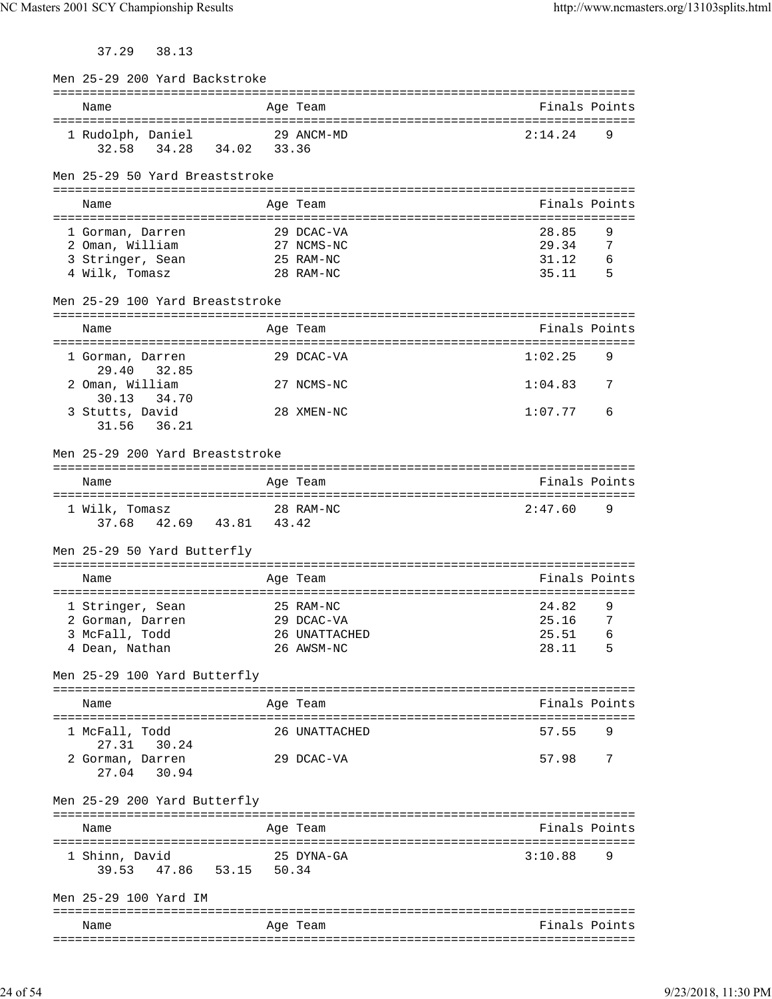37.29 38.13

| Men 25-29 200 Yard Backstroke                      |               |               |     |
|----------------------------------------------------|---------------|---------------|-----|
| Name                                               | Age Team      | Finals Points |     |
|                                                    |               |               |     |
| 1 Rudolph, Daniel<br>34.02 33.36<br>32.58<br>34.28 | 29 ANCM-MD    | 2:14.24       | 9   |
| Men 25-29 50 Yard Breaststroke                     |               |               |     |
| Name                                               | Age Team      | Finals Points |     |
| 1 Gorman, Darren                                   | 29 DCAC-VA    | 28.85         | 9   |
| 2 Oman, William                                    | 27 NCMS-NC    | 29.34         | 7   |
| 3 Stringer, Sean                                   | 25 RAM-NC     | 31.12         | 6   |
| 4 Wilk, Tomasz                                     | 28 RAM-NC     | 35.11         | - 5 |
| Men 25-29 100 Yard Breaststroke                    |               |               |     |
| Name                                               | Age Team      | Finals Points |     |
| 1 Gorman, Darren<br>29.40<br>32.85                 | 29 DCAC-VA    | 1:02.25       | 9   |
| 2 Oman, William                                    | 27 NCMS-NC    | 1:04.83       | 7   |
| 30.13 34.70<br>3 Stutts, David<br>36.21<br>31.56   | 28 XMEN-NC    | 1:07.77       | 6   |
| Men 25-29 200 Yard Breaststroke                    |               |               |     |
| Name                                               | Age Team      | Finals Points |     |
| 1 Wilk, Tomasz<br>37.68 42.69 43.81 43.42          | 28 RAM-NC     | 2:47.60       | 9   |
| Men 25-29 50 Yard Butterfly                        |               |               |     |
|                                                    |               |               |     |
| Name                                               | Age Team      | Finals Points |     |
| 1 Stringer, Sean                                   | 25 RAM-NC     | 24.82         | 9   |
| 2 Gorman, Darren<br>29 DCAC-VA                     |               | 25.16         | 7   |
| 3 McFall, Todd                                     | 26 UNATTACHED | 25.51         | 6   |
| 4 Dean, Nathan                                     | 26 AWSM-NC    | 28.11         | 5   |
| Men 25-29 100 Yard Butterfly                       |               |               |     |
| Name                                               | Age Team      | Finals Points |     |
| 1 McFall, Todd<br>27.31 30.24                      | 26 UNATTACHED | 57.55         | 9   |
| 2 Gorman, Darren<br>27.04<br>30.94                 | 29 DCAC-VA    | 57.98         | 7   |
| Men 25-29 200 Yard Butterfly                       |               |               |     |
| Name                                               | Age Team      | Finals Points |     |
| 1 Shinn, David<br>47.86 53.15 50.34<br>39.53       | 25 DYNA-GA    | 3:10.88       | 9   |
| Men 25-29 100 Yard IM                              |               |               |     |
| Name                                               | Age Team      | Finals Points |     |
|                                                    |               |               |     |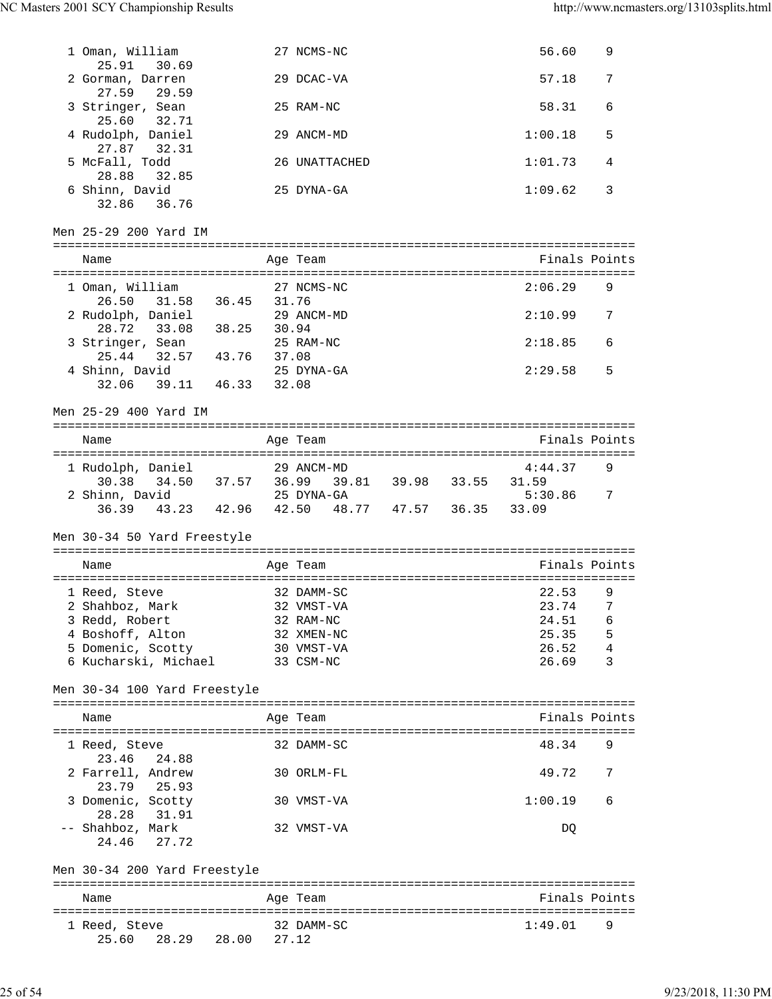| 1 Oman, William                               |       | 27 NCMS-NC        |                   | 56.60   | 9             |
|-----------------------------------------------|-------|-------------------|-------------------|---------|---------------|
| 25.91<br>30.69                                |       | 29 DCAC-VA        |                   | 57.18   |               |
| 2 Gorman, Darren<br>27.59<br>29.59            |       |                   |                   |         | 7             |
| 3 Stringer, Sean                              |       | 25 RAM-NC         |                   | 58.31   | 6             |
| 25.60<br>32.71<br>4 Rudolph, Daniel           |       | 29 ANCM-MD        |                   | 1:00.18 | 5             |
| 27.87 32.31                                   |       |                   |                   |         |               |
| 5 McFall, Todd<br>28.88<br>32.85              |       | 26 UNATTACHED     |                   | 1:01.73 | 4             |
| 6 Shinn, David<br>32.86<br>36.76              |       | 25 DYNA-GA        |                   | 1:09.62 | 3             |
| Men 25-29 200 Yard IM                         |       |                   |                   |         |               |
| Name                                          |       | Age Team          |                   |         | Finals Points |
|                                               |       |                   |                   |         |               |
| 1 Oman, William<br>31.58 36.45 31.76<br>26.50 |       | 27 NCMS-NC        |                   | 2:06.29 | 9             |
| 2 Rudolph, Daniel                             |       | 29 ANCM-MD        |                   | 2:10.99 | 7             |
| 38.25<br>28.72<br>33.08                       | 30.94 |                   |                   |         |               |
| 3 Stringer, Sean                              |       | 25 RAM-NC         |                   | 2:18.85 | 6             |
| $32.57$ 43.76<br>25.44<br>4 Shinn, David      | 37.08 | 25 DYNA-GA        |                   | 2:29.58 | 5             |
| 39.11 46.33 32.08<br>32.06                    |       |                   |                   |         |               |
| Men 25-29 400 Yard IM                         |       |                   |                   |         |               |
|                                               |       |                   |                   |         |               |
| Name                                          |       | Age Team          |                   |         | Finals Points |
| 1 Rudolph, Daniel                             |       | 29 ANCM-MD        |                   | 4:44.37 | 9             |
| 34.50 37.57 36.99<br>30.38                    |       |                   | 39.81 39.98 33.55 | 31.59   |               |
| 2 Shinn, David                                |       | 25 DYNA-GA        |                   | 5:30.86 | 7             |
| 36.39 43.23 42.96 42.50                       |       | 48.77 47.57 36.35 |                   | 33.09   |               |
| Men 30-34 50 Yard Freestyle                   |       |                   |                   |         |               |
|                                               |       |                   |                   |         |               |
| Name                                          |       | Age Team          |                   |         | Finals Points |
|                                               |       |                   |                   |         |               |
| 1 Reed, Steve                                 |       | 32 DAMM-SC        |                   | 22.53   | 9             |
| 2 Shahboz, Mark                               |       | 32 VMST-VA        |                   | 23.74   | 7             |
| 3 Redd, Robert                                |       | 32 RAM-NC         |                   | 24.51   | 6             |
| 4 Boshoff, Alton                              |       | 32 XMEN-NC        |                   | 25.35   | 5             |
| 5 Domenic, Scotty                             |       | 30 VMST-VA        |                   | 26.52   | 4             |
| 6 Kucharski, Michael                          |       | 33 CSM-NC         |                   | 26.69   | 3             |
| Men 30-34 100 Yard Freestyle                  |       |                   |                   |         |               |
| Name                                          |       | Age Team          |                   |         | Finals Points |
|                                               |       |                   |                   |         |               |
| 1 Reed, Steve<br>23.46<br>24.88               |       | 32 DAMM-SC        |                   | 48.34   | 9             |
| 2 Farrell, Andrew                             |       | 30 ORLM-FL        |                   | 49.72   | 7             |
| 23.79<br>25.93                                |       |                   |                   |         |               |
| 3 Domenic, Scotty<br>28.28<br>31.91           |       | 30 VMST-VA        |                   | 1:00.19 | 6             |
| -- Shahboz, Mark<br>24.46<br>27.72            |       | 32 VMST-VA        |                   | DQ      |               |
| Men 30-34 200 Yard Freestyle                  |       |                   |                   |         |               |
| Name                                          |       | Age Team          |                   |         | Finals Points |
|                                               |       |                   |                   |         |               |
| 1 Reed, Steve                                 |       | 32 DAMM-SC        |                   | 1:49.01 | 9             |
| 25.60<br>28.29<br>28.00                       |       | 27.12             |                   |         |               |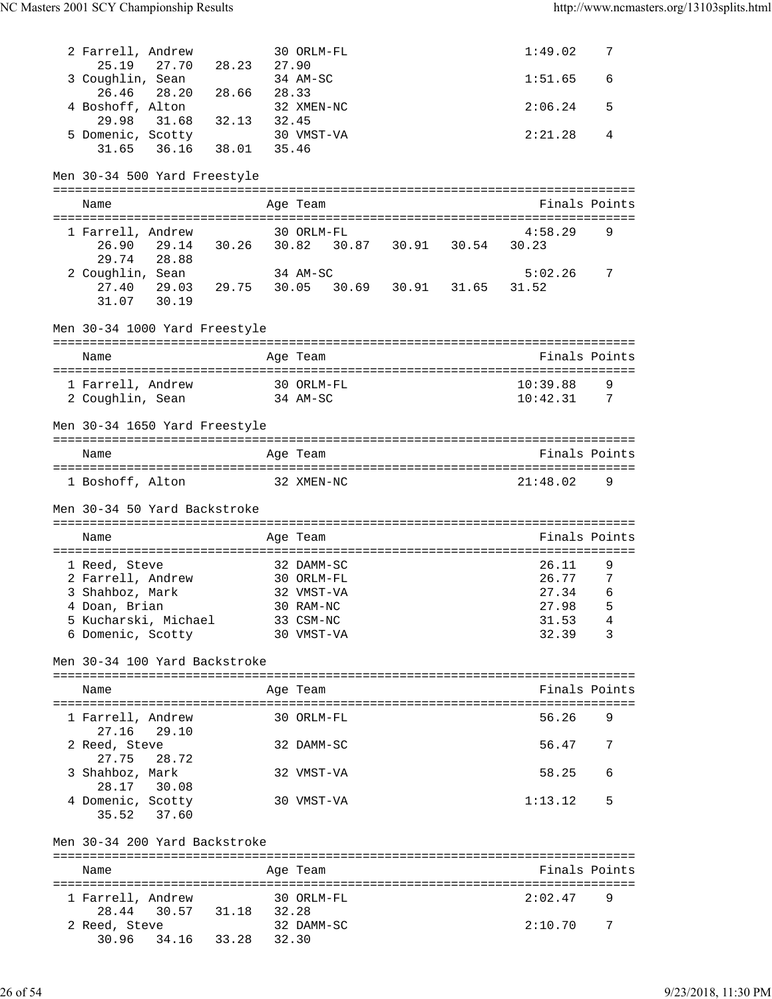| 2 Farrell, Andrew<br>25.19                                                   | 27.70 28.23 27.90 |       | 30 ORLM-FL                                |  | 1:49.02          | 7      |
|------------------------------------------------------------------------------|-------------------|-------|-------------------------------------------|--|------------------|--------|
| 3 Coughlin, Sean<br>26.46 28.20                                              | 28.66             | 28.33 | 34 AM-SC                                  |  | 1:51.65          | 6      |
| 4 Boshoff, Alton<br>29.98 31.68                                              | 32.13             | 32.45 | 32 XMEN-NC                                |  | 2:06.24          | 5      |
| 5 Domenic, Scotty<br>31.65 36.16                                             | 38.01             | 35.46 | 30 VMST-VA                                |  | 2:21.28          | 4      |
| Men 30-34 500 Yard Freestyle                                                 |                   |       |                                           |  |                  |        |
| Name                                                                         |                   |       | Age Team                                  |  | Finals Points    |        |
| 1 Farrell, Andrew                                                            |                   |       | 30 ORLM-FL                                |  | 4:58.29          | 9      |
| 26.90<br>29.74<br>28.88                                                      |                   |       | 29.14 30.26 30.82 30.87 30.91 30.54 30.23 |  |                  |        |
| 2 Coughlin, Sean<br>27.40 29.03 29.75 30.05 30.69 30.91 31.65<br>31.07 30.19 |                   |       | 34 AM-SC                                  |  | 5:02.26<br>31.52 | 7      |
| Men 30-34 1000 Yard Freestyle                                                |                   |       |                                           |  |                  |        |
| Name                                                                         |                   |       | Age Team                                  |  | Finals Points    |        |
| 1 Farrell, Andrew                                                            |                   |       | 30 ORLM-FL                                |  | 10:39.88         | 9      |
| 2 Coughlin, Sean 34 AM-SC                                                    |                   |       |                                           |  | 10:42.31         | 7      |
| Men 30-34 1650 Yard Freestyle                                                |                   |       |                                           |  |                  |        |
| Name                                                                         |                   |       | Age Team                                  |  | Finals Points    |        |
| 1 Boshoff, Alton                                                             |                   |       | 32 XMEN-NC                                |  | 21:48.02         | 9      |
|                                                                              |                   |       |                                           |  |                  |        |
| Men 30-34 50 Yard Backstroke                                                 |                   |       |                                           |  |                  |        |
| Name                                                                         |                   |       | Age Team                                  |  | Finals Points    |        |
|                                                                              |                   |       |                                           |  |                  |        |
| 1 Reed, Steve                                                                |                   |       | 32 DAMM-SC                                |  | 26.11            | 9      |
| 2 Farrell, Andrew 30 ORLM-FL                                                 |                   |       |                                           |  | 26.77            | 7<br>6 |
| 3 Shahboz, Mark                                                              |                   |       | 32 VMST-VA                                |  | 27.34            | $-5$   |
| 4 Doan, Brian<br>5 Kucharski, Michael                                        |                   |       | 30 RAM-NC<br>33 CSM-NC                    |  | 27.98<br>31.53   | 4      |
| 6 Domenic, Scotty                                                            |                   |       | 30 VMST-VA                                |  | 32.39            | 3      |
| Men 30-34 100 Yard Backstroke                                                |                   |       |                                           |  |                  |        |
| Name                                                                         |                   |       | Age Team                                  |  | Finals Points    |        |
|                                                                              |                   |       |                                           |  |                  |        |
| 1 Farrell, Andrew<br>27.16<br>29.10                                          |                   |       | 30 ORLM-FL                                |  | 56.26            | 9      |
| 2 Reed, Steve                                                                |                   |       | 32 DAMM-SC                                |  | 56.47            | 7      |
| 27.75<br>28.72<br>3 Shahboz, Mark<br>28.17 30.08                             |                   |       | 32 VMST-VA                                |  | 58.25            | 6      |
| 4 Domenic, Scotty<br>35.52 37.60                                             |                   |       | 30 VMST-VA                                |  | 1:13.12          | 5      |
| Men 30-34 200 Yard Backstroke                                                |                   |       |                                           |  |                  |        |
|                                                                              |                   |       |                                           |  |                  |        |
| Name                                                                         |                   |       | Age Team                                  |  | Finals Points    |        |
| 1 Farrell, Andrew                                                            |                   |       | 30 ORLM-FL                                |  | 2:02.47          | 9      |
| 28.44<br>30.57                                                               | 31.18 32.28       |       |                                           |  |                  |        |
| 2 Reed, Steve<br>34.16<br>30.96                                              | 33.28             | 32.30 | 32 DAMM-SC                                |  | 2:10.70          | 7      |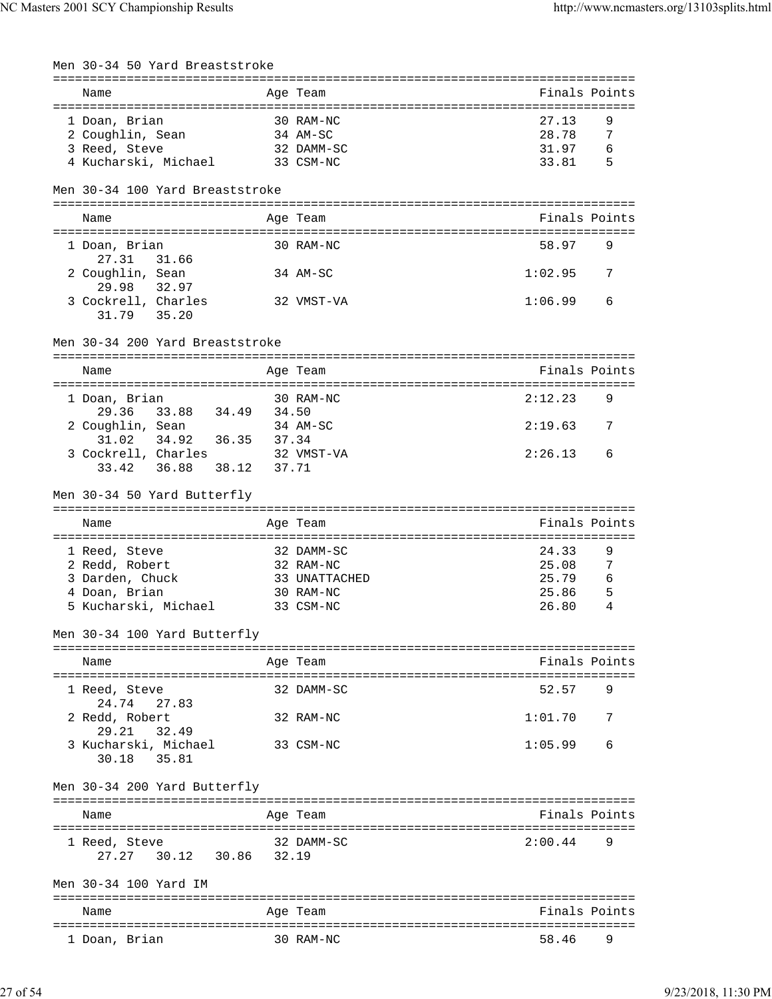| Men 30-34 50 Yard Breaststroke        |       |                                 |                |        |
|---------------------------------------|-------|---------------------------------|----------------|--------|
| Name                                  |       | Age Team                        | Finals Points  |        |
| 1 Doan, Brian                         |       | 30 RAM-NC                       | 27.13          | 9      |
| 2 Coughlin, Sean                      |       | $34$ AM-SC                      | 28.78          | 7      |
| 3 Reed, Steve                         |       | 32 DAMM-SC                      | 31.97          | 6      |
| 4 Kucharski, Michael                  |       | 33 CSM-NC                       | 33.81          | 5      |
| Men 30-34 100 Yard Breaststroke       |       |                                 |                |        |
|                                       |       |                                 | Finals Points  |        |
| Name                                  |       | Age Team                        |                |        |
| 1 Doan, Brian<br>27.31<br>31.66       |       | 30 RAM-NC                       | 58.97          | 9      |
| 2 Coughlin, Sean<br>29.98<br>32.97    |       | 34 AM-SC                        | 1:02.95        | 7      |
| 3 Cockrell, Charles<br>31.79 35.20    |       | 32 VMST-VA                      | 1:06.99        | 6      |
| Men 30-34 200 Yard Breaststroke       |       |                                 |                |        |
| Name                                  |       | Age Team                        | Finals Points  |        |
|                                       |       |                                 |                |        |
| 1 Doan, Brian                         |       | 30 RAM-NC                       | 2:12.23        | 9      |
| 33.88 34.49 34.50<br>29.36            |       |                                 |                |        |
| 2 Coughlin, Sean                      |       | 34 AM-SC                        | 2:19.63        | 7      |
| 31.02<br>34.92<br>36.35               | 37.34 |                                 |                |        |
| 3 Cockrell, Charles                   |       | 32 VMST-VA                      | 2:26.13        | 6      |
| 33.42<br>36.88<br>38.12               | 37.71 |                                 |                |        |
| Men 30-34 50 Yard Butterfly           |       |                                 |                |        |
|                                       |       | =============================== |                |        |
|                                       |       |                                 |                |        |
| Name                                  |       | Age Team                        | Finals Points  |        |
|                                       |       |                                 |                |        |
| 1 Reed, Steve                         |       | 32 DAMM-SC                      | 24.33          | 9      |
| 2 Redd, Robert<br>3 Darden, Chuck     |       | 32 RAM-NC<br>33 UNATTACHED      | 25.08<br>25.79 | 7<br>6 |
| 4 Doan, Brian                         |       | 30 RAM-NC                       | 25.86          | 5      |
| 5 Kucharski, Michael                  |       | 33 CSM-NC                       | 26.80          | 4      |
| Men 30-34 100 Yard Butterfly          |       |                                 |                |        |
|                                       |       |                                 |                |        |
| Name                                  |       | Age Team                        | Finals Points  |        |
| 1 Reed, Steve<br>24.74<br>27.83       |       | 32 DAMM-SC                      | 52.57          | 9      |
| 2 Redd, Robert<br>32.49<br>29.21      |       | 32 RAM-NC                       | 1:01.70        | 7      |
| 3 Kucharski, Michael<br>30.18 35.81   |       | 33 CSM-NC                       | 1:05.99        | 6      |
| Men 30-34 200 Yard Butterfly          |       |                                 |                |        |
| Name                                  |       | Age Team                        | Finals Points  |        |
|                                       |       | 32 DAMM-SC                      | 2:00.44        | 9      |
| 1 Reed, Steve<br>27.27<br>30.12 30.86 | 32.19 |                                 |                |        |
|                                       |       |                                 |                |        |
| Men 30-34 100 Yard IM                 |       |                                 |                |        |
|                                       |       |                                 |                |        |
| Name                                  |       | Age Team                        | Finals Points  |        |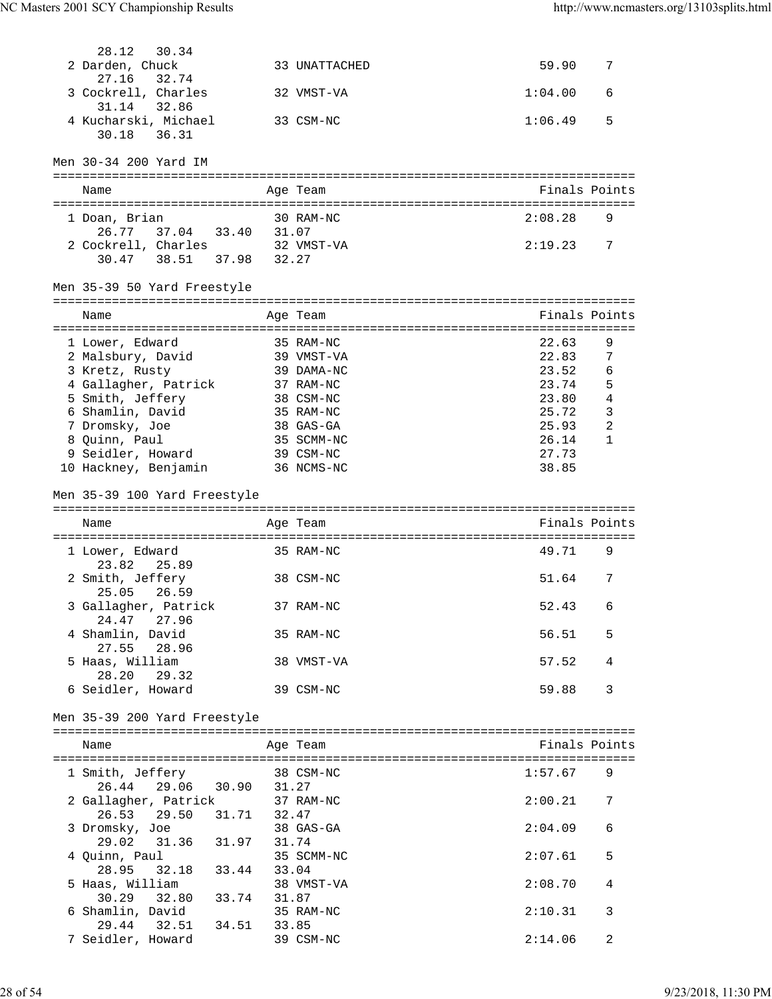| 30.34<br>28.12                                  |       |                         |               |                 |
|-------------------------------------------------|-------|-------------------------|---------------|-----------------|
| 2 Darden, Chuck                                 |       | 33 UNATTACHED           | 59.90         | 7               |
| 32.74<br>27.16                                  |       |                         |               |                 |
| 3 Cockrell, Charles                             |       | 32 VMST-VA              | 1:04.00       | 6               |
| 31.14 32.86                                     |       |                         |               |                 |
| 4 Kucharski, Michael                            |       | 33 CSM-NC               | 1:06.49       | 5               |
| 36.31<br>30.18                                  |       |                         |               |                 |
|                                                 |       |                         |               |                 |
| Men 30-34 200 Yard IM                           |       |                         |               |                 |
|                                                 |       |                         |               |                 |
| Name                                            |       | Age Team                | Finals Points |                 |
| 1 Doan, Brian                                   |       | 30 RAM-NC               | 2:08.28       | 9               |
| 37.04 33.40 31.07<br>26.77                      |       |                         |               |                 |
| 2 Cockrell, Charles 32 VMST-VA                  |       |                         | 2:19.23       | 7               |
| 38.51 37.98 32.27<br>30.47                      |       |                         |               |                 |
|                                                 |       |                         |               |                 |
| Men 35-39 50 Yard Freestyle                     |       |                         |               |                 |
|                                                 |       |                         |               |                 |
| Name                                            |       | Age Team                | Finals Points |                 |
| 1 Lower, Edward                                 |       |                         | 22.63         | 9               |
| 2 Malsbury, David                               |       | 35 RAM-NC<br>39 VMST-VA | 22.83         | $7\phantom{.0}$ |
| 3 Kretz, Rusty                                  |       | 39 DAMA-NC              | 23.52         | 6               |
| 4 Gallagher, Patrick                            |       | 37 RAM-NC               | 23.74         | 5               |
| 5 Smith, Jeffery                                |       | 38 CSM-NC               | 23.80         | 4               |
| 6 Shamlin, David                                |       | 35 RAM-NC               | 25.72         | 3               |
| 7 Dromsky, Joe                                  |       | 38 GAS-GA               | 25.93         | $\overline{2}$  |
| 8 Quinn, Paul                                   |       | 35 SCMM-NC              | 26.14         | $\mathbf{1}$    |
| 9 Seidler, Howard                               |       | 39 CSM-NC               | 27.73         |                 |
| 10 Hackney, Benjamin                            |       | 36 NCMS-NC              | 38.85         |                 |
|                                                 |       |                         |               |                 |
|                                                 |       |                         |               |                 |
| Men 35-39 100 Yard Freestyle                    |       |                         |               |                 |
|                                                 |       |                         |               |                 |
| Name                                            |       | Age Team                | Finals Points |                 |
|                                                 |       |                         |               |                 |
| 1 Lower, Edward                                 |       | 35 RAM-NC               | 49.71         | 9               |
| 23.82<br>25.89                                  |       |                         |               |                 |
| 2 Smith, Jeffery                                |       | 38 CSM-NC               | 51.64         | 7               |
| 25.05<br>26.59                                  |       |                         |               |                 |
| 3 Gallagher, Patrick                            |       | 37 RAM-NC               | 52.43         | 6               |
| 24.47 27.96                                     |       | 35 RAM-NC               | 56.51         | 5               |
| 4 Shamlin, David<br>27.55<br>28.96              |       |                         |               |                 |
|                                                 |       | 38 VMST-VA              | 57.52         | 4               |
| 5 Haas, William<br>28.20<br>29.32               |       |                         |               |                 |
| 6 Seidler, Howard                               |       | 39 CSM-NC               | 59.88         | 3               |
|                                                 |       |                         |               |                 |
| Men 35-39 200 Yard Freestyle                    |       |                         |               |                 |
|                                                 |       |                         |               |                 |
| Name                                            |       | Age Team                | Finals Points |                 |
|                                                 |       |                         |               |                 |
| 1 Smith, Jeffery                                |       | 38 CSM-NC               | 1:57.67       | 9               |
| 26.44 29.06 30.90 31.27                         |       |                         | 2:00.21       | 7               |
| 2 Gallagher, Patrick                            |       | 37 RAM-NC               |               |                 |
| 31.71 32.47<br>26.53<br>29.50                   |       | 38 GAS-GA               | 2:04.09       | 6               |
| 3 Dromsky, Joe<br>31.36 31.97 31.74<br>29.02    |       |                         |               |                 |
| 4 Quinn, Paul                                   |       | 35 SCMM-NC              | 2:07.61       | 5               |
| 32.18 33.44<br>28.95                            | 33.04 |                         |               |                 |
| 5 Haas, William                                 |       | 38 VMST-VA              | 2:08.70       | 4               |
| 30.29 32.80 33.74                               | 31.87 |                         |               |                 |
| 6 Shamlin, David                                |       | 35 RAM-NC               | 2:10.31       | 3               |
| 29.44<br>32.51 34.51 33.85<br>7 Seidler, Howard |       | 39 CSM-NC               | 2:14.06       | 2               |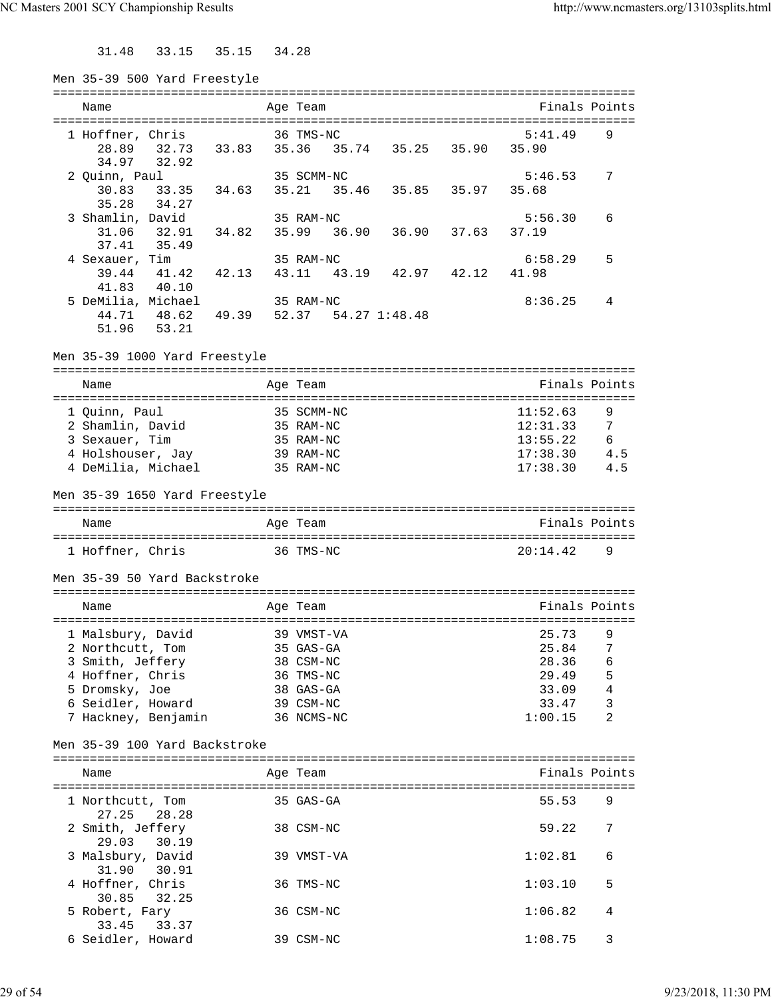31.48 33.15 35.15 34.28

| Men 35-39 500 Yard Freestyle  |                                       |       |       |            |       |                         |                                     |               |                |
|-------------------------------|---------------------------------------|-------|-------|------------|-------|-------------------------|-------------------------------------|---------------|----------------|
|                               |                                       |       |       |            |       |                         |                                     |               |                |
| Name                          |                                       |       |       | Age Team   |       |                         |                                     | Finals Points |                |
| 1 Hoffner, Chris              |                                       |       |       | 36 TMS-NC  |       |                         |                                     | 5:41.49       | 9              |
| 28.89                         |                                       |       |       |            |       |                         | 32.73 33.83 35.36 35.74 35.25 35.90 | 35.90         |                |
| 34.97                         | 32.92                                 |       |       |            |       |                         |                                     |               |                |
| 2 Quinn, Paul                 |                                       |       |       | 35 SCMM-NC |       |                         |                                     | 5:46.53       | 7              |
| 30.83                         | 33.35                                 | 34.63 |       |            |       |                         | 35.21 35.46 35.85 35.97             | 35.68         |                |
| 35.28                         | 34.27                                 |       |       |            |       |                         |                                     |               |                |
| 3 Shamlin, David              |                                       |       |       | 35 RAM-NC  |       |                         |                                     | 5:56.30       | 6              |
| 31.06                         | 32.91                                 | 34.82 | 35.99 |            | 36.90 | 36.90                   | 37.63                               | 37.19         |                |
| 37.41                         | 35.49                                 |       |       |            |       |                         |                                     |               |                |
| 4 Sexauer, Tim                |                                       |       |       | 35 RAM-NC  |       |                         |                                     | 6:58.29       | 5              |
| 39.44                         | 41.42 42.13                           |       |       |            |       | 43.11 43.19 42.97 42.12 |                                     | 41.98         |                |
| 41.83                         | 40.10                                 |       |       |            |       |                         |                                     |               |                |
| 5 DeMilia, Michael            |                                       |       |       | 35 RAM-NC  |       |                         |                                     | 8:36.25       | 4              |
|                               | 44.71 48.62 49.39 52.37 54.27 1:48.48 |       |       |            |       |                         |                                     |               |                |
| 51.96                         | 53.21                                 |       |       |            |       |                         |                                     |               |                |
|                               |                                       |       |       |            |       |                         |                                     |               |                |
| Men 35-39 1000 Yard Freestyle |                                       |       |       |            |       |                         |                                     |               |                |
| Name                          |                                       |       |       | Age Team   |       |                         |                                     | Finals Points |                |
|                               |                                       |       |       |            |       |                         |                                     |               |                |
| 1 Quinn, Paul                 |                                       |       |       | 35 SCMM-NC |       |                         |                                     | 11:52.63      | 9              |
| 2 Shamlin, David              |                                       |       |       | 35 RAM-NC  |       |                         |                                     | 12:31.33      | 7              |
| 3 Sexauer, Tim                |                                       |       |       | 35 RAM-NC  |       |                         |                                     | 13:55.22      | 6              |
| 4 Holshouser, Jay             |                                       |       |       | 39 RAM-NC  |       |                         |                                     | 17:38.30      | 4.5            |
| 4 DeMilia, Michael            |                                       |       |       | 35 RAM-NC  |       |                         |                                     | 17:38.30      | 4.5            |
|                               |                                       |       |       |            |       |                         |                                     |               |                |
| Men 35-39 1650 Yard Freestyle |                                       |       |       |            |       |                         |                                     |               |                |
|                               |                                       |       |       |            |       |                         |                                     |               |                |
| Name                          |                                       |       |       | Age Team   |       |                         |                                     | Finals Points |                |
| 1 Hoffner, Chris              |                                       |       |       | 36 TMS-NC  |       |                         |                                     | 20:14.42      | 9              |
|                               |                                       |       |       |            |       |                         |                                     |               |                |
| Men 35-39 50 Yard Backstroke  |                                       |       |       |            |       |                         |                                     |               |                |
|                               |                                       |       |       |            |       |                         |                                     |               |                |
| Name                          |                                       |       |       | Age Team   |       |                         |                                     | Finals Points |                |
|                               |                                       |       |       |            |       |                         |                                     |               |                |
| 1 Malsbury, David             |                                       |       |       | 39 VMST-VA |       |                         |                                     | 25.73         | 9              |
| 2 Northcutt, Tom              |                                       |       |       | 35 GAS-GA  |       |                         |                                     | 25.84         | 7              |
| 3 Smith, Jeffery              |                                       |       |       | 38 CSM-NC  |       |                         |                                     | 28.36         | 6              |
| 4 Hoffner, Chris              |                                       |       |       | 36 TMS-NC  |       |                         |                                     | 29.49         | 5              |
| 5 Dromsky, Joe                |                                       |       |       | 38 GAS-GA  |       |                         |                                     | 33.09         | $\overline{4}$ |
| 6 Seidler, Howard             |                                       |       |       | 39 CSM-NC  |       |                         |                                     | 33.47         | 3              |
| 7 Hackney, Benjamin           |                                       |       |       | 36 NCMS-NC |       |                         |                                     | 1:00.15       | $\overline{a}$ |
|                               |                                       |       |       |            |       |                         |                                     |               |                |
| Men 35-39 100 Yard Backstroke |                                       |       |       |            |       |                         |                                     |               |                |
|                               |                                       |       |       |            |       |                         |                                     |               |                |
| Name                          |                                       |       |       | Age Team   |       |                         |                                     | Finals Points |                |
|                               |                                       |       |       |            |       |                         |                                     |               |                |
| 1 Northcutt, Tom              |                                       |       |       | 35 GAS-GA  |       |                         |                                     | 55.53         | 9              |
| 27.25                         | 28.28                                 |       |       |            |       |                         |                                     |               |                |
| 2 Smith, Jeffery<br>29.03     |                                       |       |       | 38 CSM-NC  |       |                         |                                     | 59.22         | 7              |
|                               | 30.19                                 |       |       |            |       |                         |                                     |               |                |
| 3 Malsbury, David             | 30.91                                 |       |       | 39 VMST-VA |       |                         |                                     | 1:02.81       | 6              |
| 31.90                         |                                       |       |       | 36 TMS-NC  |       |                         |                                     | 1:03.10       | 5              |
| 4 Hoffner, Chris<br>30.85     | 32.25                                 |       |       |            |       |                         |                                     |               |                |
| 5 Robert, Fary                |                                       |       |       | 36 CSM-NC  |       |                         |                                     | 1:06.82       | 4              |
| 33.45                         | 33.37                                 |       |       |            |       |                         |                                     |               |                |
| 6 Seidler, Howard             |                                       |       |       | 39 CSM-NC  |       |                         |                                     | 1:08.75       | 3              |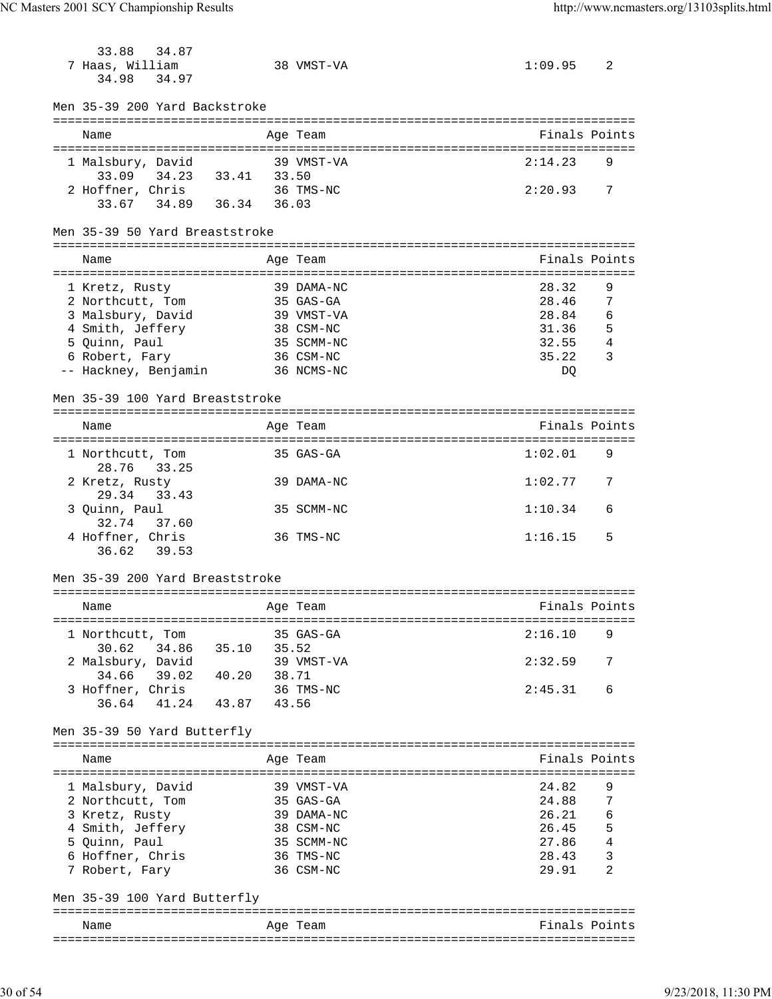| 33.88<br>34.87                                                    |                                   |                        |                |
|-------------------------------------------------------------------|-----------------------------------|------------------------|----------------|
| 7 Haas, William                                                   | 38 VMST-VA                        | 1:09.95                | 2              |
| 34.97<br>34.98                                                    |                                   |                        |                |
|                                                                   |                                   |                        |                |
| Men 35-39 200 Yard Backstroke                                     |                                   |                        |                |
| Name                                                              | Age Team                          | Finals Points          |                |
|                                                                   |                                   |                        |                |
| 1 Malsbury, David                                                 | 39 VMST-VA                        | 2:14.23                | 9              |
| 34.23 33.41 33.50<br>33.09                                        |                                   |                        |                |
| 2 Hoffner, Chris                                                  | 36 TMS-NC                         | 2:20.93                | 7              |
| 33.67 34.89 36.34 36.03                                           |                                   |                        |                |
|                                                                   |                                   |                        |                |
| Men 35-39 50 Yard Breaststroke                                    |                                   |                        |                |
| Name                                                              | Age Team                          | Finals Points          |                |
|                                                                   | ================================= |                        |                |
| 1 Kretz, Rusty                                                    | 39 DAMA-NC                        | 28.32                  | 9              |
| 2 Northcutt, Tom                                                  | 35 GAS-GA                         | 28.46                  | 7              |
| 3 Malsbury, David                                                 | 39 VMST-VA                        | 28.84                  | 6              |
| 4 Smith, Jeffery                                                  | 38 CSM-NC                         | 31.36                  | 5              |
| 5 Quinn, Paul                                                     | 35 SCMM-NC                        | 32.55                  | 4              |
| 6 Robert, Fary                                                    | 36 CSM-NC                         | 35.22                  | 3              |
| -- Hackney, Benjamin                                              | 36 NCMS-NC                        | DQ                     |                |
| Men 35-39 100 Yard Breaststroke                                   |                                   |                        |                |
|                                                                   |                                   |                        |                |
| Name                                                              | Age Team                          | Finals Points          |                |
|                                                                   |                                   |                        |                |
| 1 Northcutt, Tom                                                  | 35 GAS-GA                         | 1:02.01                | 9              |
| 28.76<br>33.25                                                    |                                   |                        |                |
| 2 Kretz, Rusty                                                    | 39 DAMA-NC                        | 1:02.77                | 7              |
| 29.34<br>33.43                                                    |                                   |                        |                |
| 3 Quinn, Paul                                                     | 35 SCMM-NC                        | 1:10.34                | 6              |
| 32.74<br>37.60                                                    |                                   |                        |                |
| 4 Hoffner, Chris<br>36.62<br>39.53                                | 36 TMS-NC                         | 1:16.15                | 5              |
|                                                                   |                                   |                        |                |
| Men 35-39 200 Yard Breaststroke                                   |                                   |                        |                |
|                                                                   |                                   |                        |                |
| Age Team<br>Name                                                  |                                   | Finals Points          |                |
|                                                                   |                                   |                        |                |
| 1 Northcutt, Tom                                                  | 35 GAS-GA                         | 2:16.10                | 9              |
| 30.62 34.86 35.10 35.52<br>2 Malsbury, David 39 VMST-VA           |                                   |                        |                |
| 34.66 39.02 40.20 38.71                                           |                                   | 2:32.59                | 7              |
|                                                                   |                                   |                        |                |
| 3 Hoffner, Chris 36 TMS-NC<br>36.64 41.24 43.87 43.56             |                                   | 2:45.31                | 6              |
|                                                                   |                                   |                        |                |
| Men 35-39 50 Yard Butterfly                                       |                                   |                        |                |
|                                                                   |                                   |                        |                |
| Name                                                              | Age Team                          | Finals Points          |                |
|                                                                   |                                   |                        |                |
| 1 Malsbury, David 39 VMST-VA                                      |                                   | 24.82                  | 9              |
| 2 Northcutt, Tom 35 GAS-GA                                        |                                   | 24.88                  | $\overline{7}$ |
| 3 Kretz, Rusty<br>4 Smith, Jeffery<br>5 Quinn, Paul<br>35 SCMM-NC |                                   | $26.21$ 6<br>$26.45$ 5 |                |
|                                                                   |                                   | $27.86$ 4              |                |
| 6 Hoffner, Chris 36 TMS-NC                                        |                                   |                        |                |
| 7 Robert, Fary 36 CSM-NC                                          |                                   | 28.43<br>29.91         | 3<br>2         |
|                                                                   |                                   |                        |                |
| Men 35-39 100 Yard Butterfly                                      |                                   |                        |                |
|                                                                   |                                   |                        |                |
| Name                                                              | Age Team                          | Finals Points          |                |
|                                                                   |                                   |                        |                |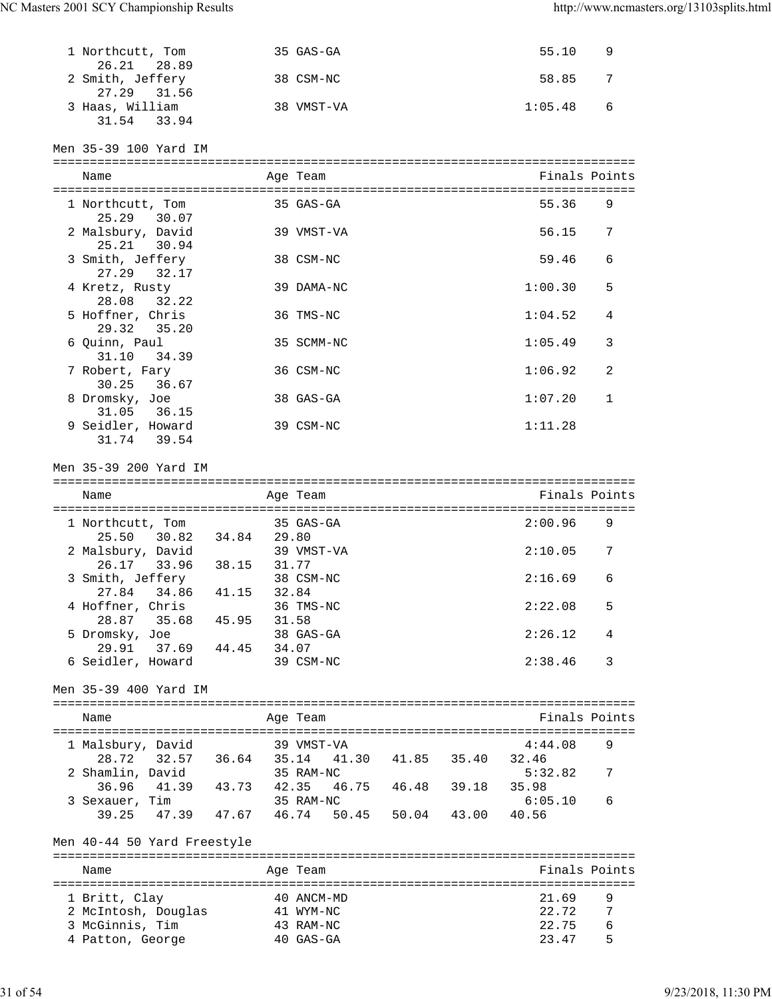| 1 Northcutt, Tom<br>26.21 28.89              |                   | 35 GAS-GA  |                   | 55.10         | 9 |
|----------------------------------------------|-------------------|------------|-------------------|---------------|---|
| 2 Smith, Jeffery<br>27.29 31.56              |                   | 38 CSM-NC  |                   | 58.85         | 7 |
| 3 Haas, William<br>31.54 33.94               |                   | 38 VMST-VA |                   | 1:05.48       | 6 |
| Men 35-39 100 Yard IM                        |                   |            |                   |               |   |
| Name                                         |                   | Age Team   |                   | Finals Points |   |
| 1 Northcutt, Tom                             |                   | 35 GAS-GA  |                   | 55.36         | 9 |
| 25.29 30.07<br>2 Malsbury, David             |                   | 39 VMST-VA |                   | 56.15         | 7 |
| 25.21 30.94<br>3 Smith, Jeffery              |                   | 38 CSM-NC  |                   | 59.46         | 6 |
| 27.29 32.17<br>4 Kretz, Rusty<br>28.08 32.22 |                   | 39 DAMA-NC |                   | 1:00.30       | 5 |
| 5 Hoffner, Chris<br>29.32 35.20              |                   | 36 TMS-NC  |                   | 1:04.52       | 4 |
| 6 Quinn, Paul<br>31.10<br>34.39              |                   | 35 SCMM-NC |                   | 1:05.49       | 3 |
| 7 Robert, Fary<br>30.25<br>36.67             |                   | 36 CSM-NC  |                   | 1:06.92       | 2 |
| 8 Dromsky, Joe<br>31.05 36.15                |                   | 38 GAS-GA  |                   | 1:07.20       | 1 |
| 9 Seidler, Howard<br>31.74 39.54             |                   | 39 CSM-NC  |                   | 1:11.28       |   |
| Men 35-39 200 Yard IM                        |                   |            |                   |               |   |
|                                              |                   |            |                   |               |   |
| Name                                         |                   | Age Team   |                   | Finals Points |   |
|                                              |                   |            |                   |               |   |
| 1 Northcutt, Tom                             |                   | 35 GAS-GA  |                   | 2:00.96       | 9 |
| 25.50 30.82 34.84 29.80                      |                   |            |                   |               |   |
| 2 Malsbury, David                            |                   | 39 VMST-VA |                   | 2:10.05       | 7 |
| 26.17 33.96 38.15                            | 31.77             |            |                   |               |   |
| 3 Smith, Jeffery                             |                   | 38 CSM-NC  |                   | 2:16.69       | 6 |
| 27.84 34.86                                  | 41.15 32.84       |            |                   |               |   |
| 4 Hoffner, Chris                             |                   | 36 TMS-NC  |                   | 2:22.08       | 5 |
| 28.87<br>35.68                               | 45.95<br>31.58    |            |                   |               |   |
| 5 Dromsky, Joe                               |                   | 38 GAS-GA  |                   | 2:26.12       | 4 |
| 29.91 37.69 44.45<br>6 Seidler, Howard       | 34.07             | 39 CSM-NC  |                   | 2:38.46       | 3 |
| Men 35–39 400 Yard IM                        |                   |            |                   |               |   |
|                                              |                   |            |                   |               |   |
| Name                                         |                   | Age Team   |                   | Finals Points |   |
|                                              |                   |            |                   |               |   |
| 1 Malsbury, David                            |                   | 39 VMST-VA |                   | 4:44.08       | 9 |
| 28.72                                        | 32.57 36.64 35.14 |            | 41.30 41.85 35.40 | 32.46         |   |
| 2 Shamlin, David                             |                   | 35 RAM-NC  |                   | 5:32.82       | 7 |
| 36.96<br>41.39                               | 43.73<br>42.35    |            | 46.75 46.48 39.18 | 35.98         |   |
| 3 Sexauer, Tim                               |                   | 35 RAM-NC  |                   | 6:05.10       | 6 |
| 39.25 47.39 47.67 46.74 50.45 50.04 43.00    |                   |            |                   | 40.56         |   |
| Men 40-44 50 Yard Freestyle                  |                   |            |                   |               |   |
| Name                                         |                   | Age Team   |                   | Finals Points |   |
|                                              |                   |            |                   |               |   |
| 1 Britt, Clay                                |                   | 40 ANCM-MD |                   | 21.69         | 9 |
| 2 McIntosh, Douglas                          |                   | 41 WYM-NC  |                   | 22.72         | 7 |
| 3 McGinnis, Tim                              |                   | 43 RAM-NC  |                   | 22.75         | 6 |
| 4 Patton, George                             |                   | 40 GAS-GA  |                   | 23.47         | 5 |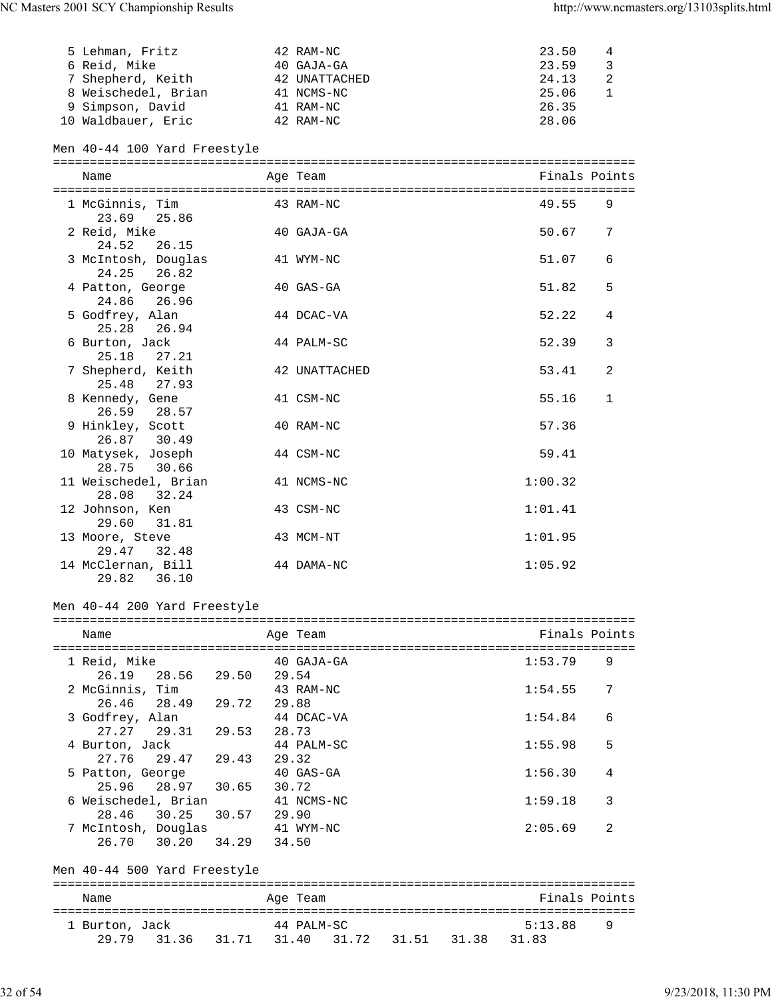| 5 Lehman, Fritz     | 42 RAM-NC     | 23.50 | 4 |
|---------------------|---------------|-------|---|
| 6 Reid, Mike        | 40 GAJA-GA    | 23.59 |   |
| 7 Shepherd, Keith   | 42 UNATTACHED | 24.13 | 2 |
| 8 Weischedel, Brian | 41 NCMS-NC    | 25.06 |   |
| 9 Simpson, David    | 41 RAM-NC     | 26.35 |   |
| 10 Waldbauer, Eric  | 42 RAM-NC     | 28.06 |   |

# Men 40-44 100 Yard Freestyle

| Name                                   | Age Team      | Finals Points |              |
|----------------------------------------|---------------|---------------|--------------|
| 1 McGinnis, Tim<br>23.69 25.86         | 43 RAM-NC     | 49.55         | 9            |
| 2 Reid, Mike<br>24.52<br>26.15         | 40 GAJA-GA    | 50.67         | 7            |
| 3 McIntosh, Douglas<br>24.25 26.82     | 41 WYM-NC     | 51.07         | 6            |
| 4 Patton, George<br>24.86<br>26.96     | 40 GAS-GA     | 51.82         | 5            |
| 5 Godfrey, Alan<br>25.28<br>26.94      | 44 DCAC-VA    | 52.22         | 4            |
| 6 Burton, Jack<br>25.18 27.21          | 44 PALM-SC    | 52.39         | 3            |
| 7 Shepherd, Keith<br>25.48 27.93       | 42 UNATTACHED | 53.41         | 2            |
| 8 Kennedy, Gene<br>26.59 28.57         | 41 CSM-NC     | 55.16         | $\mathbf{1}$ |
| 9 Hinkley, Scott<br>26.87 30.49        | 40 RAM-NC     | 57.36         |              |
| 10 Matysek, Joseph<br>30.66<br>28.75   | 44 CSM-NC     | 59.41         |              |
| 11 Weischedel, Brian<br>28.08<br>32.24 | 41 NCMS-NC    | 1:00.32       |              |
| 12 Johnson, Ken<br>29.60<br>31.81      | 43 CSM-NC     | 1:01.41       |              |
| 13 Moore, Steve<br>29.47 32.48         | 43 MCM-NT     | 1:01.95       |              |
| 14 McClernan, Bill<br>29.82<br>36.10   | 44 DAMA-NC    | 1:05.92       |              |

# Men 40-44 200 Yard Freestyle

| Name                         |       | Age Team   | Finals Points |   |
|------------------------------|-------|------------|---------------|---|
| 1 Reid, Mike                 |       | 40 GAJA-GA | 1:53.79       | 9 |
| 26.19 28.56 29.50            |       | 29.54      |               |   |
| 2 McGinnis, Tim              |       | 43 RAM-NC  | 1:54.55       | 7 |
| 26.46 28.49                  | 29.72 | 29.88      |               |   |
| 3 Godfrey, Alan              |       | 44 DCAC-VA | 1:54.84       | 6 |
| 27.27 29.31                  | 29.53 | 28.73      |               |   |
| 4 Burton, Jack               |       | 44 PALM-SC | 1:55.98       | 5 |
| 27.76 29.47 29.43            |       | 29.32      |               |   |
| 5 Patton, George             |       | 40 GAS-GA  | 1:56.30       | 4 |
| 25.96 28.97 30.65            |       | 30.72      |               |   |
| 6 Weischedel, Brian          |       | 41 NCMS-NC | 1:59.18       | 3 |
| 28.46 30.25                  | 30.57 | 29.90      |               |   |
| 7 McIntosh, Douglas          |       | 41 WYM-NC  | 2:05.69       | 2 |
| 26.70 30.20 34.29            |       | 34.50      |               |   |
| Men 40-44 500 Yard Freestyle |       |            |               |   |

| Name           |             |                         | Age Team   |  |             | Finals Points |     |
|----------------|-------------|-------------------------|------------|--|-------------|---------------|-----|
| 1 Burton, Jack | 29.79 31.36 | 31.71 31.40 31.72 31.51 | 44 PALM-SC |  | 31.38 31.83 | 5:13.88       | - Q |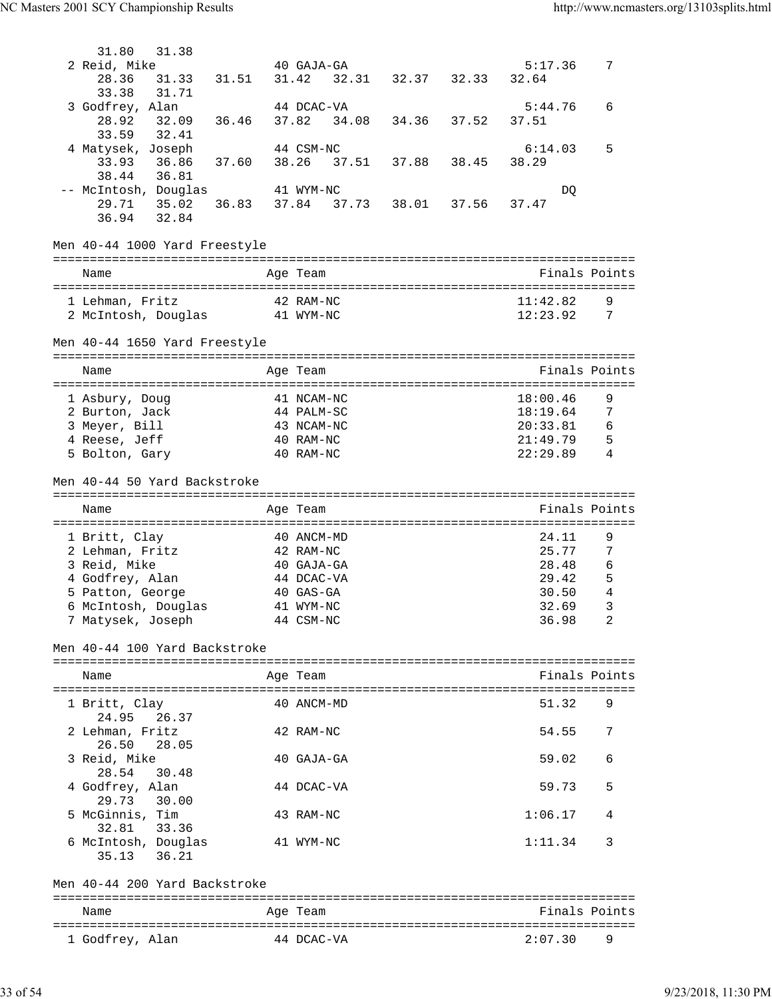| 31.80<br>31.38                         |       |                          |                   |       |                   |                      |                     |
|----------------------------------------|-------|--------------------------|-------------------|-------|-------------------|----------------------|---------------------|
| 2 Reid, Mike                           |       | 40 GAJA-GA               |                   |       |                   | 5:17.36              | 7                   |
| 28.36<br>31.33                         | 31.51 | 31.42                    |                   |       | 32.31 32.37 32.33 | 32.64                |                     |
| 31.71<br>33.38                         |       |                          |                   |       |                   |                      |                     |
| 3 Godfrey, Alan                        |       | 44 DCAC-VA               |                   |       |                   | 5:44.76              | 6                   |
| 28.92<br>32.09<br>32.41<br>33.59       | 36.46 | 37.82<br>34.08           |                   | 34.36 | 37.52             | 37.51                |                     |
| 4 Matysek, Joseph                      |       | 44 CSM-NC                |                   |       |                   | 6:14.03              | 5                   |
| 33.93<br>36.86                         | 37.60 | 38.26                    | 37.51 37.88 38.45 |       |                   | 38.29                |                     |
| 36.81<br>38.44                         |       |                          |                   |       |                   |                      |                     |
| -- McIntosh, Douglas                   |       | 41 WYM-NC                |                   |       |                   | DQ                   |                     |
| 29.71 35.02                            | 36.83 | 37.84 37.73 38.01 37.56  |                   |       |                   | 37.47                |                     |
| 36.94 32.84                            |       |                          |                   |       |                   |                      |                     |
| Men 40-44 1000 Yard Freestyle          |       |                          |                   |       |                   |                      |                     |
|                                        |       |                          |                   |       |                   |                      |                     |
| Name                                   |       | Age Team                 |                   |       |                   |                      | Finals Points       |
|                                        |       |                          |                   |       |                   | 11:42.82             |                     |
| 1 Lehman, Fritz<br>2 McIntosh, Douglas |       | 42 RAM-NC<br>41 WYM-NC   |                   |       |                   | 12:23.92             | 9<br>7              |
|                                        |       |                          |                   |       |                   |                      |                     |
| Men 40-44 1650 Yard Freestyle          |       |                          |                   |       |                   |                      |                     |
|                                        |       |                          |                   |       |                   |                      |                     |
| Name                                   |       | Age Team                 |                   |       |                   |                      | Finals Points       |
|                                        |       |                          |                   |       |                   |                      |                     |
| 1 Asbury, Doug                         |       | 41 NCAM-NC               |                   |       |                   | 18:00.46<br>18:19.64 | 9<br>7              |
| 2 Burton, Jack<br>3 Meyer, Bill        |       | 44 PALM-SC<br>43 NCAM-NC |                   |       |                   | 20:33.81             | 6                   |
| 4 Reese, Jeff                          |       | 40 RAM-NC                |                   |       |                   | 21:49.79             | - 5                 |
| 5 Bolton, Gary                         |       | 40 RAM-NC                |                   |       |                   | 22:29.89             | 4                   |
|                                        |       |                          |                   |       |                   |                      |                     |
| Men 40-44 50 Yard Backstroke           |       |                          |                   |       |                   |                      |                     |
|                                        |       |                          |                   |       |                   |                      |                     |
|                                        |       |                          |                   |       |                   |                      |                     |
| Name                                   |       | Age Team                 |                   |       |                   |                      | Finals Points       |
|                                        |       |                          |                   |       |                   |                      |                     |
| 1 Britt, Clay                          |       | 40 ANCM-MD               |                   |       |                   | 24.11                | 9                   |
| 2 Lehman, Fritz                        |       | 42 RAM-NC                |                   |       |                   | 25.77                | 7                   |
| 3 Reid, Mike                           |       | 40 GAJA-GA<br>44 DCAC-VA |                   |       |                   | 28.48<br>29.42       | 6                   |
| 4 Godfrey, Alan<br>5 Patton, George    |       | 40 GAS-GA                |                   |       |                   | 30.50                | 5<br>$\overline{4}$ |
| 6 McIntosh, Douglas                    |       | 41 WYM-NC                |                   |       |                   | 32.69                | $\mathcal{E}$       |
| 7 Matysek, Joseph                      |       | 44 CSM-NC                |                   |       |                   | 36.98                | 2                   |
|                                        |       |                          |                   |       |                   |                      |                     |
| Men 40-44 100 Yard Backstroke          |       |                          |                   |       |                   |                      |                     |
|                                        |       |                          |                   |       |                   |                      |                     |
| Name                                   |       | Age Team                 |                   |       |                   |                      | Finals Points       |
|                                        |       | 40 ANCM-MD               |                   |       |                   | 51.32                | 9                   |
| 1 Britt, Clay<br>26.37<br>24.95        |       |                          |                   |       |                   |                      |                     |
| 2 Lehman, Fritz                        |       | 42 RAM-NC                |                   |       |                   | 54.55                | 7                   |
| 26.50<br>28.05                         |       |                          |                   |       |                   |                      |                     |
| 3 Reid, Mike                           |       | 40 GAJA-GA               |                   |       |                   | 59.02                | 6                   |
| 28.54<br>30.48                         |       |                          |                   |       |                   |                      |                     |
| 4 Godfrey, Alan                        |       | 44 DCAC-VA               |                   |       |                   | 59.73                | 5                   |
| 29.73 30.00                            |       |                          |                   |       |                   |                      |                     |
| 5 McGinnis, Tim                        |       | 43 RAM-NC                |                   |       |                   | 1:06.17              | 4                   |
| 33.36<br>32.81                         |       | 41 WYM-NC                |                   |       |                   | 1:11.34              | 3                   |
| 6 McIntosh, Douglas<br>36.21<br>35.13  |       |                          |                   |       |                   |                      |                     |
|                                        |       |                          |                   |       |                   |                      |                     |
| Men 40-44 200 Yard Backstroke          |       |                          |                   |       |                   |                      |                     |
|                                        |       |                          |                   |       |                   |                      |                     |
| Name                                   |       | Age Team                 |                   |       |                   |                      | Finals Points       |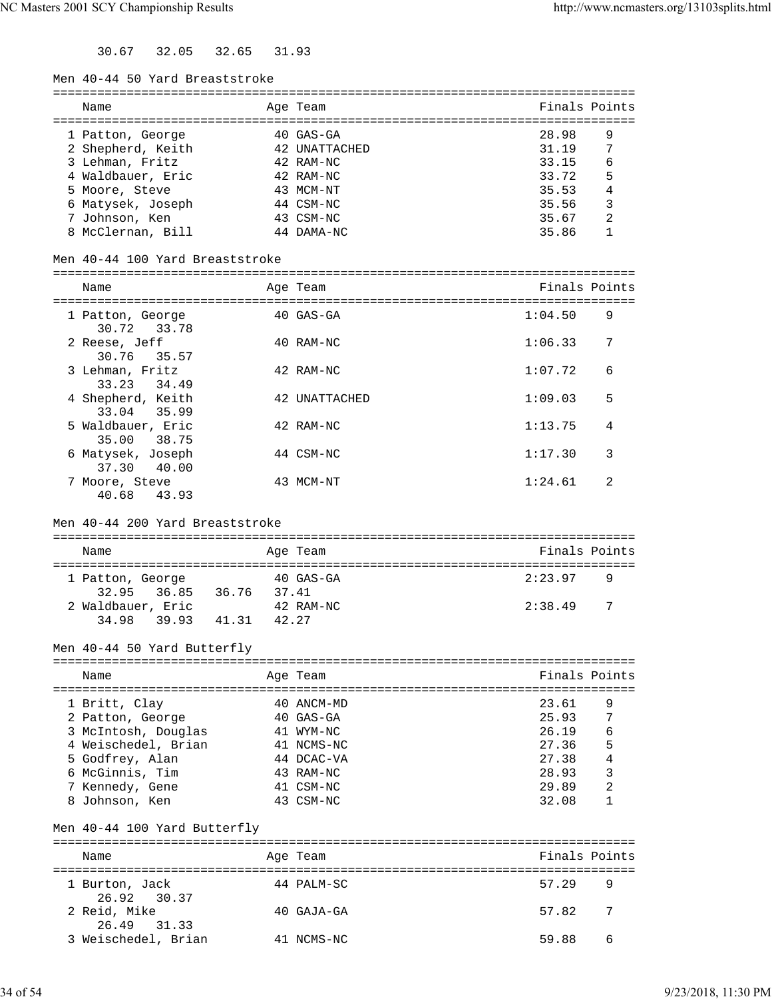30.67 32.05 32.65 31.93

| Men 40-44 50 Yard Breaststroke |  |  |
|--------------------------------|--|--|
|--------------------------------|--|--|

| Name              | Age Team      | Finals Points |   |
|-------------------|---------------|---------------|---|
| 1 Patton, George  | $40$ GAS-GA   | 28.98         | 9 |
| 2 Shepherd, Keith | 42 UNATTACHED | 31.19         | 7 |
| 3 Lehman, Fritz   | 42 RAM-NC     | 33.15         | 6 |
| 4 Waldbauer, Eric | 42 RAM-NC     | 33.72         | 5 |
| 5 Moore, Steve    | 43 MCM-NT     | 35.53         | 4 |
| 6 Matysek, Joseph | 44 CSM-NC     | 35.56         | 3 |
| 7 Johnson, Ken    | 43 CSM-NC     | 35.67         | 2 |
| 8 McClernan, Bill | 44 DAMA-NC    | 35.86         |   |
|                   |               |               |   |

Men 40-44 100 Yard Breaststroke

| Men 40-44 100 Yard Breaststroke     |               |               |   |
|-------------------------------------|---------------|---------------|---|
| Name                                | Age Team      | Finals Points |   |
| 1 Patton, George<br>30.72 33.78     | $40$ GAS-GA   | 1:04.50       | 9 |
| 2 Reese, Jeff<br>30.76 35.57        | 40 RAM-NC     | 1:06.33       | 7 |
| 3 Lehman, Fritz<br>33.23 34.49      | 42 RAM-NC     | 1:07.72       | 6 |
| 4 Shepherd, Keith<br>33.04 35.99    | 42 UNATTACHED | 1:09.03       | 5 |
| 5 Waldbauer, Eric<br>35.00<br>38.75 | 42 RAM-NC     | 1:13.75       | 4 |
| 6 Matysek, Joseph<br>40.00<br>37.30 | 44 CSM-NC     | 1:17.30       | 3 |

#### Men 40-44 200 Yard Breaststroke

40.68 43.93

| Name              |                | Age Team    | Finals Points |     |  |  |
|-------------------|----------------|-------------|---------------|-----|--|--|
| 1 Patton, George  |                | $40$ GAS-GA | 2:23.97       | 9   |  |  |
| 32.95 36.85       | 36.76          | 37.41       |               |     |  |  |
| 2 Waldbauer, Eric |                | 42 RAM-NC   | 2:38.49       | - 7 |  |  |
| 34.98             | 41.31<br>39.93 | 42.27       |               |     |  |  |

7 Moore, Steve 43 MCM-NT 1:24.61 2

Men 40-44 50 Yard Butterfly

| Name                | Age Team    | Finals Points |    |
|---------------------|-------------|---------------|----|
| 1 Britt, Clay       | 40 ANCM-MD  | 23.61         | 9  |
| 2 Patton, George    | $40$ GAS-GA | 25.93         | -7 |
| 3 McIntosh, Douglas | 41 WYM-NC   | 26.19         | 6  |
| 4 Weischedel, Brian | 41 NCMS-NC  | 27.36         | 5  |
| 5 Godfrey, Alan     | 44 DCAC-VA  | 27.38         | 4  |
| 6 McGinnis, Tim     | 43 RAM-NC   | 28.93         | 3  |
| 7 Kennedy, Gene     | 41 CSM-NC   | 29.89         | 2  |
| Johnson, Ken        | 43 CSM-NC   | 32.08         |    |

#### Men 40-44 100 Yard Butterfly

| Name                          | Age Team     | Finals Points |    |
|-------------------------------|--------------|---------------|----|
| 1 Burton, Jack<br>26.92 30.37 | 44 PALM-SC   | 57.29         | -9 |
| 2 Reid, Mike<br>26.49 31.33   | $40$ GAJA-GA | 7<br>57.82    |    |
| 3 Weischedel, Brian           | 41 NCMS-NC   | 59.88         | 6  |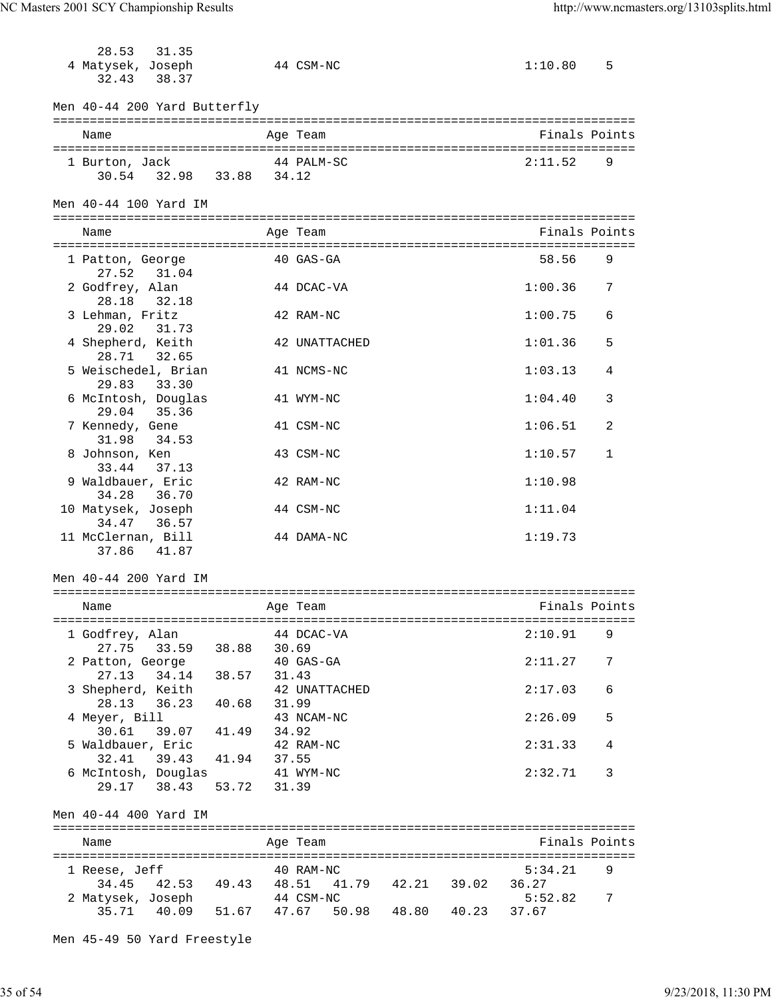28.53 31.35

| 4 Matysek, Joseph<br>32.43<br>38.37                        |             |                | 44 CSM-NC                        |  | 1:10.80          | 5 |
|------------------------------------------------------------|-------------|----------------|----------------------------------|--|------------------|---|
| Men 40-44 200 Yard Butterfly                               |             |                |                                  |  |                  |   |
| Name                                                       |             |                | Age Team                         |  | Finals Points    |   |
| 1 Burton, Jack<br>30.54 32.98 33.88 34.12                  |             |                | 44 PALM-SC                       |  | 2:11.52          | 9 |
| Men 40-44 100 Yard IM                                      |             |                |                                  |  |                  |   |
| Name                                                       |             |                | Age Team                         |  | Finals Points    |   |
| 1 Patton, George                                           |             |                | 40 GAS-GA                        |  | 58.56            | 9 |
| 27.52<br>31.04<br>2 Godfrey, Alan<br>28.18<br>32.18        |             |                | 44 DCAC-VA                       |  | 1:00.36          | 7 |
| 3 Lehman, Fritz                                            |             |                | 42 RAM-NC                        |  | 1:00.75          | 6 |
| 29.02<br>31.73<br>4 Shepherd, Keith<br>28.71<br>32.65      |             |                | 42 UNATTACHED                    |  | 1:01.36          | 5 |
| 5 Weischedel, Brian<br>29.83<br>33.30                      |             |                | 41 NCMS-NC                       |  | 1:03.13          | 4 |
| 6 McIntosh, Douglas<br>35.36<br>29.04                      |             |                | 41 WYM-NC                        |  | 1:04.40          | 3 |
| 7 Kennedy, Gene<br>31.98<br>34.53                          |             |                | 41 CSM-NC                        |  | 1:06.51          | 2 |
| 8 Johnson, Ken<br>33.44<br>37.13                           |             |                | 43 CSM-NC                        |  | 1:10.57          | 1 |
| 9 Waldbauer, Eric<br>34.28<br>36.70                        |             |                | 42 RAM-NC                        |  | 1:10.98          |   |
| 10 Matysek, Joseph<br>34.47<br>36.57                       |             |                | 44 CSM-NC                        |  | 1:11.04          |   |
| 11 McClernan, Bill<br>37.86<br>41.87                       |             |                | 44 DAMA-NC                       |  | 1:19.73          |   |
| Men 40-44 200 Yard IM                                      |             |                |                                  |  |                  |   |
| Name                                                       |             |                | Age Team                         |  | Finals Points    |   |
| 1 Godfrey, Alan                                            |             |                | 44 DCAC-VA                       |  | 2:10.91          | 9 |
| 27.75<br>33.59<br>2 Patton, George<br>27.13<br>34.14 38.57 | 38.88       | 30.69<br>31.43 | 40 GAS-GA                        |  | 2:11.27          | 7 |
| 3 Shepherd, Keith<br>28.13<br>36.23                        | 40.68       | 31.99          | 42 UNATTACHED                    |  | 2:17.03          | 6 |
| 4 Meyer, Bill<br>30.61<br>39.07 41.49                      |             | 34.92          | 43 NCAM-NC                       |  | 2:26.09          | 5 |
| 5 Waldbauer, Eric<br>32.41<br>39.43 41.94                  |             | 37.55          | 42 RAM-NC                        |  | 2:31.33          | 4 |
| 6 McIntosh, Douglas<br>38.43<br>29.17                      | 53.72 31.39 |                | 41 WYM-NC                        |  | 2:32.71          | 3 |
| Men 40-44 400 Yard IM                                      |             |                |                                  |  |                  |   |
| Name                                                       |             |                | Age Team                         |  | Finals Points    |   |
| 1 Reese, Jeff                                              |             |                | 40 RAM-NC                        |  | 5:34.21          | 9 |
| 34.45<br>42.53 49.43 48.51<br>2 Matysek, Joseph            |             |                | 41.79  42.21  39.02<br>44 CSM-NC |  | 36.27<br>5:52.82 | 7 |
| 35.71  40.09  51.67  47.67  50.98  48.80  40.23            |             |                |                                  |  | 37.67            |   |

Men 45-49 50 Yard Freestyle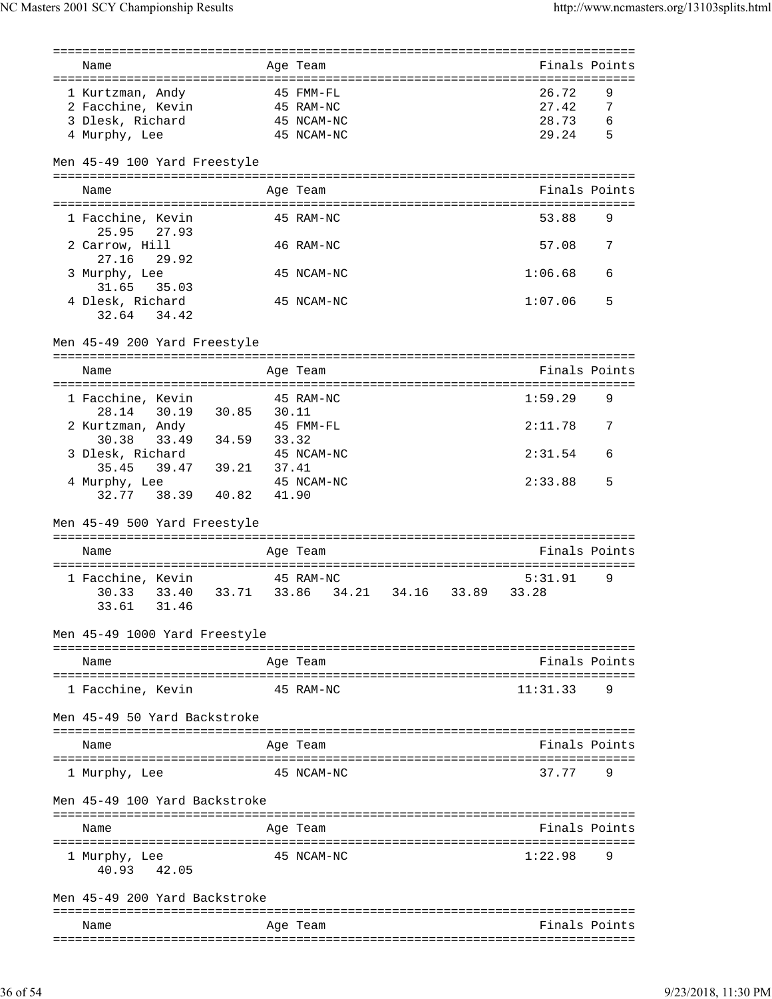| Finals Points<br>Age Team<br>26.72<br>45 FMM-FL<br>9<br>1 Kurtzman, Andy<br>7<br>2 Facchine, Kevin<br>27.42<br>45 RAM-NC<br>28.73<br>3 Dlesk, Richard<br>6<br>45 NCAM-NC<br>4 Murphy, Lee<br>45 NCAM-NC<br>29.24<br>5<br>Men 45-49 100 Yard Freestyle<br>Finals Points<br>Name<br>Age Team<br>1 Facchine, Kevin<br>45 RAM-NC<br>53.88<br>9<br>25.95<br>27.93<br>46 RAM-NC<br>57.08<br>2 Carrow, Hill<br>7<br>27.16<br>29.92<br>3 Murphy, Lee<br>1:06.68<br>45 NCAM-NC<br>6<br>31.65 35.03<br>4 Dlesk, Richard<br>45 NCAM-NC<br>1:07.06<br>5<br>32.64 34.42<br>Men 45-49 200 Yard Freestyle<br>Finals Points<br>Name<br>Age Team<br>1 Facchine, Kevin<br>45 RAM-NC<br>1:59.29<br>9<br>30.85<br>30.19<br>30.11<br>28.14<br>2:11.78<br>2 Kurtzman, Andy<br>45 FMM-FL<br>7<br>33.49 34.59<br>30.38<br>33.32<br>3 Dlesk, Richard<br>45 NCAM-NC<br>2:31.54<br>6<br>35.45 39.47 39.21 37.41<br>45 NCAM-NC<br>5<br>4 Murphy, Lee<br>2:33.88<br>32.77 38.39 40.82<br>41.90<br>Men 45-49 500 Yard Freestyle<br>Finals Points<br>Name<br>Age Team<br>1 Facchine, Kevin<br>45 RAM-NC<br>5:31.91<br>9<br>33.40<br>33.71<br>33.86<br>34.21 34.16 33.89<br>33.28<br>30.33<br>31.46<br>33.61<br>Men 45-49 1000 Yard Freestyle<br>Finals Points<br>Age Team<br>Name<br>1 Facchine, Kevin<br>45 RAM-NC<br>11:31.33<br>9<br>Men 45-49 50 Yard Backstroke<br>Finals Points<br>Age Team<br>Name<br>9<br>1 Murphy, Lee<br>45 NCAM-NC<br>37.77<br>Men 45-49 100 Yard Backstroke<br>. = = = = = = = = = = =<br>Finals Points<br>Name<br>Age Team<br>1:22.98<br>1 Murphy, Lee<br>45 NCAM-NC<br>9<br>40.93 42.05<br>Men 45-49 200 Yard Backstroke<br>Finals Points<br>Age Team<br>Name | ========================== | ============<br>====================================== |  |
|--------------------------------------------------------------------------------------------------------------------------------------------------------------------------------------------------------------------------------------------------------------------------------------------------------------------------------------------------------------------------------------------------------------------------------------------------------------------------------------------------------------------------------------------------------------------------------------------------------------------------------------------------------------------------------------------------------------------------------------------------------------------------------------------------------------------------------------------------------------------------------------------------------------------------------------------------------------------------------------------------------------------------------------------------------------------------------------------------------------------------------------------------------------------------------------------------------------------------------------------------------------------------------------------------------------------------------------------------------------------------------------------------------------------------------------------------------------------------------------------------------------------------------------------------------------------------------------------------------------------------------------------------------------|----------------------------|--------------------------------------------------------|--|
|                                                                                                                                                                                                                                                                                                                                                                                                                                                                                                                                                                                                                                                                                                                                                                                                                                                                                                                                                                                                                                                                                                                                                                                                                                                                                                                                                                                                                                                                                                                                                                                                                                                              | Name                       |                                                        |  |
|                                                                                                                                                                                                                                                                                                                                                                                                                                                                                                                                                                                                                                                                                                                                                                                                                                                                                                                                                                                                                                                                                                                                                                                                                                                                                                                                                                                                                                                                                                                                                                                                                                                              |                            |                                                        |  |
|                                                                                                                                                                                                                                                                                                                                                                                                                                                                                                                                                                                                                                                                                                                                                                                                                                                                                                                                                                                                                                                                                                                                                                                                                                                                                                                                                                                                                                                                                                                                                                                                                                                              |                            |                                                        |  |
|                                                                                                                                                                                                                                                                                                                                                                                                                                                                                                                                                                                                                                                                                                                                                                                                                                                                                                                                                                                                                                                                                                                                                                                                                                                                                                                                                                                                                                                                                                                                                                                                                                                              |                            |                                                        |  |
|                                                                                                                                                                                                                                                                                                                                                                                                                                                                                                                                                                                                                                                                                                                                                                                                                                                                                                                                                                                                                                                                                                                                                                                                                                                                                                                                                                                                                                                                                                                                                                                                                                                              |                            |                                                        |  |
|                                                                                                                                                                                                                                                                                                                                                                                                                                                                                                                                                                                                                                                                                                                                                                                                                                                                                                                                                                                                                                                                                                                                                                                                                                                                                                                                                                                                                                                                                                                                                                                                                                                              |                            |                                                        |  |
|                                                                                                                                                                                                                                                                                                                                                                                                                                                                                                                                                                                                                                                                                                                                                                                                                                                                                                                                                                                                                                                                                                                                                                                                                                                                                                                                                                                                                                                                                                                                                                                                                                                              |                            |                                                        |  |
|                                                                                                                                                                                                                                                                                                                                                                                                                                                                                                                                                                                                                                                                                                                                                                                                                                                                                                                                                                                                                                                                                                                                                                                                                                                                                                                                                                                                                                                                                                                                                                                                                                                              |                            |                                                        |  |
|                                                                                                                                                                                                                                                                                                                                                                                                                                                                                                                                                                                                                                                                                                                                                                                                                                                                                                                                                                                                                                                                                                                                                                                                                                                                                                                                                                                                                                                                                                                                                                                                                                                              |                            |                                                        |  |
|                                                                                                                                                                                                                                                                                                                                                                                                                                                                                                                                                                                                                                                                                                                                                                                                                                                                                                                                                                                                                                                                                                                                                                                                                                                                                                                                                                                                                                                                                                                                                                                                                                                              |                            |                                                        |  |
|                                                                                                                                                                                                                                                                                                                                                                                                                                                                                                                                                                                                                                                                                                                                                                                                                                                                                                                                                                                                                                                                                                                                                                                                                                                                                                                                                                                                                                                                                                                                                                                                                                                              |                            |                                                        |  |
|                                                                                                                                                                                                                                                                                                                                                                                                                                                                                                                                                                                                                                                                                                                                                                                                                                                                                                                                                                                                                                                                                                                                                                                                                                                                                                                                                                                                                                                                                                                                                                                                                                                              |                            |                                                        |  |
|                                                                                                                                                                                                                                                                                                                                                                                                                                                                                                                                                                                                                                                                                                                                                                                                                                                                                                                                                                                                                                                                                                                                                                                                                                                                                                                                                                                                                                                                                                                                                                                                                                                              |                            |                                                        |  |
|                                                                                                                                                                                                                                                                                                                                                                                                                                                                                                                                                                                                                                                                                                                                                                                                                                                                                                                                                                                                                                                                                                                                                                                                                                                                                                                                                                                                                                                                                                                                                                                                                                                              |                            |                                                        |  |
|                                                                                                                                                                                                                                                                                                                                                                                                                                                                                                                                                                                                                                                                                                                                                                                                                                                                                                                                                                                                                                                                                                                                                                                                                                                                                                                                                                                                                                                                                                                                                                                                                                                              |                            |                                                        |  |
|                                                                                                                                                                                                                                                                                                                                                                                                                                                                                                                                                                                                                                                                                                                                                                                                                                                                                                                                                                                                                                                                                                                                                                                                                                                                                                                                                                                                                                                                                                                                                                                                                                                              |                            |                                                        |  |
|                                                                                                                                                                                                                                                                                                                                                                                                                                                                                                                                                                                                                                                                                                                                                                                                                                                                                                                                                                                                                                                                                                                                                                                                                                                                                                                                                                                                                                                                                                                                                                                                                                                              |                            |                                                        |  |
|                                                                                                                                                                                                                                                                                                                                                                                                                                                                                                                                                                                                                                                                                                                                                                                                                                                                                                                                                                                                                                                                                                                                                                                                                                                                                                                                                                                                                                                                                                                                                                                                                                                              |                            |                                                        |  |
|                                                                                                                                                                                                                                                                                                                                                                                                                                                                                                                                                                                                                                                                                                                                                                                                                                                                                                                                                                                                                                                                                                                                                                                                                                                                                                                                                                                                                                                                                                                                                                                                                                                              |                            |                                                        |  |
|                                                                                                                                                                                                                                                                                                                                                                                                                                                                                                                                                                                                                                                                                                                                                                                                                                                                                                                                                                                                                                                                                                                                                                                                                                                                                                                                                                                                                                                                                                                                                                                                                                                              |                            |                                                        |  |
|                                                                                                                                                                                                                                                                                                                                                                                                                                                                                                                                                                                                                                                                                                                                                                                                                                                                                                                                                                                                                                                                                                                                                                                                                                                                                                                                                                                                                                                                                                                                                                                                                                                              |                            |                                                        |  |
|                                                                                                                                                                                                                                                                                                                                                                                                                                                                                                                                                                                                                                                                                                                                                                                                                                                                                                                                                                                                                                                                                                                                                                                                                                                                                                                                                                                                                                                                                                                                                                                                                                                              |                            |                                                        |  |
|                                                                                                                                                                                                                                                                                                                                                                                                                                                                                                                                                                                                                                                                                                                                                                                                                                                                                                                                                                                                                                                                                                                                                                                                                                                                                                                                                                                                                                                                                                                                                                                                                                                              |                            |                                                        |  |
|                                                                                                                                                                                                                                                                                                                                                                                                                                                                                                                                                                                                                                                                                                                                                                                                                                                                                                                                                                                                                                                                                                                                                                                                                                                                                                                                                                                                                                                                                                                                                                                                                                                              |                            |                                                        |  |
|                                                                                                                                                                                                                                                                                                                                                                                                                                                                                                                                                                                                                                                                                                                                                                                                                                                                                                                                                                                                                                                                                                                                                                                                                                                                                                                                                                                                                                                                                                                                                                                                                                                              |                            |                                                        |  |
|                                                                                                                                                                                                                                                                                                                                                                                                                                                                                                                                                                                                                                                                                                                                                                                                                                                                                                                                                                                                                                                                                                                                                                                                                                                                                                                                                                                                                                                                                                                                                                                                                                                              |                            |                                                        |  |
|                                                                                                                                                                                                                                                                                                                                                                                                                                                                                                                                                                                                                                                                                                                                                                                                                                                                                                                                                                                                                                                                                                                                                                                                                                                                                                                                                                                                                                                                                                                                                                                                                                                              |                            |                                                        |  |
|                                                                                                                                                                                                                                                                                                                                                                                                                                                                                                                                                                                                                                                                                                                                                                                                                                                                                                                                                                                                                                                                                                                                                                                                                                                                                                                                                                                                                                                                                                                                                                                                                                                              |                            |                                                        |  |
|                                                                                                                                                                                                                                                                                                                                                                                                                                                                                                                                                                                                                                                                                                                                                                                                                                                                                                                                                                                                                                                                                                                                                                                                                                                                                                                                                                                                                                                                                                                                                                                                                                                              |                            |                                                        |  |
|                                                                                                                                                                                                                                                                                                                                                                                                                                                                                                                                                                                                                                                                                                                                                                                                                                                                                                                                                                                                                                                                                                                                                                                                                                                                                                                                                                                                                                                                                                                                                                                                                                                              |                            |                                                        |  |
|                                                                                                                                                                                                                                                                                                                                                                                                                                                                                                                                                                                                                                                                                                                                                                                                                                                                                                                                                                                                                                                                                                                                                                                                                                                                                                                                                                                                                                                                                                                                                                                                                                                              |                            |                                                        |  |
|                                                                                                                                                                                                                                                                                                                                                                                                                                                                                                                                                                                                                                                                                                                                                                                                                                                                                                                                                                                                                                                                                                                                                                                                                                                                                                                                                                                                                                                                                                                                                                                                                                                              |                            |                                                        |  |
|                                                                                                                                                                                                                                                                                                                                                                                                                                                                                                                                                                                                                                                                                                                                                                                                                                                                                                                                                                                                                                                                                                                                                                                                                                                                                                                                                                                                                                                                                                                                                                                                                                                              |                            |                                                        |  |
|                                                                                                                                                                                                                                                                                                                                                                                                                                                                                                                                                                                                                                                                                                                                                                                                                                                                                                                                                                                                                                                                                                                                                                                                                                                                                                                                                                                                                                                                                                                                                                                                                                                              |                            |                                                        |  |
|                                                                                                                                                                                                                                                                                                                                                                                                                                                                                                                                                                                                                                                                                                                                                                                                                                                                                                                                                                                                                                                                                                                                                                                                                                                                                                                                                                                                                                                                                                                                                                                                                                                              |                            |                                                        |  |
|                                                                                                                                                                                                                                                                                                                                                                                                                                                                                                                                                                                                                                                                                                                                                                                                                                                                                                                                                                                                                                                                                                                                                                                                                                                                                                                                                                                                                                                                                                                                                                                                                                                              |                            |                                                        |  |
|                                                                                                                                                                                                                                                                                                                                                                                                                                                                                                                                                                                                                                                                                                                                                                                                                                                                                                                                                                                                                                                                                                                                                                                                                                                                                                                                                                                                                                                                                                                                                                                                                                                              |                            |                                                        |  |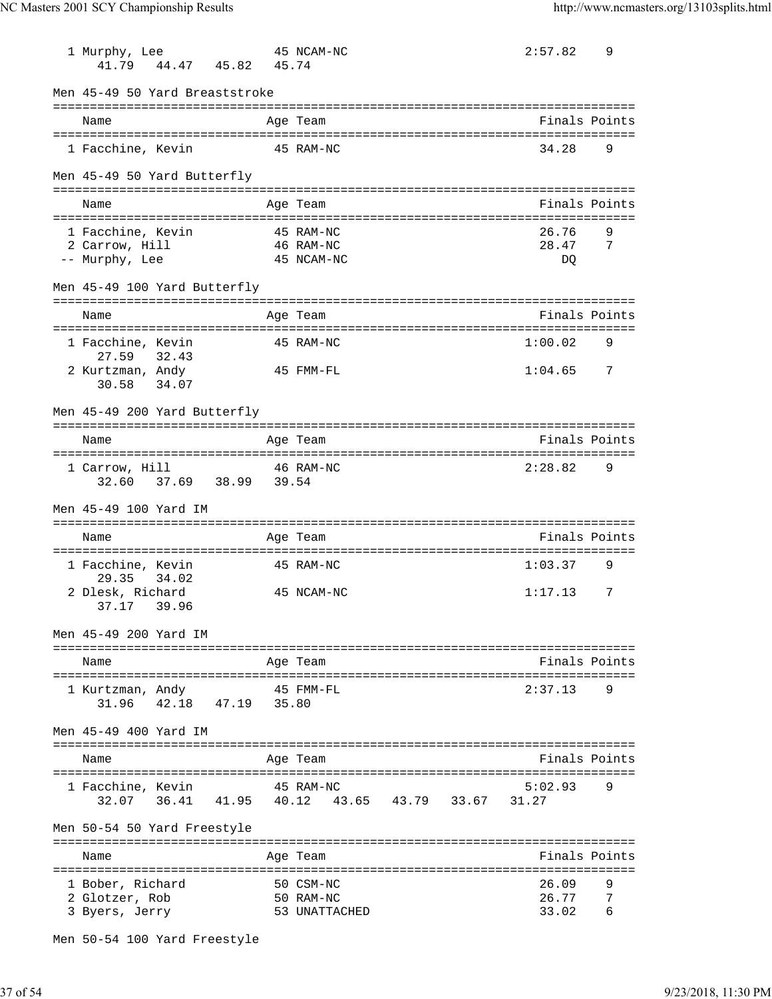| 1 Murphy, Lee<br>41.79  44.47  45.82  45.74          | 45 NCAM-NC                                      | 2:57.82       | 9 |
|------------------------------------------------------|-------------------------------------------------|---------------|---|
| Men 45-49 50 Yard Breaststroke                       |                                                 |               |   |
| Name                                                 | Age Team                                        | Finals Points |   |
| 1 Facchine, Kevin<br>45 RAM-NC                       |                                                 | 34.28         | 9 |
| Men 45-49 50 Yard Butterfly                          |                                                 |               |   |
| Name                                                 | Age Team                                        | Finals Points |   |
| 1 Facchine, Kevin                                    | 45 RAM-NC                                       | 26.76         | 9 |
| 2 Carrow, Hill<br>-- Murphy, Lee                     | 46 RAM-NC<br>45 NCAM-NC                         | 28.47<br>DO.  | 7 |
| Men 45-49 100 Yard Butterfly                         |                                                 |               |   |
| Name                                                 | --------------------------------<br>Age Team    | Finals Points |   |
| 1 Facchine, Kevin                                    | 45 RAM-NC                                       | 1:00.02       | 9 |
| 27.59 32.43                                          |                                                 |               |   |
| 2 Kurtzman, Andy<br>30.58 34.07                      | 45 FMM-FL                                       | 1:04.65       | 7 |
| Men 45-49 200 Yard Butterfly                         |                                                 |               |   |
| Name                                                 | Age Team                                        | Finals Points |   |
| 1 Carrow, Hill<br>37.69 38.99 39.54<br>32.60         | 46 RAM-NC                                       | 2:28.82       | 9 |
| Men 45-49 100 Yard IM                                |                                                 |               |   |
| Name                                                 | Age Team                                        | Finals Points |   |
| 1 Facchine, Kevin                                    | 45 RAM-NC                                       | 1:03.37       | 9 |
| 29.35<br>34.02<br>2 Dlesk, Richard<br>37.17 39.96    | 45 NCAM-NC                                      | 1:17.13       | 7 |
| Men 45-49 200 Yard IM                                |                                                 |               |   |
| Name                                                 | Age Team                                        | Finals Points |   |
|                                                      |                                                 |               |   |
| 1 Kurtzman, Andy<br>$42.18$ $47.19$ $35.80$<br>31.96 | $45$ FMM-FL                                     | 2:37.13       | 9 |
| Men 45-49 400 Yard IM                                |                                                 |               |   |
| Name                                                 | Age Team                                        | Finals Points |   |
| 1 Facchine, Kevin                                    | 45 RAM-NC                                       | 5:02.93       | 9 |
|                                                      | 32.07 36.41 41.95 40.12 43.65 43.79 33.67 31.27 |               |   |
| Men 50-54 50 Yard Freestyle                          |                                                 |               |   |
| Name                                                 | Age Team                                        | Finals Points |   |
| 1 Bober, Richard                                     | 50 CSM-NC                                       | 26.09         | 9 |
| 2 Glotzer, Rob                                       | 50 RAM-NC                                       | 26.77         | 7 |
| 3 Byers, Jerry                                       | 53 UNATTACHED                                   | 33.02         | 6 |

Men 50-54 100 Yard Freestyle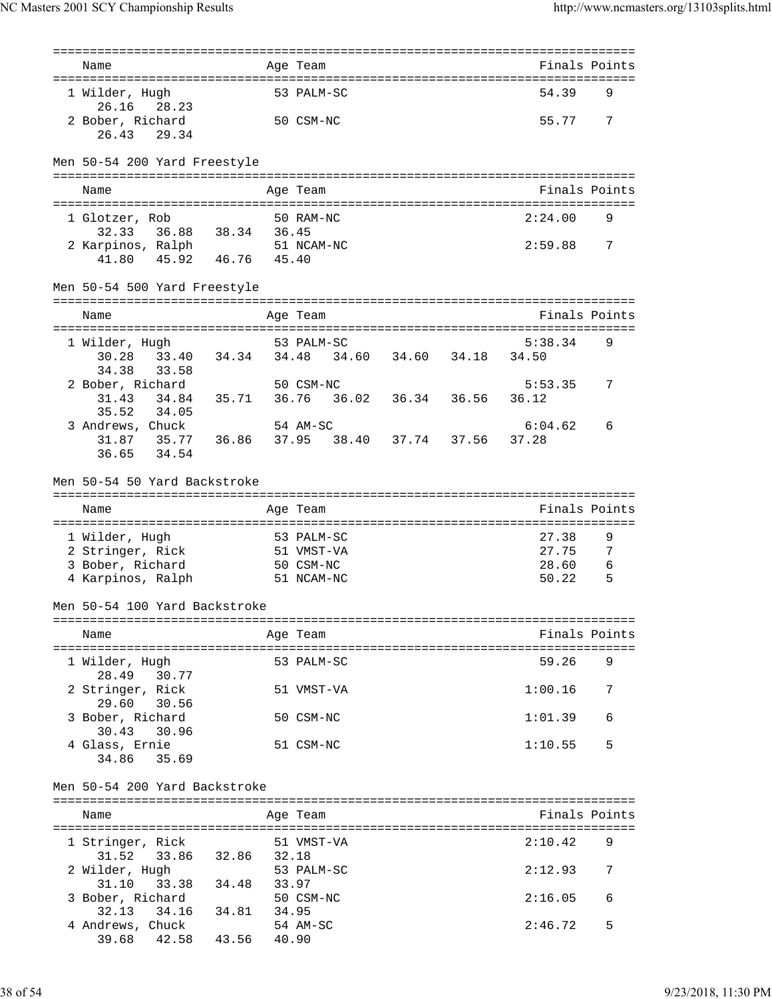| Name                                                                                  |            | Age Team                                              |  | Finals Points    |   |
|---------------------------------------------------------------------------------------|------------|-------------------------------------------------------|--|------------------|---|
| 1 Wilder, Hugh<br>26.16<br>28.23                                                      | 53 PALM-SC |                                                       |  | 54.39            | 9 |
| 2 Bober, Richard<br>26.43<br>29.34                                                    |            | 50 CSM-NC                                             |  | 55.77            | 7 |
| Men 50-54 200 Yard Freestyle                                                          |            |                                                       |  |                  |   |
| Name                                                                                  |            | Age Team                                              |  | Finals Points    |   |
| 1 Glotzer, Rob                                                                        |            | 50 RAM-NC                                             |  | 2:24.00          | 9 |
| 32.33 36.88 38.34 36.45<br>2 Karpinos, Ralph 51 NCAM-NC<br>45.92 46.76 45.40<br>41.80 |            |                                                       |  | 2:59.88          | 7 |
| Men 50-54 500 Yard Freestyle                                                          |            |                                                       |  |                  |   |
| Name                                                                                  |            | Age Team                                              |  | Finals Points    |   |
| 1 Wilder, Hugh                                                                        |            | 53 PALM-SC                                            |  | 5:38.34          | 9 |
| 30.28<br>34.38<br>33.58                                                               |            | 33.40 34.34 34.48 34.60 34.60 34.18 34.50             |  |                  |   |
| 2 Bober, Richard                                                                      |            | 50 CSM-NC<br>34.84  35.71  36.76  36.02  36.34  36.56 |  | 5:53.35          | 7 |
| 31.43<br>34.05<br>35.52                                                               |            |                                                       |  | 36.12            |   |
| 3 Andrews, Chuck<br>31.87 35.77 36.86 37.95 38.40 37.74 37.56<br>36.65<br>34.54       |            | 54 AM-SC                                              |  | 6:04.62<br>37.28 | 6 |
| Men 50-54 50 Yard Backstroke                                                          |            |                                                       |  |                  |   |
|                                                                                       |            |                                                       |  |                  |   |
| Name                                                                                  |            |                                                       |  |                  |   |
|                                                                                       |            | Age Team                                              |  | Finals Points    |   |
| 1 Wilder, Hugh                                                                        |            | 53 PALM-SC                                            |  | 27.38            | 9 |
| 2 Stringer, Rick                                                                      |            | 51 VMST-VA                                            |  | 27.75            | 7 |
| 3 Bober, Richard                                                                      |            | 50 CSM-NC                                             |  | 28.60            | 6 |
| 4 Karpinos, Ralph                                                                     |            | 51 NCAM-NC                                            |  | 50.22            | 5 |
| Men 50-54 100 Yard Backstroke                                                         |            |                                                       |  |                  |   |
| Name                                                                                  |            | Age Team                                              |  | Finals Points    |   |
| 1 Wilder, Hugh<br>30.77                                                               |            | 53 PALM-SC                                            |  | 59.26            | 9 |
| 28.49<br>2 Stringer, Rick                                                             |            | 51 VMST-VA                                            |  | 1:00.16          | 7 |
| 29.60<br>30.56<br>3 Bober, Richard                                                    |            | 50 CSM-NC                                             |  | 1:01.39          | 6 |
| 30.43<br>30.96<br>4 Glass, Ernie<br>34.86 35.69                                       |            | 51 CSM-NC                                             |  | 1:10.55          | 5 |
| Men 50-54 200 Yard Backstroke                                                         |            |                                                       |  |                  |   |
| Name                                                                                  |            | Age Team                                              |  | Finals Points    |   |
| 1 Stringer, Rick                                                                      |            | 51 VMST-VA                                            |  | 2:10.42          | 9 |
| 31.52<br>33.86 32.86 32.18<br>2 Wilder, Hugh                                          |            | 53 PALM-SC                                            |  | 2:12.93          | 7 |
| 33.38 34.48<br>31.10<br>3 Bober, Richard                                              | 33.97      | 50 CSM-NC                                             |  | 2:16.05          | 6 |
| 34.16 34.81<br>32.13<br>4 Andrews, Chuck                                              | 34.95      | 54 AM-SC                                              |  | 2:46.72          | 5 |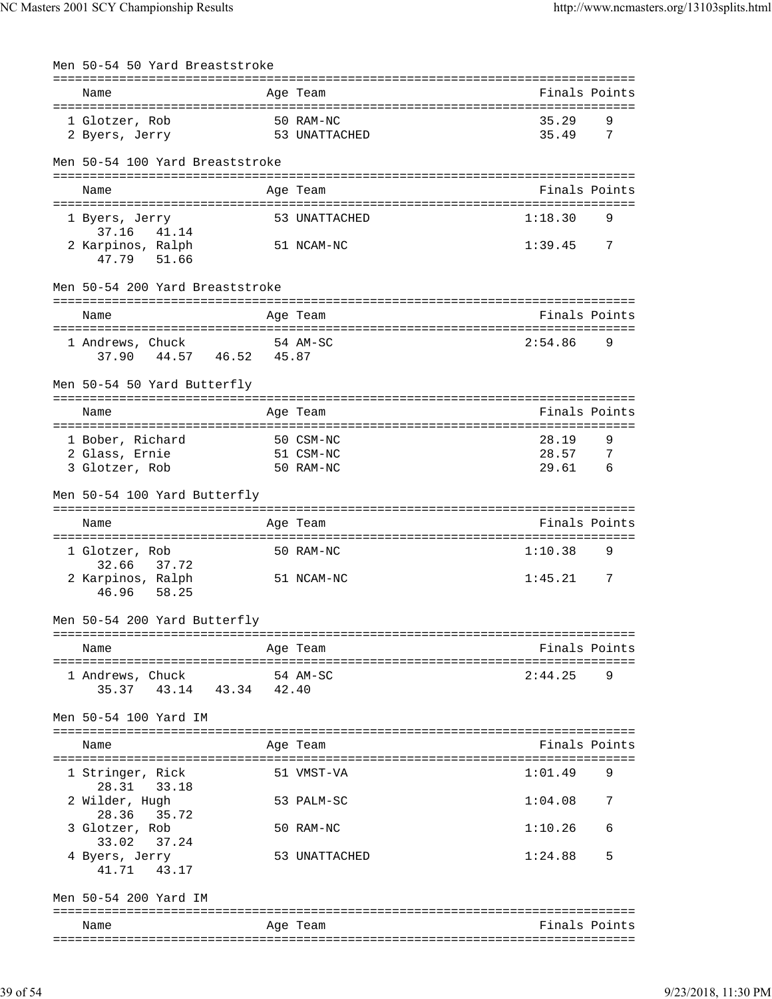| Men 50-54 50 Yard Breaststroke                 |       |               |                           |          |
|------------------------------------------------|-------|---------------|---------------------------|----------|
| Name                                           |       | Age Team      | Finals Points             |          |
| 50 RAM-NC<br>1 Glotzer, Rob<br>2 Byers, Jerry  |       | 53 UNATTACHED | 35.29<br>35.49            | 9<br>- 7 |
| Men 50-54 100 Yard Breaststroke                |       |               |                           |          |
| Name                                           |       | Age Team      | Finals Points             |          |
| 1 Byers, Jerry<br>37.16                        |       | 53 UNATTACHED | 1:18.30                   | 9        |
| 41.14<br>2 Karpinos, Ralph<br>47.79 51.66      |       | 51 NCAM-NC    | 1:39.45<br>$\overline{7}$ |          |
| Men 50-54 200 Yard Breaststroke                |       |               |                           |          |
| Name                                           |       | Age Team      | Finals Points             |          |
| 1 Andrews, Chuck<br>37.90  44.57  46.52  45.87 |       | 54 AM-SC      | 2:54.86                   | 9        |
| Men 50-54 50 Yard Butterfly                    |       |               |                           |          |
| Name                                           |       | Age Team      | Finals Points             |          |
| 1 Bober, Richard                               |       | 50 CSM-NC     | 28.19                     | 9        |
| 2 Glass, Ernie                                 |       | 51 CSM-NC     | 28.57                     | - 7      |
| 3 Glotzer, Rob                                 |       | 50 RAM-NC     | 6<br>29.61                |          |
| Men 50-54 100 Yard Butterfly                   |       |               |                           |          |
| Name                                           |       | Age Team      | Finals Points             |          |
| 1 Glotzer, Rob<br>32.66<br>37.72               |       | 50 RAM-NC     | 1:10.38                   | 9        |
| 2 Karpinos, Ralph<br>46.96 58.25               |       | 51 NCAM-NC    | 1:45.21                   | 7        |
| Men 50-54 200 Yard Butterfly                   |       |               |                           |          |
| Name                                           |       | Age Team      | Finals Points             |          |
| 1 Andrews, Chuck<br>35.37 43.14 43.34          | 42.40 | 54 AM-SC      | 2:44.25                   | 9        |
| Men 50-54 100 Yard IM                          |       |               |                           |          |
| Name                                           |       | Age Team      | Finals Points             |          |
| 1 Stringer, Rick<br>28.31 33.18                |       | 51 VMST-VA    | 1:01.49                   | 9        |
| 2 Wilder, Hugh<br>28.36                        |       | 53 PALM-SC    | 1:04.08                   | 7        |
| 35.72<br>3 Glotzer, Rob<br>37.24<br>33.02      |       | 50 RAM-NC     | 1:10.26                   | 6        |
| 4 Byers, Jerry<br>41.71<br>43.17               |       | 53 UNATTACHED | 1:24.88                   | 5        |
| Men 50-54 200 Yard IM                          |       |               |                           |          |
| Name                                           |       | Age Team      | Finals Points             |          |
|                                                |       |               |                           |          |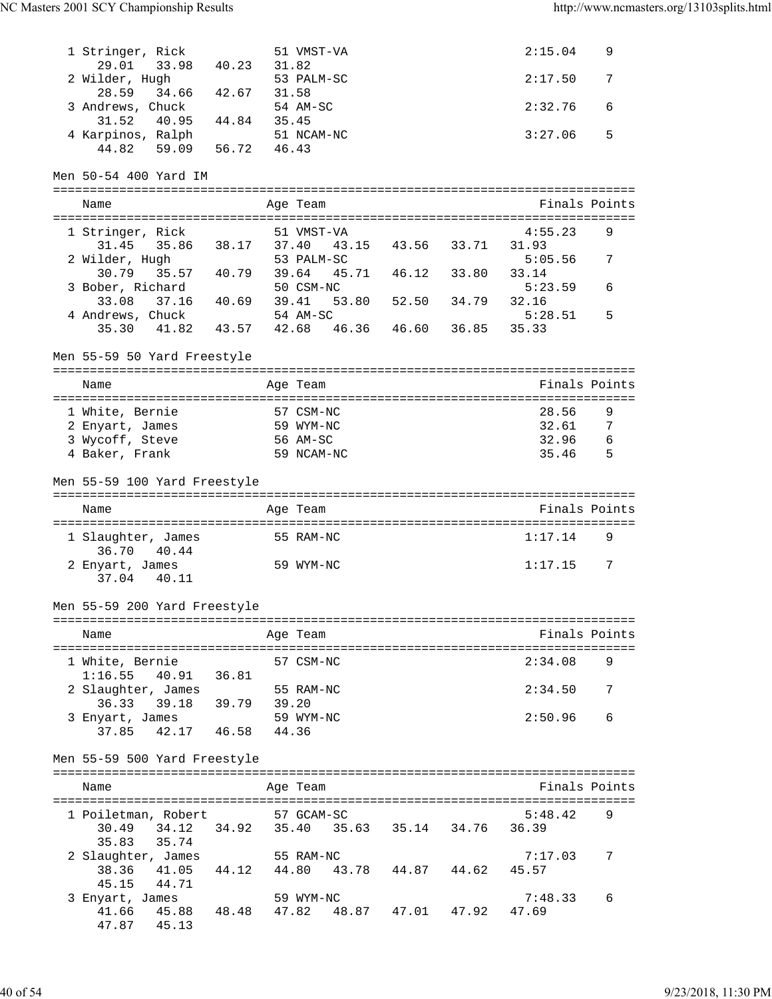| 1 Stringer, Rick<br>29.01<br>33.98 40.23 31.82 |                    | 51 VMST-VA |                     |       | 2:15.04          | 9 |
|------------------------------------------------|--------------------|------------|---------------------|-------|------------------|---|
| 2 Wilder, Hugh<br>28.59<br>34.66 42.67         | 31.58              | 53 PALM-SC |                     |       | 2:17.50          | 7 |
| 3 Andrews, Chuck<br>44.84<br>31.52<br>40.95    | 54 AM-SC<br>35.45  |            |                     |       | 2:32.76          | 6 |
| 4 Karpinos, Ralph<br>59.09<br>56.72<br>44.82   | 46.43              | 51 NCAM-NC |                     |       | 3:27.06          | 5 |
| Men 50-54 400 Yard IM                          |                    |            |                     |       |                  |   |
| Name                                           | Age Team           |            |                     |       | Finals Points    |   |
|                                                |                    |            |                     |       |                  |   |
| 1 Stringer, Rick                               |                    | 51 VMST-VA |                     |       | 4:55.23          | 9 |
| 35.86 38.17 37.40<br>31.45                     |                    |            | 43.15 43.56 33.71   |       | 31.93            |   |
| 2 Wilder, Hugh                                 | 53 PALM-SC         |            |                     |       | 5:05.56          | 7 |
| 30.79<br>35.57 40.79 39.64<br>3 Bober, Richard | 50 CSM-NC          |            | 45.71  46.12  33.80 |       | 33.14<br>5:23.59 | 6 |
| 33.08 37.16 40.69 39.41                        |                    |            | 53.80 52.50 34.79   |       | 32.16            |   |
| 4 Andrews, Chuck                               | 54 AM-SC           |            |                     |       | 5:28.51          | 5 |
| 35.30<br>41.82                                 | 43.57 42.68        |            | 46.36 46.60         | 36.85 | 35.33            |   |
|                                                |                    |            |                     |       |                  |   |
| Men 55-59 50 Yard Freestyle                    |                    |            |                     |       |                  |   |
| Name                                           |                    |            |                     |       | Finals Points    |   |
|                                                | Age Team           |            |                     |       |                  |   |
| 1 White, Bernie                                | 57 CSM-NC          |            |                     |       | 28.56            | 9 |
| 2 Enyart, James                                | 59 WYM-NC          |            |                     |       | 32.61            | 7 |
| 3 Wycoff, Steve                                | 56 AM-SC           |            |                     |       | 32.96            | 6 |
| 4 Baker, Frank                                 | 59 NCAM-NC         |            |                     |       | 35.46            | 5 |
|                                                |                    |            |                     |       |                  |   |
| Men 55-59 100 Yard Freestyle                   |                    |            |                     |       |                  |   |
|                                                |                    |            |                     |       |                  |   |
|                                                |                    |            |                     |       |                  |   |
| Name                                           | Age Team           |            |                     |       | Finals Points    |   |
| 1 Slaughter, James<br>36.70 40.44              | 55 RAM-NC          |            |                     |       | 1:17.14          | 9 |
| 2 Enyart, James                                | 59 WYM-NC          |            |                     |       | 1:17.15          | 7 |
| 37.04 40.11                                    |                    |            |                     |       |                  |   |
| Men 55-59 200 Yard Freestyle                   |                    |            |                     |       |                  |   |
|                                                |                    |            |                     |       |                  |   |
| Name                                           | Age Team           |            |                     |       | Finals Points    |   |
|                                                |                    |            |                     |       |                  |   |
| 1 White, Bernie                                | 57 CSM-NC          |            |                     |       | 2:34.08          | 9 |
| 1:16.55<br>40.91 36.81                         |                    |            |                     |       |                  |   |
| 2 Slaughter, James                             | 55 RAM-NC          |            |                     |       | 2:34.50          | 7 |
| 39.79<br>36.33<br>39.18                        | 39.20<br>59 WYM-NC |            |                     |       | 2:50.96          | 6 |
| 3 Enyart, James<br>42.17 46.58<br>37.85        | 44.36              |            |                     |       |                  |   |
|                                                |                    |            |                     |       |                  |   |
| Men 55-59 500 Yard Freestyle                   |                    |            |                     |       |                  |   |
| Name                                           |                    |            |                     |       | Finals Points    |   |
|                                                | Age Team           |            |                     |       |                  |   |
| 1 Poiletman, Robert                            | 57 GCAM-SC         |            |                     |       | 5:48.42          | 9 |
| 34.12 34.92 35.40 35.63 35.14 34.76<br>30.49   |                    |            |                     |       | 36.39            |   |
| 35.83<br>35.74                                 |                    |            |                     |       |                  |   |
| 2 Slaughter, James                             | 55 RAM-NC          |            |                     |       | 7:17.03          | 7 |
| 38.36<br>41.05<br>44.12                        | 44.80              |            | 43.78 44.87 44.62   |       | 45.57            |   |
| 45.15<br>44.71                                 |                    |            |                     |       |                  |   |
| 3 Enyart, James                                | 59 WYM-NC          |            |                     |       | 7:48.33          | 6 |
| 41.66<br>45.88 48.48<br>47.87<br>45.13         | 47.82              |            | 48.87 47.01 47.92   |       | 47.69            |   |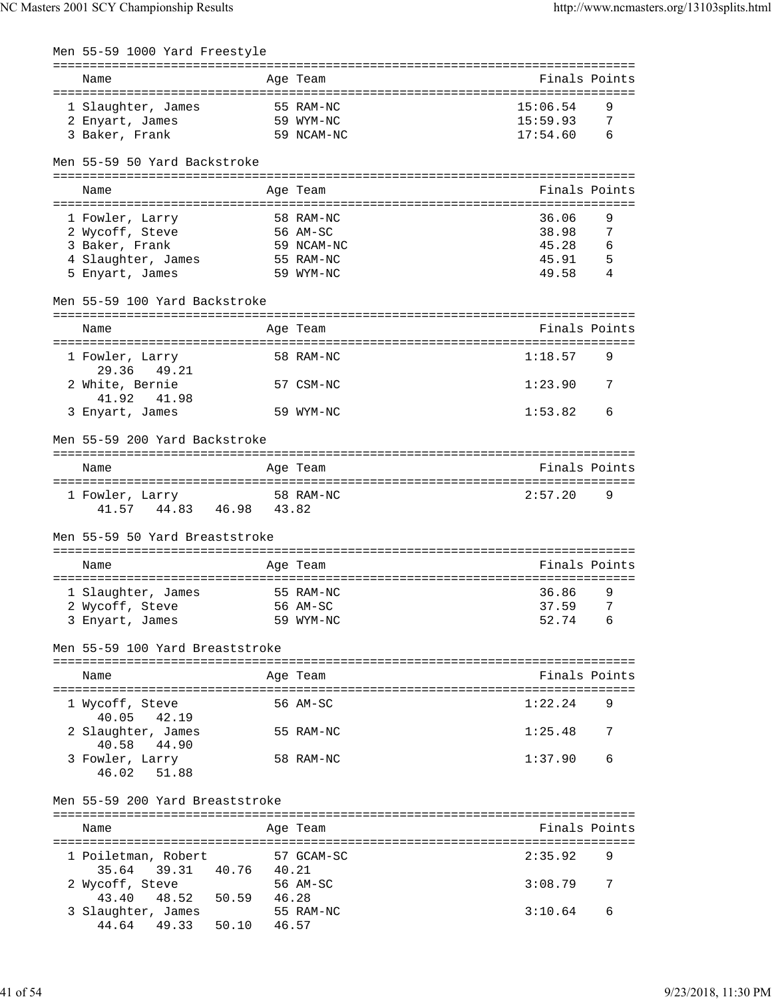| Men 55-59 1000 Yard Freestyle                           |                |            |                             |   |
|---------------------------------------------------------|----------------|------------|-----------------------------|---|
|                                                         |                |            |                             |   |
| Name                                                    |                | Age Team   | Finals Points               |   |
|                                                         | 55 RAM-NC      |            | 15:06.54                    | 9 |
| 1 Slaughter, James<br>2 Enyart, James                   |                | 59 WYM-NC  | 15:59.93<br>7               |   |
| 3 Baker, Frank                                          |                | 59 NCAM-NC | $6\overline{6}$<br>17:54.60 |   |
|                                                         |                |            |                             |   |
| Men 55-59 50 Yard Backstroke                            |                |            |                             |   |
|                                                         |                |            |                             |   |
| Name                                                    |                | Age Team   | Finals Points               |   |
|                                                         |                |            |                             |   |
| 1 Fowler, Larry                                         |                | 58 RAM-NC  | 36.06<br>9                  |   |
| 2 Wycoff, Steve                                         |                | 56 AM-SC   | 38.98<br>7                  |   |
| 3 Baker, Frank                                          |                | 59 NCAM-NC | 45.28<br>6                  |   |
| 4 Slaughter, James                                      |                | 55 RAM-NC  | 45.91<br>- 5                |   |
| 5 Enyart, James                                         |                | 59 WYM-NC  | 49.58<br>-4                 |   |
| Men 55-59 100 Yard Backstroke                           |                |            |                             |   |
|                                                         |                |            |                             |   |
| Name                                                    |                | Age Team   | Finals Points               |   |
|                                                         |                |            |                             |   |
| 1 Fowler, Larry                                         |                | 58 RAM-NC  | 1:18.57<br>9                |   |
| 29.36<br>49.21                                          |                |            |                             |   |
| 2 White, Bernie                                         |                | 57 CSM-NC  | 1:23.90<br>7                |   |
| 41.92<br>41.98                                          |                |            |                             |   |
| 3 Enyart, James                                         |                | 59 WYM-NC  | 1:53.82<br>6                |   |
|                                                         |                |            |                             |   |
| Men 55-59 200 Yard Backstroke                           |                |            |                             |   |
|                                                         |                |            |                             |   |
| Name                                                    |                | Age Team   | Finals Points               |   |
|                                                         |                |            |                             |   |
| 1 Fowler, Larry 58 RAM-NC<br>41.57  44.83  46.98  43.82 |                |            | 2:57.20<br>9                |   |
|                                                         |                |            |                             |   |
| Men 55-59 50 Yard Breaststroke                          |                |            |                             |   |
|                                                         |                |            |                             |   |
| Name                                                    |                | Age Team   | Finals Points               |   |
|                                                         |                |            |                             |   |
| 1 Slaughter, James                                      |                | 55 RAM-NC  | 36.86<br>9                  |   |
| 2 Wycoff, Steve                                         |                | 56 AM-SC   | 37.59                       | 7 |
| 3 Enyart, James                                         |                | 59 WYM-NC  | 52.74<br>6                  |   |
|                                                         |                |            |                             |   |
| Men 55-59 100 Yard Breaststroke                         |                |            |                             |   |
|                                                         |                |            |                             |   |
| Name                                                    |                | Age Team   | Finals Points               |   |
|                                                         |                | 56 AM-SC   | 1:22.24<br>9                |   |
| 1 Wycoff, Steve<br>40.05<br>42.19                       |                |            |                             |   |
| 2 Slaughter, James                                      |                | 55 RAM-NC  | 1:25.48                     | 7 |
| 40.58<br>44.90                                          |                |            |                             |   |
| 3 Fowler, Larry                                         |                | 58 RAM-NC  | 1:37.90<br>6                |   |
| 46.02<br>51.88                                          |                |            |                             |   |
|                                                         |                |            |                             |   |
| Men 55-59 200 Yard Breaststroke                         |                |            |                             |   |
|                                                         |                |            |                             |   |
| Name                                                    |                | Age Team   | Finals Points               |   |
|                                                         |                |            |                             |   |
| 1 Poiletman, Robert                                     |                | 57 GCAM-SC | 2:35.92                     | 9 |
| 35.64<br>39.31                                          | 40.76  40.21   |            |                             |   |
| 2 Wycoff, Steve                                         |                | 56 AM-SC   | 3:08.79                     | 7 |
| 48.52<br>50.59<br>43.40                                 | 46.28          |            |                             |   |
| 3 Slaughter, James                                      |                | 55 RAM-NC  | 3:10.64                     | 6 |
| 44.64<br>49.33                                          | 50.10<br>46.57 |            |                             |   |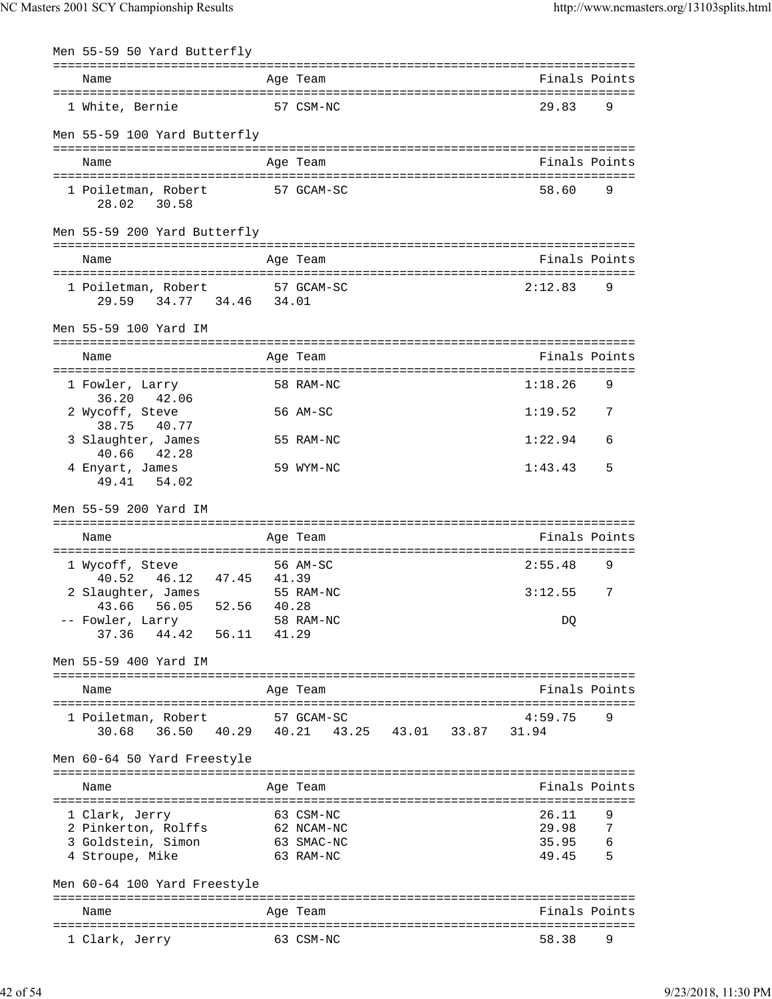| Men 55-59 50 Yard Butterfly                                               |       |                                           |                |        |
|---------------------------------------------------------------------------|-------|-------------------------------------------|----------------|--------|
| Name                                                                      |       | Age Team                                  | Finals Points  |        |
| 1 White, Bernie                                                           |       | 57 CSM-NC                                 | 29.83          | 9      |
| Men 55-59 100 Yard Butterfly                                              |       |                                           |                |        |
| Name                                                                      |       | Age Team                                  | Finals Points  |        |
| 1 Poiletman, Robert<br>28.02 30.58                                        |       | 57 GCAM-SC                                | 58.60<br>- 9   |        |
| Men 55-59 200 Yard Butterfly                                              |       |                                           |                |        |
| Name                                                                      |       | Age Team                                  | Finals Points  |        |
| 1 Poiletman, Robert 57 GCAM-SC<br>29.59 34.77 34.46 34.01                 |       |                                           | 2:12.83        | 9      |
| Men 55-59 100 Yard IM                                                     |       |                                           |                |        |
| Name                                                                      |       | Age Team                                  | Finals Points  |        |
| 1 Fowler, Larry                                                           |       | 58 RAM-NC                                 | 1:18.26        | 9      |
| 36.20 42.06<br>2 Wycoff, Steve<br>38.75<br>40.77                          |       | 56 AM-SC                                  | 1:19.52        | 7      |
| 3 Slaughter, James<br>40.66 42.28                                         |       | 55 RAM-NC                                 | 1:22.94        | 6      |
| 4 Enyart, James<br>49.41<br>54.02                                         |       | 59 WYM-NC                                 | 1:43.43        | 5      |
| Men 55-59 200 Yard IM                                                     |       |                                           |                |        |
| Name                                                                      |       | Age Team                                  | Finals Points  |        |
| 1 Wycoff, Steve                                                           |       | 56 AM-SC                                  | 2:55.48        | 9      |
| 46.12 47.45<br>40.52<br>2 Slaughter, James                                | 41.39 | 55 RAM-NC                                 | 3:12.55        | 7      |
| 43.66 56.05 52.56 40.28<br>-- Fowler, Larry<br>37.36  44.42  56.11  41.29 |       | 58 RAM-NC                                 | DQ             |        |
| Men 55-59 400 Yard IM                                                     |       |                                           |                |        |
| Name                                                                      |       | Age Team                                  | Finals Points  |        |
| 1 Poiletman, Robert                                                       |       | 57 GCAM-SC                                | 4:59.75        | 9      |
| 30.68                                                                     |       | 36.50 40.29 40.21 43.25 43.01 33.87 31.94 |                |        |
| Men 60-64 50 Yard Freestyle                                               |       |                                           |                |        |
| Name                                                                      |       | Age Team                                  | Finals Points  |        |
| 1 Clark, Jerry                                                            |       | 63 CSM-NC                                 | 26.11          |        |
| 2 Pinkerton, Rolffs<br>3 Goldstein, Simon                                 |       | 62 NCAM-NC<br>63 SMAC-NC                  | 29.98<br>35.95 | 7<br>6 |
| 4 Stroupe, Mike                                                           |       | 63 RAM-NC                                 | 49.45          | 5      |
| Men 60-64 100 Yard Freestyle                                              |       |                                           |                |        |
| Name                                                                      |       | Age Team                                  | Finals Points  |        |
| 1 Clark, Jerry                                                            |       | 63 CSM-NC                                 | 58.38          | 9      |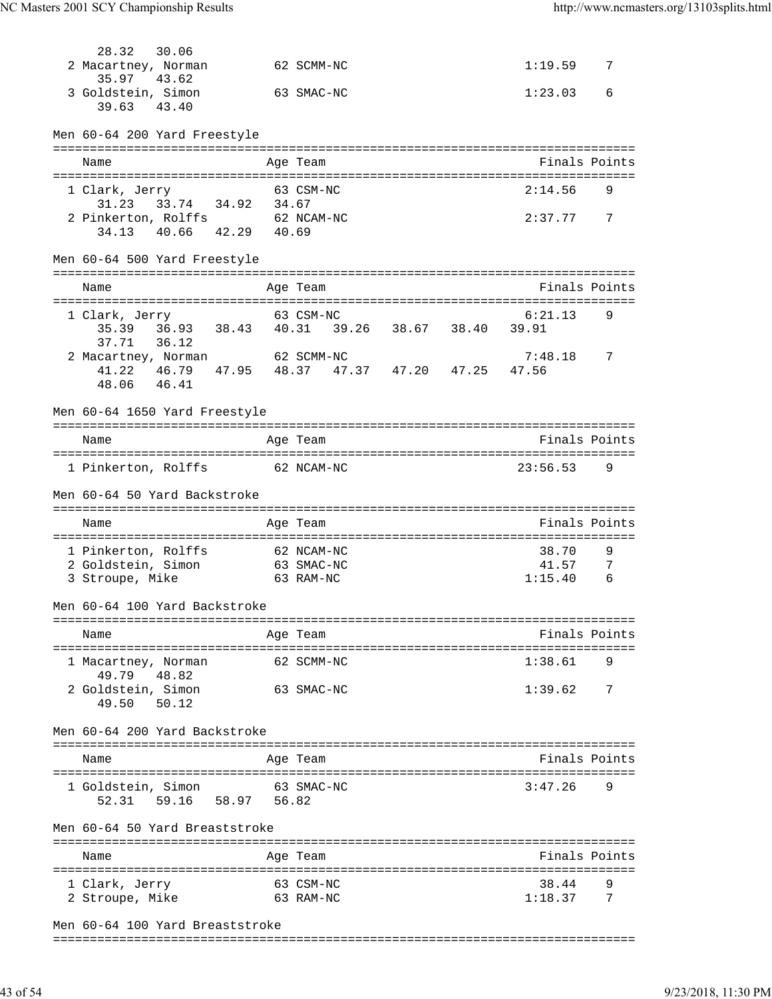| 28.32<br>2 Macartney, Norman                    | 30.06             |  | 62 SCMM-NC |  | 1:19.59                          | 7 |
|-------------------------------------------------|-------------------|--|------------|--|----------------------------------|---|
| 35.97<br>3 Goldstein, Simon                     | 43.62             |  | 63 SMAC-NC |  | 1:23.03                          | 6 |
| 39.63                                           | 43.40             |  |            |  |                                  |   |
| Men 60-64 200 Yard Freestyle                    |                   |  |            |  |                                  |   |
| Name                                            |                   |  | Age Team   |  | Finals Points                    |   |
|                                                 |                   |  |            |  |                                  |   |
| 1 Clark, Jerry                                  |                   |  | 63 CSM-NC  |  | 2:14.56                          | 9 |
| 31.23 33.74 34.92 34.67                         |                   |  |            |  |                                  |   |
| 2 Pinkerton, Rolffs 62 NCAM-NC                  |                   |  |            |  | 2:37.7777                        |   |
| 34.13                                           | 40.66 42.29 40.69 |  |            |  |                                  |   |
| Men 60-64 500 Yard Freestyle                    |                   |  |            |  |                                  |   |
|                                                 |                   |  |            |  | ================================ |   |
| Name                                            |                   |  | Age Team   |  | Finals Points                    |   |
| 1 Clark, Jerry                                  |                   |  | 63 CSM-NC  |  | 6:21.13                          | 9 |
|                                                 |                   |  |            |  |                                  |   |
| 37.71                                           | 36.12             |  |            |  |                                  |   |
| 2 Macartney, Norman 62 SCMM-NC                  |                   |  |            |  | 7:48.18                          | 7 |
| 41.22  46.79  47.95  48.37  47.37  47.20  47.25 |                   |  |            |  | 47.56                            |   |
| 48.06 46.41                                     |                   |  |            |  |                                  |   |
|                                                 |                   |  |            |  |                                  |   |
| Men 60-64 1650 Yard Freestyle                   |                   |  |            |  |                                  |   |
|                                                 |                   |  |            |  |                                  |   |
| Name                                            |                   |  | Age Team   |  | Finals Points                    |   |
|                                                 |                   |  |            |  |                                  |   |
| 1 Pinkerton, Rolffs 62 NCAM-NC                  |                   |  |            |  | 23:56.53                         | 9 |
| Men 60-64 50 Yard Backstroke                    |                   |  |            |  |                                  |   |
|                                                 |                   |  |            |  |                                  |   |
| Name                                            |                   |  | Age Team   |  | Finals Points                    |   |
|                                                 |                   |  |            |  |                                  |   |
| 1 Pinkerton, Rolffs                             |                   |  | 62 NCAM-NC |  | 38.70                            | 9 |
| 2 Goldstein, Simon                              |                   |  | 63 SMAC-NC |  | 41.57                            | 7 |
| 3 Stroupe, Mike                                 |                   |  | 63 RAM-NC  |  | 1:15.40                          | 6 |
|                                                 |                   |  |            |  |                                  |   |
| Men 60-64 100 Yard Backstroke                   |                   |  |            |  |                                  |   |
|                                                 |                   |  |            |  |                                  |   |
| Name                                            |                   |  | Age Team   |  | Finals Points                    |   |
|                                                 |                   |  |            |  |                                  |   |
| 1 Macartney, Norman                             |                   |  | 62 SCMM-NC |  | 1:38.61                          | 9 |
| 49.79 48.82                                     |                   |  |            |  |                                  |   |
| 2 Goldstein, Simon                              |                   |  | 63 SMAC-NC |  | 1:39.62                          | 7 |
| 49.50                                           | 50.12             |  |            |  |                                  |   |
| Men 60-64 200 Yard Backstroke                   |                   |  |            |  |                                  |   |
|                                                 |                   |  |            |  |                                  |   |
| Name                                            |                   |  | Age Team   |  | Finals Points                    |   |
| 1 Goldstein, Simon                              |                   |  | 63 SMAC-NC |  | 3:47.26                          | 9 |
|                                                 | 59.16 58.97 56.82 |  |            |  |                                  |   |
| 52.31                                           |                   |  |            |  |                                  |   |
| Men 60-64 50 Yard Breaststroke                  |                   |  |            |  |                                  |   |
|                                                 |                   |  |            |  |                                  |   |
|                                                 |                   |  |            |  |                                  |   |
| Name                                            |                   |  | Age Team   |  | Finals Points                    |   |
|                                                 |                   |  |            |  |                                  | 9 |
| 1 Clark, Jerry                                  |                   |  | 63 CSM-NC  |  | 38.44                            | 7 |
| 2 Stroupe, Mike                                 |                   |  | 63 RAM-NC  |  | 1:18.37                          |   |
| Men 60-64 100 Yard Breaststroke                 |                   |  |            |  |                                  |   |

===============================================================================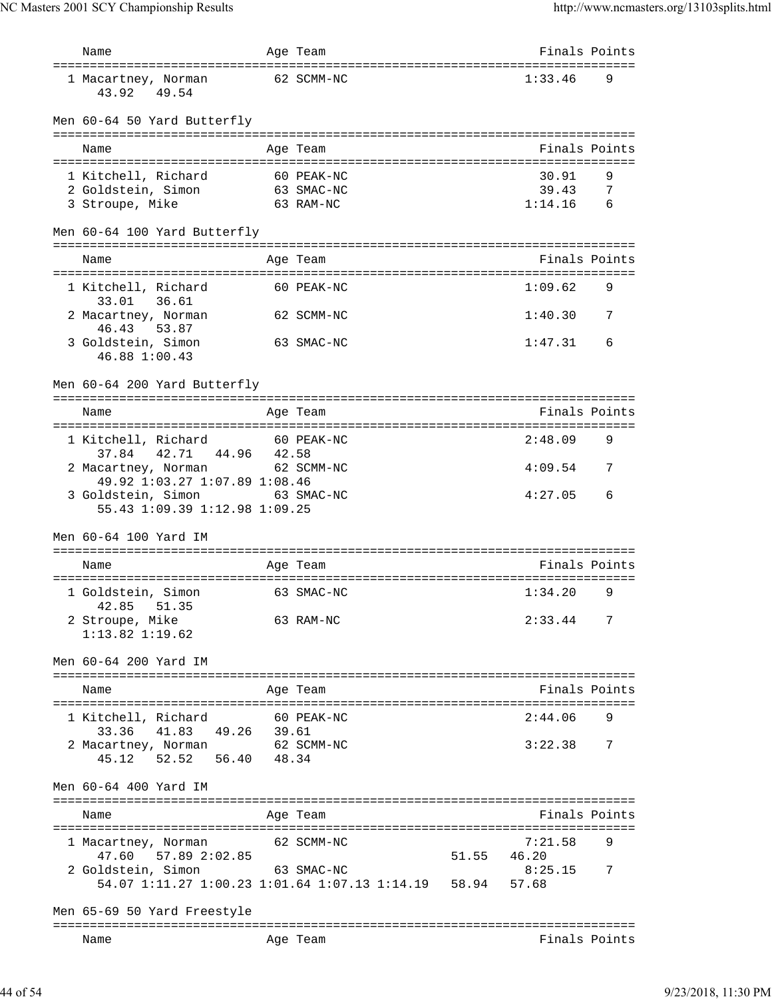| Name                                                              |       | Age Team   |       | Finals Points                   |     |
|-------------------------------------------------------------------|-------|------------|-------|---------------------------------|-----|
| ========================<br>1 Macartney, Norman<br>43.92<br>49.54 |       | 62 SCMM-NC |       | 1:33.46                         | 9   |
| Men 60-64 50 Yard Butterfly                                       |       |            |       |                                 |     |
| Name                                                              |       | Age Team   |       | Finals Points                   |     |
|                                                                   |       |            |       |                                 |     |
| 1 Kitchell, Richard                                               |       | 60 PEAK-NC |       | 30.91                           | 9   |
| 2 Goldstein, Simon                                                |       | 63 SMAC-NC |       | 39.43                           | - 7 |
| 3 Stroupe, Mike                                                   |       | 63 RAM-NC  |       | 1:14.16                         | 6   |
| Men 60-64 100 Yard Butterfly                                      |       |            |       | =============================== |     |
| Name                                                              |       | Age Team   |       | Finals Points                   |     |
|                                                                   |       |            |       |                                 |     |
| 1 Kitchell, Richard<br>33.01 36.61                                |       | 60 PEAK-NC |       | 1:09.62                         | 9   |
| 2 Macartney, Norman<br>46.43<br>53.87                             |       | 62 SCMM-NC |       | 1:40.30                         | 7   |
| 3 Goldstein, Simon<br>46.88 1:00.43                               |       | 63 SMAC-NC |       | 1:47.31                         | 6   |
| Men 60-64 200 Yard Butterfly                                      |       |            |       | =============================   |     |
| Name                                                              |       | Age Team   |       | Finals Points                   |     |
|                                                                   |       |            |       |                                 |     |
| 1 Kitchell, Richard<br>37.84 42.71 44.96                          | 42.58 | 60 PEAK-NC |       | 2:48.09                         | 9   |
| 2 Macartney, Norman 62 SCMM-NC<br>49.92 1:03.27 1:07.89 1:08.46   |       |            |       | 4:09.54                         | 7   |
| 3 Goldstein, Simon 63 SMAC-NC<br>55.43 1:09.39 1:12.98 1:09.25    |       |            |       | 4:27.05                         | 6   |
| Men 60-64 100 Yard TM                                             |       |            |       |                                 |     |
|                                                                   |       |            |       |                                 |     |
| Name                                                              |       | Age Team   |       | Finals Points                   |     |
| 1 Goldstein, Simon<br>42.85<br>51.35                              |       | 63 SMAC-NC |       | 1:34.20                         | 9   |
| 2 Stroupe, Mike<br>$1:13.82$ $1:19.62$                            |       | 63 RAM-NC  |       | 2:33.44                         | 7   |
|                                                                   |       |            |       |                                 |     |
| Men 60-64 200 Yard IM                                             |       |            |       |                                 |     |
| Name                                                              |       | Age Team   |       | Finals Points                   |     |
|                                                                   |       |            |       |                                 |     |
| 1 Kitchell, Richard                                               |       | 60 PEAK-NC |       | 2:44.06                         | 9   |
| 49.26 39.61<br>41.83<br>33.36                                     |       |            |       |                                 |     |
| 2 Macartney, Norman<br>52.52 56.40 48.34<br>45.12                 |       | 62 SCMM-NC |       | 3:22.38                         | 7   |
| Men 60-64 400 Yard IM                                             |       |            |       |                                 |     |
|                                                                   |       |            |       |                                 |     |
| Name                                                              |       | Age Team   |       | Finals Points                   |     |
| 1 Macartney, Norman                                               |       | 62 SCMM-NC |       | 7:21.58                         | 9   |
| 47.60 57.89 2:02.85                                               |       |            | 51.55 | 46.20                           |     |
| 2 Goldstein, Simon 63 SMAC-NC                                     |       |            |       | 8:25.15                         | 7   |
| 54.07 1:11.27 1:00.23 1:01.64 1:07.13 1:14.19 58.94               |       |            |       | 57.68                           |     |
|                                                                   |       |            |       |                                 |     |
| Men 65-69 50 Yard Freestyle                                       |       |            |       |                                 |     |
| Name                                                              |       | Age Team   |       | Finals Points                   |     |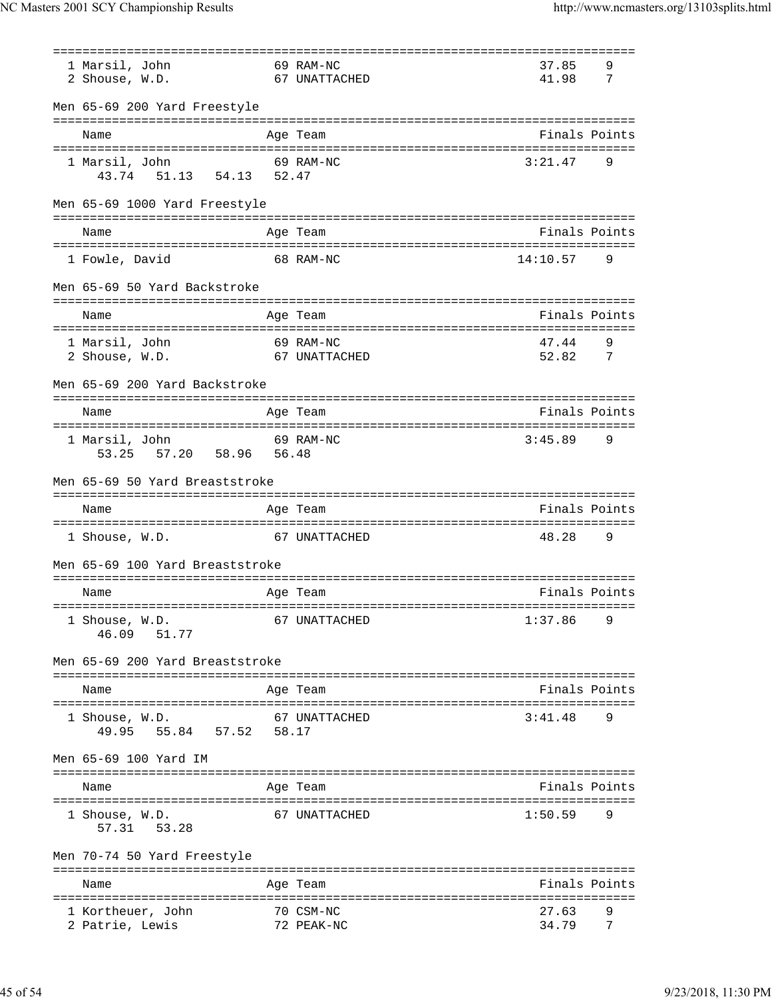NC Masters 2001 SCY Championship Results http://www.ncmasters.org/13103splits.html

|                                        | ==========<br>:====================== |                |        |
|----------------------------------------|---------------------------------------|----------------|--------|
| 69 RAM-NC<br>1 Marsil, John            |                                       | 37.85          | 9      |
| 2 Shouse, W.D.                         | 67 UNATTACHED                         | 41.98          | 7      |
|                                        |                                       |                |        |
| Men 65-69 200 Yard Freestyle           |                                       |                |        |
|                                        | Age Team                              | Finals Points  |        |
| Name                                   |                                       |                |        |
|                                        | 69 RAM-NC                             | 3:21.47        | 9      |
| 1 Marsil, John                         |                                       |                |        |
| 43.74 51.13 54.13 52.47                |                                       |                |        |
|                                        |                                       |                |        |
| Men 65-69 1000 Yard Freestyle          |                                       |                |        |
|                                        |                                       |                |        |
| Name                                   | Age Team                              | Finals Points  |        |
| ====================================== |                                       |                |        |
| 1 Fowle, David                         | 68 RAM-NC                             | 14:10.57       | 9      |
|                                        |                                       |                |        |
| Men 65-69 50 Yard Backstroke           |                                       |                |        |
|                                        |                                       |                |        |
| Name                                   | Age Team                              | Finals Points  |        |
|                                        |                                       |                |        |
| 1 Marsil, John                         | 69 RAM-NC                             | 47.44          | 9      |
| 2 Shouse, W.D.                         | 67 UNATTACHED                         | 52.82          | 7      |
|                                        |                                       |                |        |
| Men 65-69 200 Yard Backstroke          |                                       |                |        |
|                                        | ===============================       |                |        |
| Name                                   | Age Team                              | Finals Points  |        |
|                                        |                                       |                |        |
| 69 RAM-NC<br>1 Marsil, John            |                                       | 3:45.89        | 9      |
| 57.20 58.96 56.48<br>53.25             |                                       |                |        |
|                                        |                                       |                |        |
| Men 65-69 50 Yard Breaststroke         |                                       |                |        |
|                                        |                                       |                |        |
|                                        |                                       |                |        |
|                                        |                                       |                |        |
| Name                                   | Age Team                              | Finals Points  |        |
|                                        |                                       |                |        |
| 1 Shouse, W.D.                         | 67 UNATTACHED                         | 48.28          | 9      |
|                                        |                                       |                |        |
| Men 65-69 100 Yard Breaststroke        |                                       |                |        |
|                                        |                                       |                |        |
| Name                                   | Age Team                              | Finals Points  |        |
|                                        |                                       |                |        |
| 1 Shouse, W.D.                         | 67 UNATTACHED                         | 1:37.86        | 9      |
| 51.77<br>46.09                         |                                       |                |        |
|                                        |                                       |                |        |
| Men 65-69 200 Yard Breaststroke        |                                       |                |        |
|                                        |                                       |                |        |
| Name                                   | Age Team                              | Finals Points  |        |
|                                        |                                       |                |        |
| 1 Shouse, W.D.                         | 67 UNATTACHED                         | 3:41.48        | 9      |
| 49.95 55.84 57.52 58.17                |                                       |                |        |
|                                        |                                       |                |        |
| Men 65-69 100 Yard IM                  |                                       |                |        |
|                                        |                                       |                |        |
| Name                                   | Age Team                              | Finals Points  |        |
|                                        |                                       |                |        |
|                                        |                                       |                | 9      |
| 1 Shouse, W.D.                         | 67 UNATTACHED                         | 1:50.59        |        |
| 53.28<br>57.31                         |                                       |                |        |
|                                        |                                       |                |        |
| Men 70-74 50 Yard Freestyle            |                                       |                |        |
|                                        |                                       |                |        |
| Name                                   | Age Team                              | Finals Points  |        |
|                                        |                                       |                |        |
| 1 Kortheuer, John<br>2 Patrie, Lewis   | 70 CSM-NC<br>72 PEAK-NC               | 27.63<br>34.79 | 9<br>7 |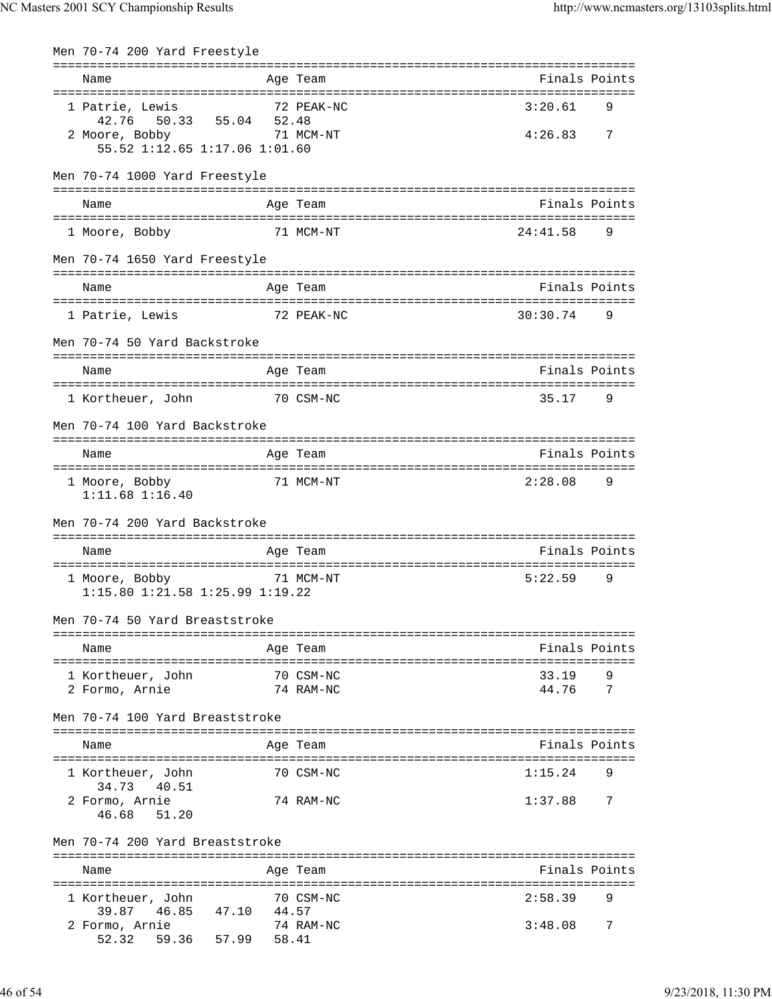| Men 70-74 200 Yard Freestyle                                         |       |                        |                |        |
|----------------------------------------------------------------------|-------|------------------------|----------------|--------|
| Name                                                                 |       | Age Team               | Finals Points  |        |
| 1 Patrie, Lewis<br>50.33 55.04 52.48<br>42.76                        |       | 72 PEAK-NC             | 3:20.61        | 9      |
| 2 Moore, Bobby<br>55.52 1:12.65 1:17.06 1:01.60                      |       | 71 MCM-NT              | 4:26.83        | 7      |
| Men 70-74 1000 Yard Freestyle                                        |       |                        |                |        |
| Name                                                                 |       | Age Team               | Finals Points  |        |
| 1 Moore, Bobby                                                       |       | 71 MCM-NT              | 24:41.58       | 9      |
| Men 70-74 1650 Yard Freestyle                                        |       |                        |                |        |
| Name                                                                 |       | Age Team               | Finals Points  |        |
| 1 Patrie, Lewis                                                      |       | 72 PEAK-NC             | 30:30.74       | 9      |
| Men 70-74 50 Yard Backstroke                                         |       |                        |                |        |
| Name                                                                 |       | Age Team               | Finals Points  |        |
| 1 Kortheuer, John                                                    |       | 70 CSM-NC              | 35.17          | 9      |
| Men 70-74 100 Yard Backstroke                                        |       |                        |                |        |
| Name                                                                 |       | Age Team               | Finals Points  |        |
| 1 Moore, Bobby<br>$1:11.68$ $1:16.40$                                |       | 71 MCM-NT              | 2:28.08        | 9      |
| Men 70-74 200 Yard Backstroke                                        |       |                        |                |        |
| Name                                                                 |       | Age Team               | Finals Points  |        |
| 1 Moore, Bobby<br>$1:15.80$ $1:21.58$ $1:25.99$ $1:19.22$            |       | 71 MCM-NT              | 5:22.59        | 9      |
| Men 70-74 50 Yard Breaststroke                                       |       |                        |                |        |
| Name                                                                 |       | Age Team               | Finals Points  |        |
| 1 Kortheuer, John<br>2 Formo, Arnie                                  |       | 70 CSM-NC<br>74 RAM-NC | 33.19<br>44.76 | 9<br>7 |
| Men 70-74 100 Yard Breaststroke                                      |       |                        |                |        |
| Name                                                                 |       | Age Team               | Finals Points  |        |
| 1 Kortheuer, John                                                    |       | 70 CSM-NC              | 1:15.24        | 9      |
| 34.73<br>40.51                                                       |       | 74 RAM-NC              |                | 7      |
| 2 Formo, Arnie<br>46.68<br>51.20                                     |       |                        | 1:37.88        |        |
| Men 70-74 200 Yard Breaststroke                                      |       |                        |                |        |
| Name                                                                 |       | Age Team               | Finals Points  |        |
| 1 Kortheuer, John                                                    |       | 70 CSM-NC              | 2:58.39        | 9      |
| 39.87<br>46.85<br>47.10<br>2 Formo, Arnie<br>52.32 59.36 57.99 58.41 | 44.57 | 74 RAM-NC              | 3:48.08        | 7      |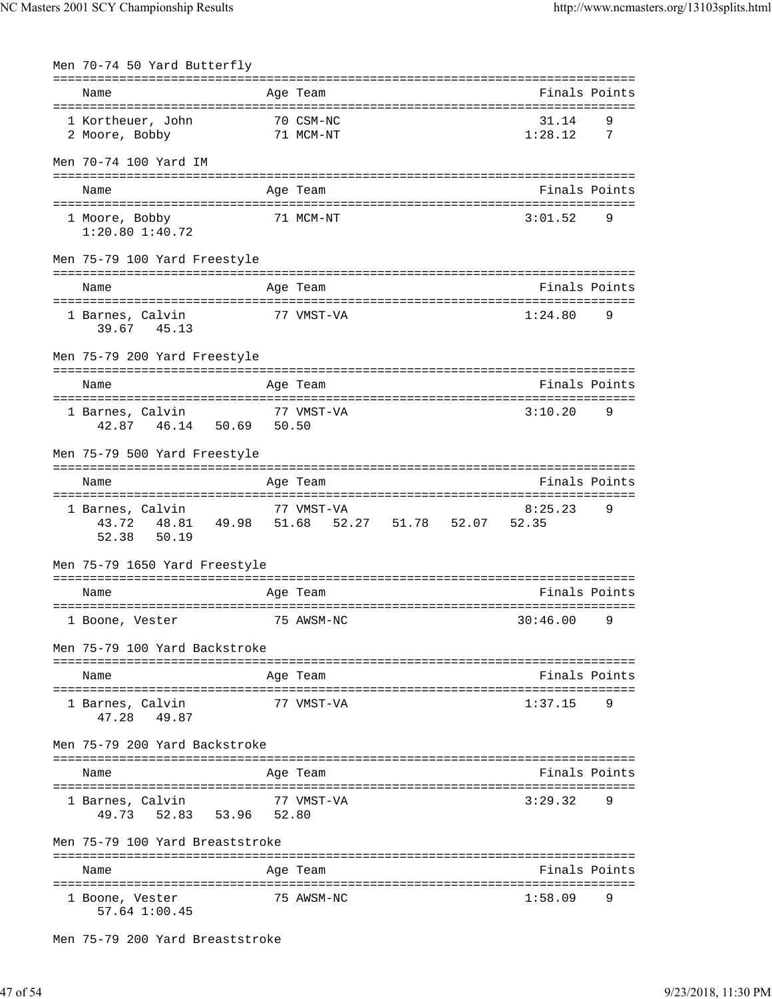| Men 70-74 50 Yard Butterfly                    |                                                                                      |                  |                     |
|------------------------------------------------|--------------------------------------------------------------------------------------|------------------|---------------------|
| Name                                           | Age Team                                                                             | Finals Points    |                     |
| 1 Kortheuer, John 70 CSM-NC<br>2 Moore, Bobby  | 71 MCM-NT                                                                            | 31.14<br>1:28.12 | 9<br>$\overline{7}$ |
| Men 70-74 100 Yard IM                          |                                                                                      |                  |                     |
| Name                                           | Age Team                                                                             | Finals Points    |                     |
| 1 Moore, Bobby<br>$1:20.80$ $1:40.72$          | 71 MCM-NT                                                                            | 3:01.52          | 9                   |
| Men 75-79 100 Yard Freestyle<br>Name           | Age Team                                                                             | Finals Points    |                     |
| 77 VMST-VA                                     |                                                                                      |                  |                     |
| 1 Barnes, Calvin<br>39.67 45.13                |                                                                                      | 1:24.80          | 9                   |
| Men 75-79 200 Yard Freestyle                   |                                                                                      |                  |                     |
| Name                                           | Age Team                                                                             | Finals Points    |                     |
| 1 Barnes, Calvin<br>42.87  46.14  50.69  50.50 | 77 VMST-VA                                                                           | 3:10.20          | 9                   |
| Men 75-79 500 Yard Freestyle                   |                                                                                      |                  |                     |
| Name                                           | Age Team                                                                             | Finals Points    |                     |
| 1 Barnes, Calvin                               | 77 VMST-VA<br>43.72  48.81  49.98  51.68  52.27  51.78  52.07  52.35<br>52.38  50.19 | 8:25.23          | 9                   |
| Men 75-79 1650 Yard Freestyle                  |                                                                                      |                  |                     |
| Name                                           | Age Team                                                                             | Finals Points    |                     |
| 1 Boone, Vester 75 AWSM-NC                     |                                                                                      | $30:46.00$ 9     |                     |
| Men 75-79 100 Yard Backstroke                  |                                                                                      |                  |                     |
| Name                                           | Age Team                                                                             | Finals Points    |                     |
| 1 Barnes, Calvin<br>47.28 49.87                | 77 VMST-VA                                                                           | 1:37.15          | 9                   |
| Men 75-79 200 Yard Backstroke                  |                                                                                      |                  |                     |
| Name                                           | Age Team                                                                             | Finals Points    |                     |
| 1 Barnes, Calvin<br>49.73 52.83 53.96 52.80    | 77 VMST-VA                                                                           | 3:29.32          | 9                   |
| Men 75-79 100 Yard Breaststroke                |                                                                                      |                  |                     |
| Name                                           | Age Team                                                                             | Finals Points    |                     |
| 1 Boone, Vester<br>57.64 1:00.45               | 75 AWSM-NC                                                                           | 1:58.09          | 9                   |

Men 75-79 200 Yard Breaststroke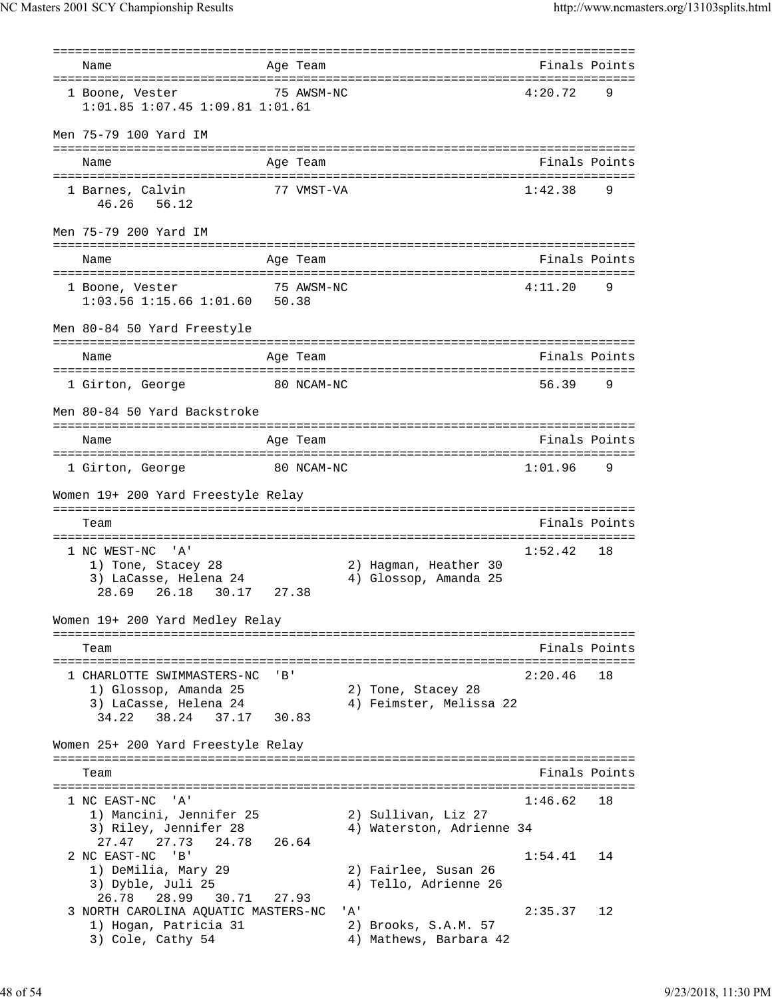=============================================================================== Name **Age Team Age Team** Rinals Points =============================================================================== 1 Boone, Vester 75 AWSM-NC 4:20.72 9 1:01.85 1:07.45 1:09.81 1:01.61 Men 75-79 100 Yard IM =============================================================================== Name Age Team Finals Points =============================================================================== 1 Barnes, Calvin 177 VMST-VA 1:42.38 9 46.26 56.12 Men 75-79 200 Yard IM =============================================================================== Name Age Team Finals Points =============================================================================== 1 Boone, Vester 75 AWSM-NC 4:11.20 9 1:03.56 1:15.66 1:01.60 50.38 Men 80-84 50 Yard Freestyle =============================================================================== Name **Age Team** Age Team Finals Points =============================================================================== 1 Girton, George 80 NCAM-NC 56.39 Men 80-84 50 Yard Backstroke =============================================================================== Name **Age Team Age Team** Rinals Points =============================================================================== 1 Girton, George 80 NCAM-NC 1:01.96 Women 19+ 200 Yard Freestyle Relay =============================================================================== Team Finals Points =============================================================================== 1 NC WEST-NC 'A' 1) Tone, Stacey 28 2) Hagman, Heather 30 3) LaCasse, Helena 24 4) Glossop, Amanda 25 28.69 26.18 30.17 27.38 Women 19+ 200 Yard Medley Relay =============================================================================== Team Finals Points =============================================================================== 1 CHARLOTTE SWIMMASTERS-NC 'B' 2:20.46 18<br>
1) Glossop, Amanda 25 2) Tone, Stacey 28 1) Glossop, Amanda 25 2) Tone, Stacey 28 3) LaCasse, Helena 24 4) Feimster, Melissa 22 34.22 38.24 37.17 30.83 Women 25+ 200 Yard Freestyle Relay =============================================================================== Team **Finals Points** =============================================================================== 1 NC EAST-NC 'A' 1:46.62 18 1) Mancini, Jennifer 25 2) Sullivan, Liz 27 3) Riley, Jennifer 28 4) Waterston, Adrienne 34 27.47 27.73 24.78 26.64 2 NC EAST-NC 'B' 1:54.41 14 1) DeMilia, Mary 29 2) Fairlee, Susan 26 3) Dyble, Juli 25 4) Tello, Adrienne 26 26.78 28.99 30.71 27.93 3 NORTH CAROLINA AQUATIC MASTERS-NC 'A' 2:35.37 12<br>1) Hogan, Patricia 31 2) Brooks, S.A.M. 57 1) Hogan, Patricia 31<br>3) Cole, Cathy 54 4) Mathews, Barbara 42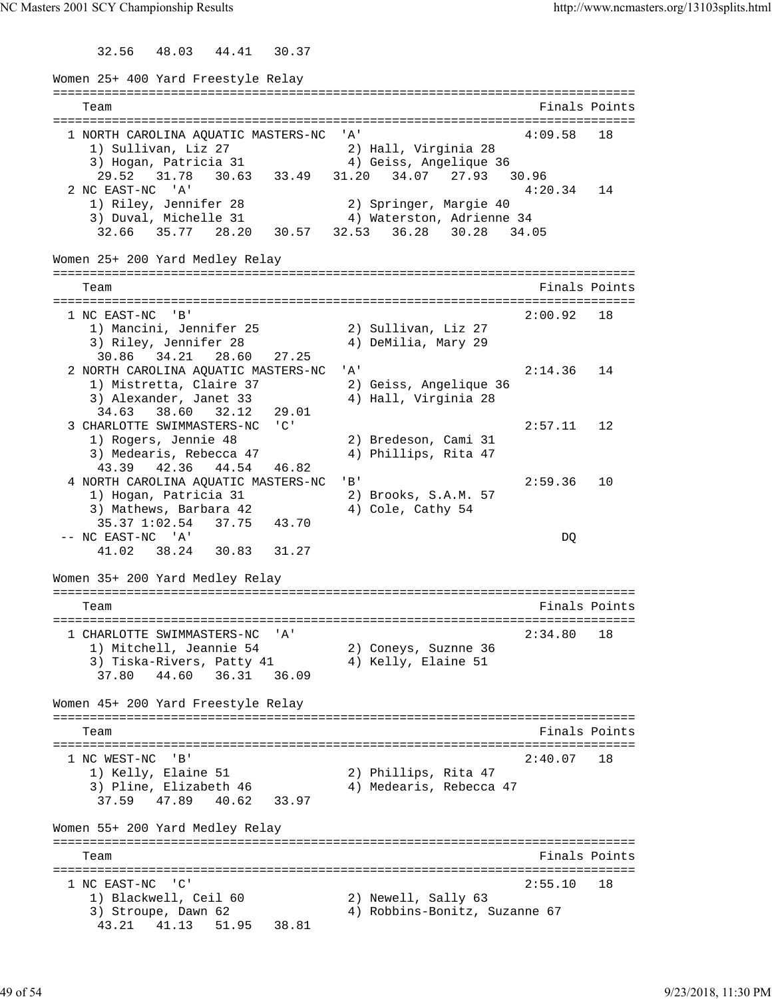32.56 48.03 44.41 30.37

Women 25+ 400 Yard Freestyle Relay =============================================================================== Team Finals Points =============================================================================== 1 NORTH CAROLINA AQUATIC MASTERS-NC 'A' 4:09.58 18 1) Sullivan, Liz 27 2) Hall, Virginia 28 3) Hogan, Patricia 31 4) Geiss, Angelique 36 29.52 31.78 30.63 33.49 31.20 34.07 27.93 30.96<br>2 NC EAST-NC 'A' 2 NC EAST-NC 'A' 4:20.34 14 1) Riley, Jennifer 28 2) Springer, Margie 40 3) Duval, Michelle 31 4) Waterston, Adrienne 34 32.66 35.77 28.20 30.57 32.53 36.28 30.28 34.05 Women 25+ 200 Yard Medley Relay =============================================================================== Team Finals Points =============================================================================== 1 NC EAST-NC 'B' 2:00.92 18 1) Mancini, Jennifer 25 2) Sullivan, Liz 27 3) Riley, Jennifer 28 4) DeMilia, Mary 29 30.86 34.21 28.60 27.25 2 NORTH CAROLINA AQUATIC MASTERS-NC 'A' 2:14.36 14 1) Mistretta, Claire 37 2) Geiss, Angelique 36 3) Alexander, Janet 33 4) Hall, Virginia 28 34.63 38.60 32.12 29.01 3 CHARLOTTE SWIMMASTERS-NC 'C' 2:57.11 12 1) Rogers, Jennie 48 2) Bredeson, Cami 31 3) Medearis, Rebecca 47 (4) Phillips, Rita 47 43.39 42.36 44.54 46.82 4 NORTH CAROLINA AQUATIC MASTERS-NC 'B' 2:59.36 10 1) Hogan, Patricia 31 2) Brooks, S.A.M. 57 3) Mathews, Barbara 42 (4) Cole, Cathy 54 35.37 1:02.54 37.75 43.70 -- NC EAST-NC 'A' DQ 41.02 38.24 30.83 31.27 Women 35+ 200 Yard Medley Relay =============================================================================== Team **Finals Points** =============================================================================== 1 CHARLOTTE SWIMMASTERS-NC 'A' 2:34.80 18 1) Mitchell, Jeannie 54 2) Coneys, Suznne 36 3) Tiska-Rivers, Patty 41  $\hskip1cm$  4) Kelly, Elaine 51 37.80 44.60 36.31 36.09 Women 45+ 200 Yard Freestyle Relay =============================================================================== Team Finals Points =============================================================================== 1 NC WEST-NC 'B' 2:40.07 18<br>1) Kelly, Elaine 51 2) Phillips, Rita 47 1) Kelly, Elaine 51 2) Phillips, Rita 47 3) Pline, Elizabeth 46 4) Medearis, Rebecca 47 37.59 47.89 40.62 33.97 Women 55+ 200 Yard Medley Relay =============================================================================== Team Finals Points =============================================================================== 1 NC EAST-NC 'C'<br>
1) Blackwell, Ceil 60 2) Newell, Sally 63 1) Blackwell, Ceil 60 2) Newell, Sally 63 3) Stroupe, Dawn 62 4) Robbins-Bonitz, Suzanne 67 43.21 41.13 51.95 38.81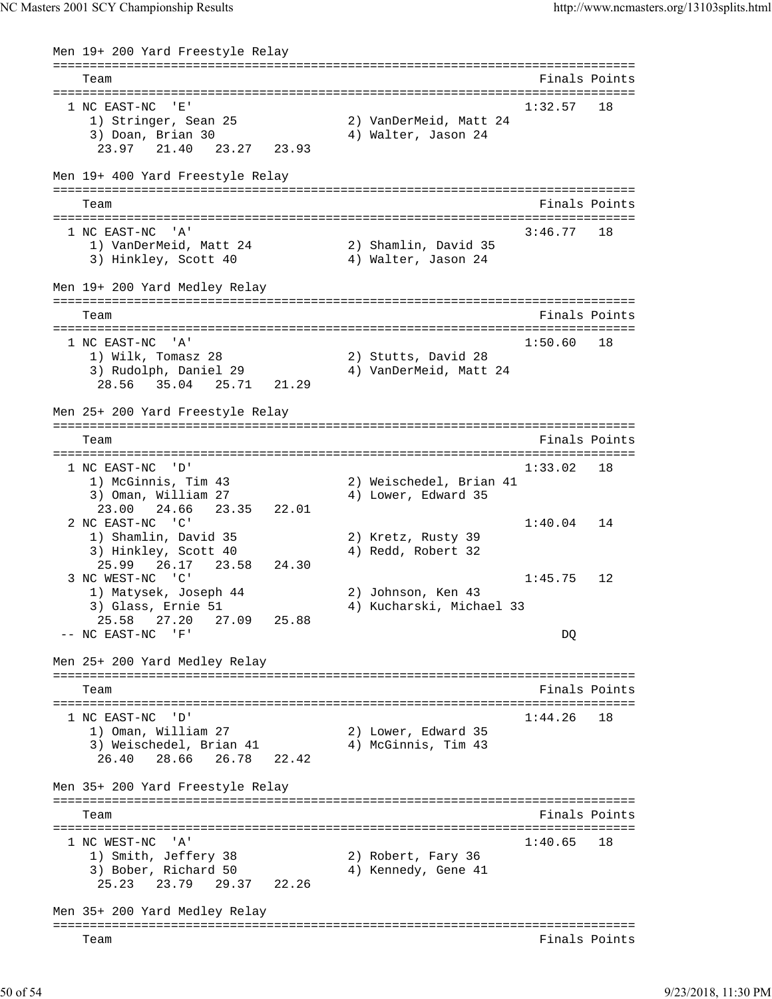```
Men 19+ 200 Yard Freestyle Relay
===============================================================================
   Team Finals Points 
===============================================================================
   NC EAST-NC 'E' 1:32.57 18<br>1) Stringer, Sean 25 2) VanDerMeid, Matt 24
 1) Stringer, Sean 25 2) VanDerMeid, Matt 24 
3) Doan, Brian 30 4) Walter, Jason 24
     23.97 21.40 23.27 23.93 
Men 19+ 400 Yard Freestyle Relay
===============================================================================
  Team Finals Points and the Community of the Community of the Points Points Points and the Community of the Community of the Community of the Community of the Community of the Community of the Community of the Community of 
===============================================================================
 1 NC EAST-NC 'A'
 1) VanDerMeid, Matt 24 2) Shamlin, David 35 
3) Hinkley, Scott 40 \hskip1cm 4) Walter, Jason 24
Men 19+ 200 Yard Medley Relay
===============================================================================
    Team Finals Points 
===============================================================================
 1 NC EAST-NC 'A' 1:50.60 18<br>1) Wilk, Tomasz 28 29 2) Stutts, David 28
 1) Wilk, Tomasz 28 2) Stutts, David 28 
 3) Rudolph, Daniel 29 4) VanDerMeid, Matt 24 
     28.56 35.04 25.71 21.29 
Men 25+ 200 Yard Freestyle Relay
===============================================================================
   Team Finals Points 
===============================================================================
 1 NC EAST-NC 'D' 1:33.02 18<br>1) McGinnis, Tim 43 2) Weischedel, Brian 41
 1) McGinnis, Tim 43 2) Weischedel, Brian 41 
3) Oman, William 27 (4) Lower, Edward 35
     23.00 24.66 23.35 22.01 
 2 NC EAST-NC 'C' 1:40.04 14<br>1) Shamlin, David 35 2) Kretz, Rusty 39
 1) Shamlin, David 35 2) Kretz, Rusty 39 
3) Hinkley, Scott 40 (4) Redd, Robert 32
    25.99 26.17 23.58 24.303 NC WEST-NC 'C' 1:45.75 12<br>1) Matysek, Joseph 44 2) Johnson, Ken 43
 1) Matysek, Joseph 44 2) Johnson, Ken 43 
 3) Glass, Ernie 51 4) Kucharski, Michael 33 
     25.58 27.20 27.09 25.88 
 -- NC EAST-NC 'F' DQ 
Men 25+ 200 Yard Medley Relay
===============================================================================
   Team Finals Points 
===============================================================================
1 NC EAST-NC 'D' 1:44.26 18
 1) Oman, William 27 2) Lower, Edward 35 
3) Weischedel, Brian 41 \hskip1cm 4) McGinnis, Tim 43
     26.40 28.66 26.78 22.42 
Men 35+ 200 Yard Freestyle Relay
===============================================================================
   Team Finals Points 
===============================================================================
  1 NC WEST-NC 'A' 1:40.65 18 
 1) Smith, Jeffery 38 2) Robert, Fary 36 
3) Bober, Richard 50 (4) Kennedy, Gene 41
     25.23 23.79 29.37 22.26 
Men 35+ 200 Yard Medley Relay
===============================================================================
   Team Finals Points
```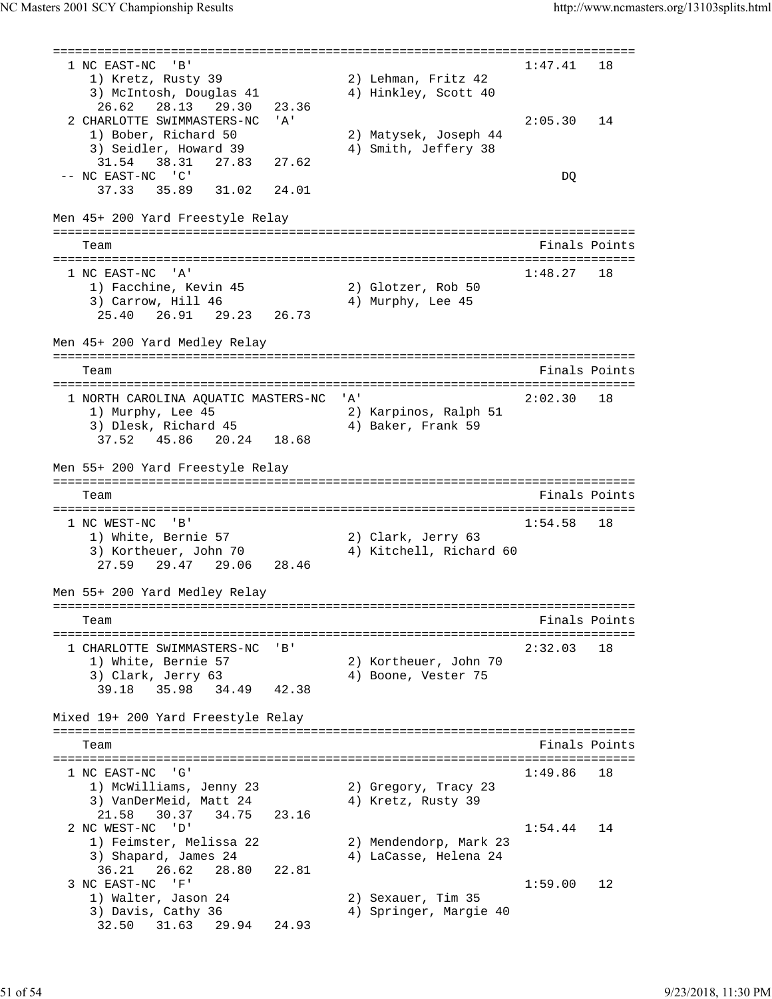=============================================================================== 1 NC EAST-NC 'B' 1) Kretz, Rusty 39 2) Lehman, Fritz 42 3) McIntosh, Douglas 41 4) Hinkley, Scott 40 26.62 28.13 29.30 23.36 2 CHARLOTTE SWIMMASTERS-NC 'A' 2:05.30 14 1) Bober, Richard 50 2) Matysek, Joseph 44 3) Seidler, Howard 39 4) Smith, Jeffery 38 31.54 38.31 27.83 27.62 -- NC EAST-NC 'C' DQ 37.33 35.89 31.02 24.01 Men 45+ 200 Yard Freestyle Relay =============================================================================== Team Finals Points Points All the Second Second Second Second Second Second Second Second Second Second Second Second Second Second Second Second Second Second Second Second Second Second Second Second Second Second Second =============================================================================== 1 NC EAST-NC 'A' 1:48.27 18 1) Facchine, Kevin 45 2) Glotzer, Rob 50 3) Carrow, Hill 46 4) Murphy, Lee 45 25.40 26.91 29.23 26.73 Men 45+ 200 Yard Medley Relay =============================================================================== Team Finals Points =============================================================================== 1 NORTH CAROLINA AQUATIC MASTERS-NC 'A' 2:02.30 18 1) Murphy, Lee 45 2) Karpinos, Ralph 51 3) Dlesk, Richard 45 4) Baker, Frank 59 37.52 45.86 20.24 18.68 Men 55+ 200 Yard Freestyle Relay =============================================================================== Team Finals Points =============================================================================== 1 NC WEST-NC 'B' 1:54.58 18 1) White, Bernie 57 2) Clark, Jerry 63 3) Kortheuer, John 70 4) Kitchell, Richard 60 27.59 29.47 29.06 28.46 Men 55+ 200 Yard Medley Relay =============================================================================== Team Finals Points =============================================================================== 1 CHARLOTTE SWIMMASTERS-NC 'B' 2:32.03 18 1) White, Bernie 57 2) Kortheuer, John 70 3) Clark, Jerry 63 (4) Boone, Vester 75 39.18 35.98 34.49 42.38 Mixed 19+ 200 Yard Freestyle Relay =============================================================================== Team Finals Points =============================================================================== 1 NC EAST-NC 'G' 1:49.86 18 1) McWilliams, Jenny 23 2) Gregory, Tracy 23 3) VanDerMeid, Matt 24 4) Kretz, Rusty 39 21.58 30.37 34.75 23.16 2 NC WEST-NC 'D' 1:54.44 14 1) Feimster, Melissa 22 2) Mendendorp, Mark 23 3) Shapard, James 24 4) LaCasse, Helena 24 36.21 26.62 28.80 22.81 3 NC EAST-NC 'F' 1:59.00 12<br>1) Walter, Jason 24 2) Sexauer, Tim 35 1) Walter, Jason 24 2) Sexauer, Tim 35 3) Davis, Cathy 36 4) Springer, Margie 40 32.50 31.63 29.94 24.93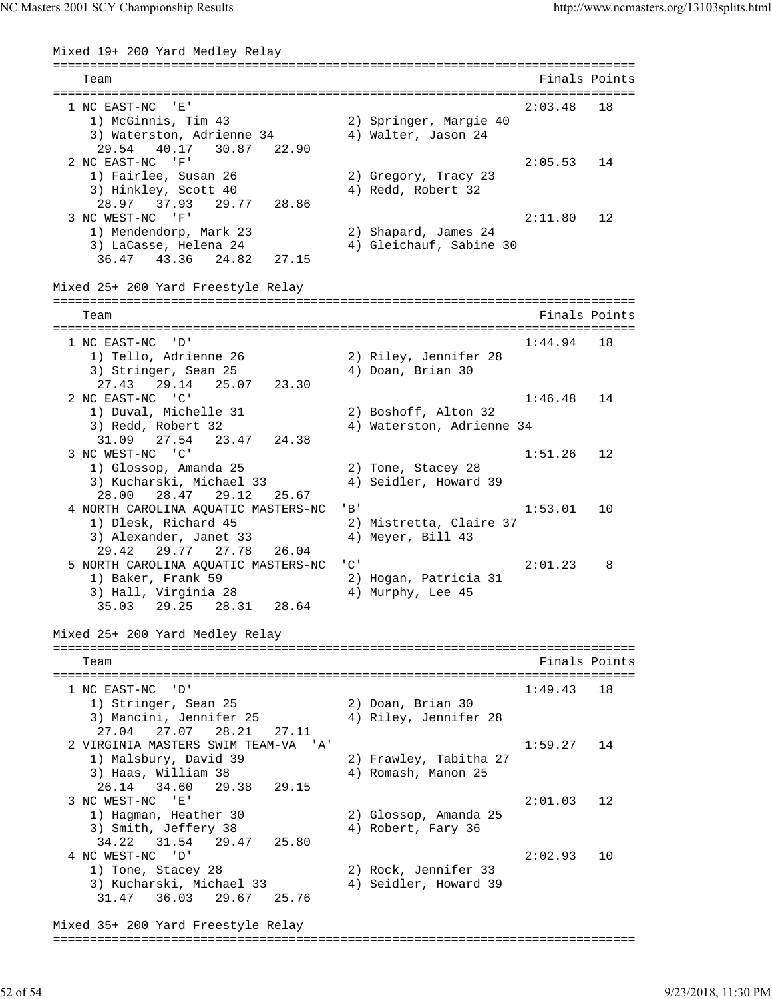```
Mixed 19+ 200 Yard Medley Relay
===============================================================================
   Team Finals Points 
===============================================================================
  1 NC EAST-NC 'E' 2:03.48 18 
 1) McGinnis, Tim 43 2) Springer, Margie 40 
3) Waterston, Adrienne 34 (4) Walter, Jason 24
     29.54 40.17 30.87 22.90 
  2 NC EAST-NC 'F' 2:05.53 14 
 1) Fairlee, Susan 26 2) Gregory, Tracy 23 
3) Hinkley, Scott 40 (4) Redd, Robert 32
     28.97 37.93 29.77 28.86 
 3 NC WEST-NC 'F' 2:11.80 12<br>1) Mendendorp, Mark 23 2) Shapard, James 24
                            2) Shapard, James 24
 3) LaCasse, Helena 24 4) Gleichauf, Sabine 30 
 36.47 43.36 24.82 27.15 
Mixed 25+ 200 Yard Freestyle Relay
===============================================================================
   Team Finals Points 
===============================================================================
 1 NC EAST-NC 'D' 1:44.94 18<br>1) Tello, Adrienne 26 2) Riley, Jennifer 28
 1) Tello, Adrienne 26 2) Riley, Jennifer 28 
3) Stringer, Sean 25 (4) Doan, Brian 30
     27.43 29.14 25.07 23.30 
  2 NC EAST-NC 'C' 1:46.48 14 
   1) Duval, Michelle 31 2) Boshoff, Alton 32<br>3) Bodd, Bobert 32 2, Materston Adrienne
    3) Redd, Robert 32 4) Waterston, Adrienne 34 
     31.09 27.54 23.47 24.38 
  3 NC WEST-NC 'C' 1:51.26 12 
 1) Glossop, Amanda 25 2) Tone, Stacey 28 
 3) Kucharski, Michael 33 4) Seidler, Howard 39 
     28.00 28.47 29.12 25.67 
 4 NORTH CAROLINA AQUATIC MASTERS-NC 'B' 1:53.01 10<br>1) Dlesk, Richard 45 2) Mistretta, Claire 37
   1) Dlesk, Richard 45
   3) Alexander, Janet 33 4) Meyer, Bill 43
     29.42 29.77 27.78 26.04 
 5 NORTH CAROLINA AQUATIC MASTERS-NC 'C' 2:01.23 8
 1) Baker, Frank 59 2) Hogan, Patricia 31 
3) Hall, Virginia 28 4) Murphy, Lee 45
     35.03 29.25 28.31 28.64 
Mixed 25+ 200 Yard Medley Relay
===============================================================================
   Team Finals Points 
===============================================================================
  1 NC EAST-NC 'D' 1:49.43 18 
   1) Stringer, Sean 25 2) Doan, Brian 30
   3) Mancini, Jennifer 25 4) Riley, Jennifer 28
     27.04 27.07 28.21 27.11 
  2 VIRGINIA MASTERS SWIM TEAM-VA 'A' 1:59.27 14 
   1) Malsbury, David 39 2) Frawley, Tabitha 27
   3) Haas, William 38 4) Romash, Manon 25
     26.14 34.60 29.38 29.15 
  3 NC WEST-NC 'E' 2:01.03 12 
 1) Hagman, Heather 30 2) Glossop, Amanda 25 
3) Smith, Jeffery 38 4) Robert, Fary 36
    34.22 31.54 29.47 25.80 
  4 NC WEST-NC 'D' 2:02.93 10 
 1) Tone, Stacey 28 2) Rock, Jennifer 33 
 3) Kucharski, Michael 33 4) Seidler, Howard 39 
     31.47 36.03 29.67 25.76 
Mixed 35+ 200 Yard Freestyle Relay
===============================================================================
```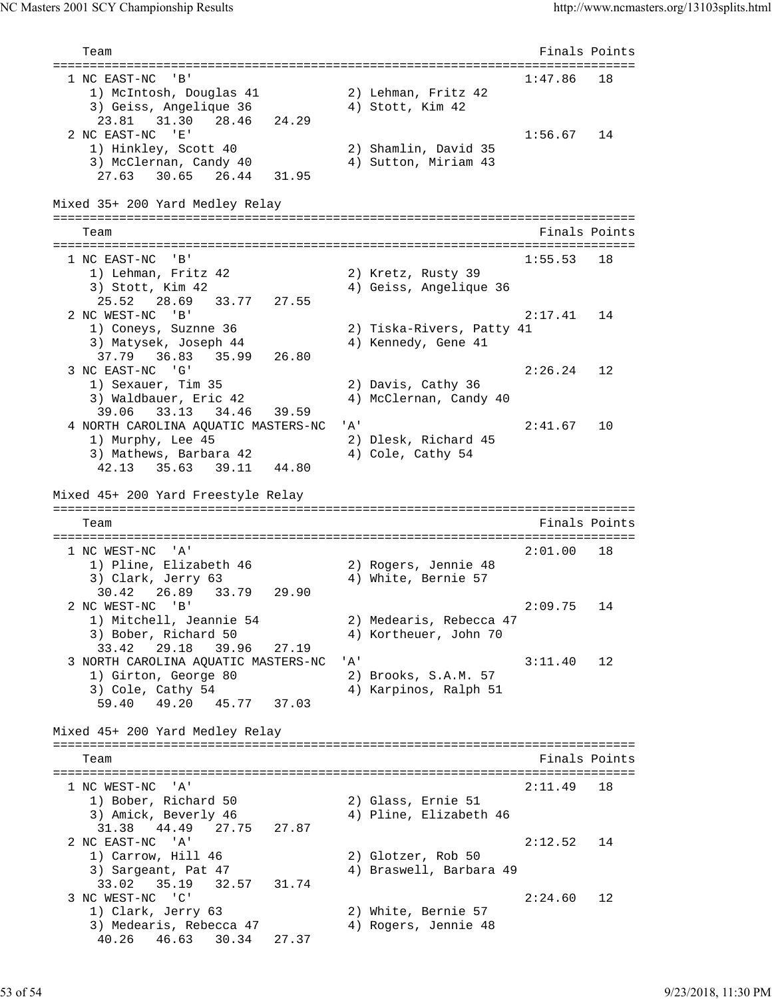Team Finals Points =============================================================================== 1 NC EAST-NC 'B' 1:47.86 18 1) McIntosh, Douglas 41 2) Lehman, Fritz 42 3) Geiss, Angelique 36 4) Stott, Kim 42 23.81 31.30 28.46 24.29<br>2 NC EAST-NC 'E' 2 NC EAST-NC 'E' 1:56.67 14 1) Hinkley, Scott 40 2) Shamlin, David 35 3) McClernan, Candy 40 4) Sutton, Miriam 43 27.63 30.65 26.44 31.95 Mixed 35+ 200 Yard Medley Relay =============================================================================== Team **Finals Points** =============================================================================== 1 NC EAST-NC 'B' 1:55.53 18 1) Lehman, Fritz 42 2) Kretz, Rusty 39 3) Stott, Kim 42 4) Geiss, Angelique 36 25.52 28.69 33.77 27.55 2 NC WEST-NC 'B' 2:17.41 14 1) Coneys, Suznne 36 2) Tiska-Rivers, Patty 41 3) Matysek, Joseph 44  $\hskip 4cm 4$  4) Kennedy, Gene 41  $37.79$   $36.83$   $35.99$   $26.80$ <br>3 NC EAST-NC  ${}^1G^1$  3 NC EAST-NC 'G' 2:26.24 12 1) Sexauer, Tim 35 2) Davis, Cathy 36 3) Waldbauer, Eric 42 4) McClernan, Candy 40 39.06 33.13 34.46 39.59 4 NORTH CAROLINA AQUATIC MASTERS-NC 'A' 2:41.67 10 1) Murphy, Lee 45 2) Dlesk, Richard 45 3) Mathews, Barbara 42 (4) Cole, Cathy 54 42.13 35.63 39.11 44.80 Mixed 45+ 200 Yard Freestyle Relay =============================================================================== Team Finals Points =============================================================================== 1 NC WEST-NC 'A' 1) Pline, Elizabeth 46 2) Rogers, Jennie 48 3) Clark, Jerry 63 (4) White, Bernie 57 30.42 26.89 33.79 29.90<br>2 NC WEST-NC 'B' 2 NC WEST-NC 'B' 2:09.75 14 1) Mitchell, Jeannie 54 2) Medearis, Rebecca 47 3) Bober, Richard 50 4) Kortheuer, John 70 33.42 29.18 39.96 27.19 3 NORTH CAROLINA AQUATIC MASTERS-NC 'A' 3:11.40 12 1) Girton, George 80 2) Brooks, S.A.M. 57 3) Cole, Cathy 54 4) Karpinos, Ralph 51 59.40 49.20 45.77 37.03 Mixed 45+ 200 Yard Medley Relay =============================================================================== Team Finals Points =============================================================================== 1 NC WEST-NC 'A' 2:11.49 18 1) Bober, Richard 50 2) Glass, Ernie 51 3) Amick, Beverly 46 4) Pline, Elizabeth 46 31.38 44.49 27.75 27.87 2 NC EAST-NC 'A' 2:12.52 14<br>
2) Glotzer, Rob 50 2:12.52 14 1) Carrow, Hill 46 a a subcast, ROD 50<br>3) Sargeant, Pat 47 49 Braswell, Barbara 49 33.02 35.19 32.57 31.74<br>3 NC WEST-NC 'C' 3 NC WEST-NC 'C' 2:24.60 12 1) Clark, Jerry 63 2) White, Bernie 57 3) Medearis, Rebecca 47 4) Rogers, Jennie 48 40.26 46.63 30.34 27.37